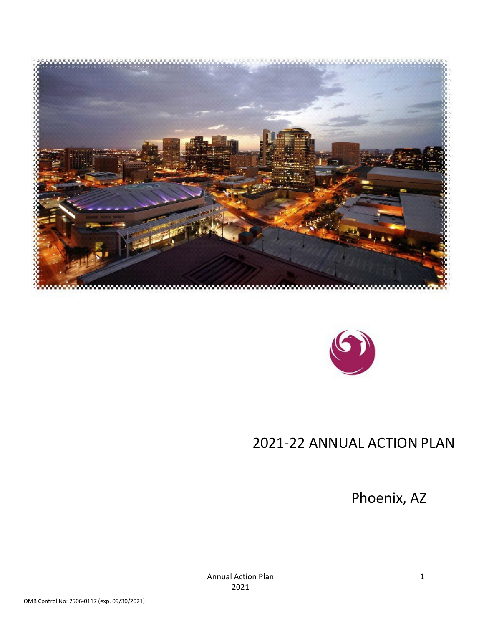



# 2021-22 ANNUAL ACTION PLAN

<span id="page-0-0"></span>Phoenix, AZ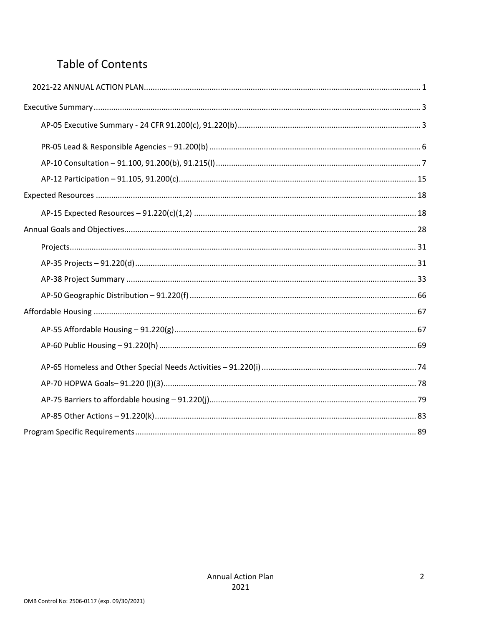## **Table of Contents**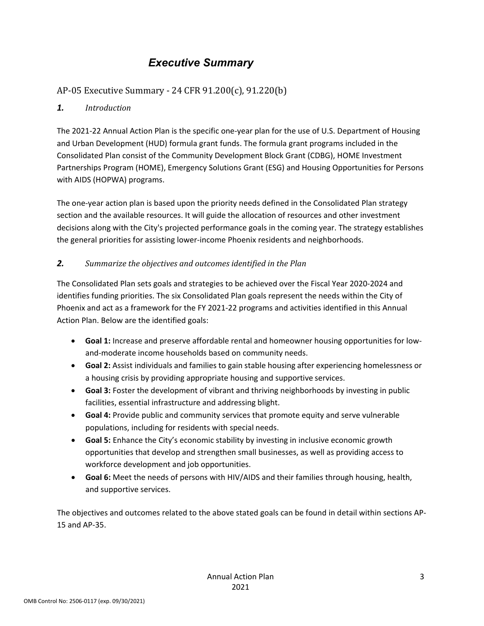## *Executive Summary*

### <span id="page-2-0"></span>AP-05 Executive Summary - 24 CFR 91.200(c), 91.220(b)

#### *1. Introduction*

The 2021-22 Annual Action Plan is the specific one-year plan for the use of U.S. Department of Housing and Urban Development (HUD) formula grant funds. The formula grant programs included in the Consolidated Plan consist of the Community Development Block Grant (CDBG), HOME Investment Partnerships Program (HOME), Emergency Solutions Grant (ESG) and Housing Opportunities for Persons with AIDS (HOPWA) programs.

The one-year action plan is based upon the priority needs defined in the Consolidated Plan strategy section and the available resources. It will guide the allocation of resources and other investment decisions along with the City's projected performance goals in the coming year. The strategy establishes the general priorities for assisting lower-income Phoenix residents and neighborhoods.

#### *2. Summarize the objectives and outcomes identified in the Plan*

The Consolidated Plan sets goals and strategies to be achieved over the Fiscal Year 2020-2024 and identifies funding priorities. The six Consolidated Plan goals represent the needs within the City of Phoenix and act as a framework for the FY 2021-22 programs and activities identified in this Annual Action Plan. Below are the identified goals:

- **Goal 1:** Increase and preserve affordable rental and homeowner housing opportunities for lowand-moderate income households based on community needs.
- **Goal 2:** Assist individuals and families to gain stable housing after experiencing homelessness or a housing crisis by providing appropriate housing and supportive services.
- **Goal 3:** Foster the development of vibrant and thriving neighborhoods by investing in public facilities, essential infrastructure and addressing blight.
- **Goal 4:** Provide public and community services that promote equity and serve vulnerable populations, including for residents with special needs.
- **Goal 5:** Enhance the City's economic stability by investing in inclusive economic growth opportunities that develop and strengthen small businesses, as well as providing access to workforce development and job opportunities.
- **Goal 6:** Meet the needs of persons with HIV/AIDS and their families through housing, health, and supportive services.

The objectives and outcomes related to the above stated goals can be found in detail within sections AP-15 and AP-35.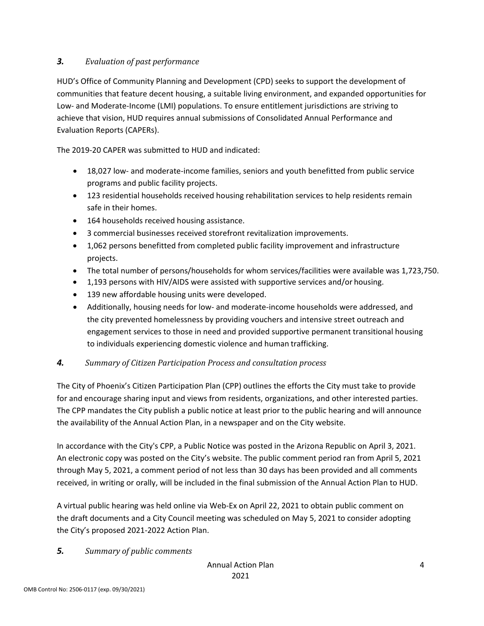#### *3. Evaluation of past performance*

HUD's Office of Community Planning and Development (CPD) seeks to support the development of communities that feature decent housing, a suitable living environment, and expanded opportunities for Low- and Moderate-Income (LMI) populations. To ensure entitlement jurisdictions are striving to achieve that vision, HUD requires annual submissions of Consolidated Annual Performance and Evaluation Reports (CAPERs).

The 2019-20 CAPER was submitted to HUD and indicated:

- 18,027 low- and moderate-income families, seniors and youth benefitted from public service programs and public facility projects.
- 123 residential households received housing rehabilitation services to help residents remain safe in their homes.
- 164 households received housing assistance.
- 3 commercial businesses received storefront revitalization improvements.
- 1,062 persons benefitted from completed public facility improvement and infrastructure projects.
- The total number of persons/households for whom services/facilities were available was 1,723,750.
- 1,193 persons with HIV/AIDS were assisted with supportive services and/or housing.
- 139 new affordable housing units were developed.
- Additionally, housing needs for low- and moderate-income households were addressed, and the city prevented homelessness by providing vouchers and intensive street outreach and engagement services to those in need and provided supportive permanent transitional housing to individuals experiencing domestic violence and human trafficking.

#### *4. Summary of Citizen Participation Process and consultation process*

The City of Phoenix's Citizen Participation Plan (CPP) outlines the efforts the City must take to provide for and encourage sharing input and views from residents, organizations, and other interested parties. The CPP mandates the City publish a public notice at least prior to the public hearing and will announce the availability of the Annual Action Plan, in a newspaper and on the City website.

In accordance with the City's CPP, a Public Notice was posted in the Arizona Republic on April 3, 2021. An electronic copy was posted on the City's website. The public comment period ran from April 5, 2021 through May 5, 2021, a comment period of not less than 30 days has been provided and all comments received, in writing or orally, will be included in the final submission of the Annual Action Plan to HUD.

A virtual public hearing was held online via Web-Ex on April 22, 2021 to obtain public comment on the draft documents and a City Council meeting was scheduled on May 5, 2021 to consider adopting the City's proposed 2021-2022 Action Plan.

#### *5. Summary of public comments*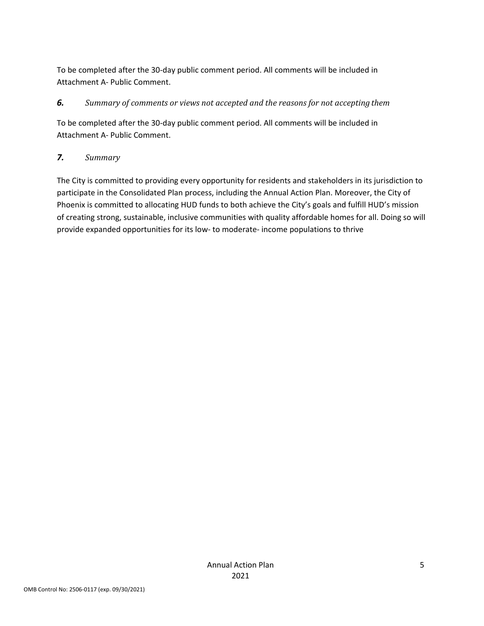To be completed after the 30-day public comment period. All comments will be included in Attachment A- Public Comment.

#### *6. Summary of comments or views not accepted and the reasons for not accepting them*

To be completed after the 30-day public comment period. All comments will be included in Attachment A- Public Comment.

#### *7. Summary*

The City is committed to providing every opportunity for residents and stakeholders in its jurisdiction to participate in the Consolidated Plan process, including the Annual Action Plan. Moreover, the City of Phoenix is committed to allocating HUD funds to both achieve the City's goals and fulfill HUD's mission of creating strong, sustainable, inclusive communities with quality affordable homes for all. Doing so will provide expanded opportunities for its low- to moderate- income populations to thrive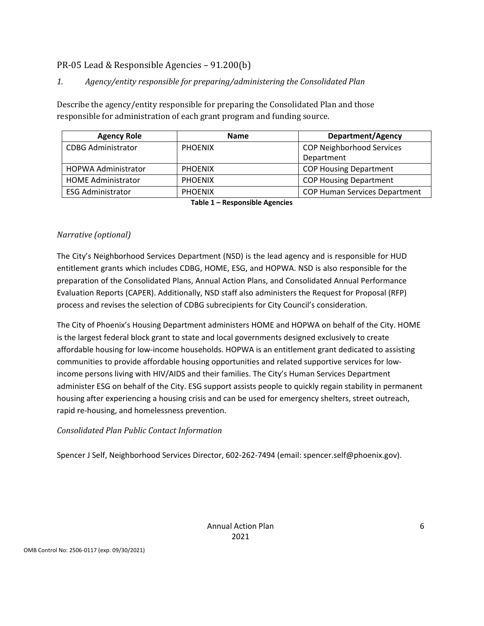#### <span id="page-5-0"></span>PR-05 Lead & Responsible Agencies – 91.200(b)

#### *1. Agency/entity responsible for preparing/administering the Consolidated Plan*

Describe the agency/entity responsible for preparing the Consolidated Plan and those responsible for administration of each grant program and funding source.

| <b>Agency Role</b>         | <b>Name</b>    | <b>Department/Agency</b>             |
|----------------------------|----------------|--------------------------------------|
| <b>CDBG Administrator</b>  | <b>PHOENIX</b> |                                      |
|                            |                | Department                           |
| <b>HOPWA Administrator</b> | <b>PHOENIX</b> | <b>COP Housing Department</b>        |
| <b>HOME Administrator</b>  | <b>PHOENIX</b> | <b>COP Housing Department</b>        |
| <b>ESG Administrator</b>   | <b>PHOENIX</b> | <b>COP Human Services Department</b> |
|                            | _ _<br>.       |                                      |

**Table 1 – Responsible Agencies**

#### *Narrative (optional)*

The City's Neighborhood Services Department (NSD) is the lead agency and is responsible for HUD entitlement grants which includes CDBG, HOME, ESG, and HOPWA. NSD is also responsible for the preparation of the Consolidated Plans, Annual Action Plans, and Consolidated Annual Performance Evaluation Reports (CAPER). Additionally, NSD staff also administers the Request for Proposal (RFP) process and revises the selection of CDBG subrecipients for City Council's consideration.

The City of Phoenix's Housing Department administers HOME and HOPWA on behalf of the City. HOME is the largest federal block grant to state and local governments designed exclusively to create affordable housing for low-income households. HOPWA is an entitlement grant dedicated to assisting communities to provide affordable housing opportunities and related supportive services for lowincome persons living with HIV/AIDS and their families. The City's Human Services Department administer ESG on behalf of the City. ESG support assists people to quickly regain stability in permanent housing after experiencing a housing crisis and can be used for emergency shelters, street outreach, rapid re-housing, and homelessness prevention.

#### *Consolidated Plan Public Contact Information*

Spencer J Self, Neighborhood Services Director, 602-262-7494 (email: spencer.self@phoenix.gov).

Annual Action Plan 2021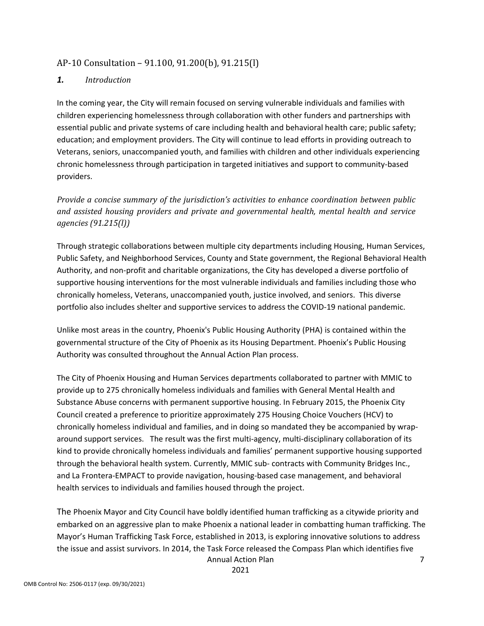#### <span id="page-6-0"></span>AP-10 Consultation – 91.100, 91.200(b), 91.215(l)

#### *1. Introduction*

In the coming year, the City will remain focused on serving vulnerable individuals and families with children experiencing homelessness through collaboration with other funders and partnerships with essential public and private systems of care including health and behavioral health care; public safety; education; and employment providers. The City will continue to lead efforts in providing outreach to Veterans, seniors, unaccompanied youth, and families with children and other individuals experiencing chronic homelessness through participation in targeted initiatives and support to community-based providers.

*Provide a concise summary of the jurisdiction's activities to enhance coordination between public and assisted housing providers and private and governmental health, mental health and service agencies (91.215(l))*

Through strategic collaborations between multiple city departments including Housing, Human Services, Public Safety, and Neighborhood Services, County and State government, the Regional Behavioral Health Authority, and non-profit and charitable organizations, the City has developed a diverse portfolio of supportive housing interventions for the most vulnerable individuals and families including those who chronically homeless, Veterans, unaccompanied youth, justice involved, and seniors. This diverse portfolio also includes shelter and supportive services to address the COVID-19 national pandemic.

Unlike most areas in the country, Phoenix's Public Housing Authority (PHA) is contained within the governmental structure of the City of Phoenix as its Housing Department. Phoenix's Public Housing Authority was consulted throughout the Annual Action Plan process.

The City of Phoenix Housing and Human Services departments collaborated to partner with MMIC to provide up to 275 chronically homeless individuals and families with General Mental Health and Substance Abuse concerns with permanent supportive housing. In February 2015, the Phoenix City Council created a preference to prioritize approximately 275 Housing Choice Vouchers (HCV) to chronically homeless individual and families, and in doing so mandated they be accompanied by wraparound support services. The result was the first multi-agency, multi-disciplinary collaboration of its kind to provide chronically homeless individuals and families' permanent supportive housing supported through the behavioral health system. Currently, MMIC sub- contracts with Community Bridges Inc., and La Frontera-EMPACT to provide navigation, housing-based case management, and behavioral health services to individuals and families housed through the project.

Annual Action Plan 7 The Phoenix Mayor and City Council have boldly identified human trafficking as a citywide priority and embarked on an aggressive plan to make Phoenix a national leader in combatting human trafficking. The Mayor's Human Trafficking Task Force, established in 2013, is exploring innovative solutions to address the issue and assist survivors. In 2014, the Task Force released the Compass Plan which identifies five

2021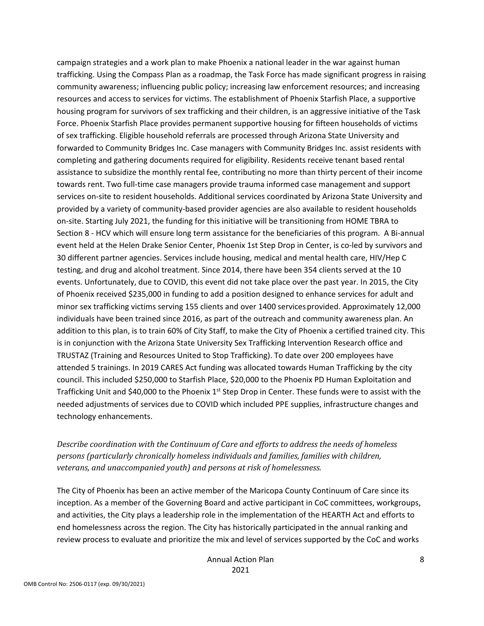campaign strategies and a work plan to make Phoenix a national leader in the war against human trafficking. Using the Compass Plan as a roadmap, the Task Force has made significant progress in raising community awareness; influencing public policy; increasing law enforcement resources; and increasing resources and access to services for victims. The establishment of Phoenix Starfish Place, a supportive housing program for survivors of sex trafficking and their children, is an aggressive initiative of the Task Force. Phoenix Starfish Place provides permanent supportive housing for fifteen households of victims of sex trafficking. Eligible household referrals are processed through Arizona State University and forwarded to Community Bridges Inc. Case managers with Community Bridges Inc. assist residents with completing and gathering documents required for eligibility. Residents receive tenant based rental assistance to subsidize the monthly rental fee, contributing no more than thirty percent of their income towards rent. Two full-time case managers provide trauma informed case management and support services on-site to resident households. Additional services coordinated by Arizona State University and provided by a variety of community-based provider agencies are also available to resident households on-site. Starting July 2021, the funding for this initiative will be transitioning from HOME TBRA to Section 8 - HCV which will ensure long term assistance for the beneficiaries of this program. A Bi-annual event held at the Helen Drake Senior Center, Phoenix 1st Step Drop in Center, is co-led by survivors and 30 different partner agencies. Services include housing, medical and mental health care, HIV/Hep C testing, and drug and alcohol treatment. Since 2014, there have been 354 clients served at the 10 events. Unfortunately, due to COVID, this event did not take place over the past year. In 2015, the City of Phoenix received \$235,000 in funding to add a position designed to enhance services for adult and minor sex trafficking victims serving 155 clients and over 1400 servicesprovided. Approximately 12,000 individuals have been trained since 2016, as part of the outreach and community awareness plan. An addition to this plan, is to train 60% of City Staff, to make the City of Phoenix a certified trained city. This is in conjunction with the Arizona State University Sex Trafficking Intervention Research office and TRUSTAZ (Training and Resources United to Stop Trafficking). To date over 200 employees have attended 5 trainings. In 2019 CARES Act funding was allocated towards Human Trafficking by the city council. This included \$250,000 to Starfish Place, \$20,000 to the Phoenix PD Human Exploitation and Trafficking Unit and \$40,000 to the Phoenix  $1<sup>st</sup>$  Step Drop in Center. These funds were to assist with the needed adjustments of services due to COVID which included PPE supplies, infrastructure changes and technology enhancements.

#### *Describe coordination with the Continuum of Care and efforts to address the needs of homeless persons (particularly chronically homeless individuals and families, families with children, veterans, and unaccompanied youth) and persons at risk of homelessness.*

The City of Phoenix has been an active member of the Maricopa County Continuum of Care since its inception. As a member of the Governing Board and active participant in CoC committees, workgroups, and activities, the City plays a leadership role in the implementation of the HEARTH Act and efforts to end homelessness across the region. The City has historically participated in the annual ranking and review process to evaluate and prioritize the mix and level of services supported by the CoC and works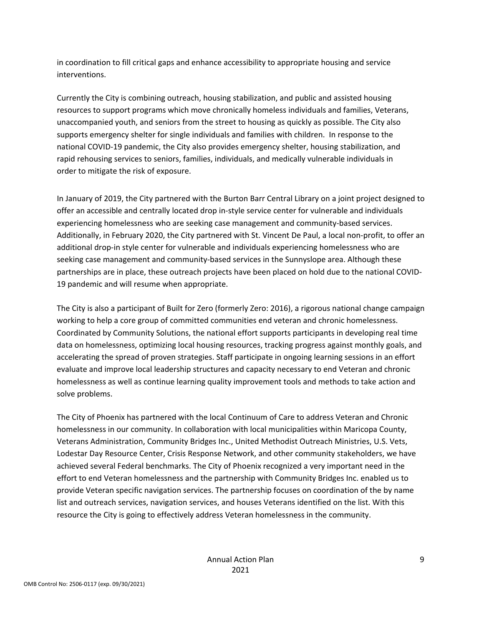in coordination to fill critical gaps and enhance accessibility to appropriate housing and service interventions.

Currently the City is combining outreach, housing stabilization, and public and assisted housing resources to support programs which move chronically homeless individuals and families, Veterans, unaccompanied youth, and seniors from the street to housing as quickly as possible. The City also supports emergency shelter for single individuals and families with children. In response to the national COVID-19 pandemic, the City also provides emergency shelter, housing stabilization, and rapid rehousing services to seniors, families, individuals, and medically vulnerable individuals in order to mitigate the risk of exposure.

In January of 2019, the City partnered with the Burton Barr Central Library on a joint project designed to offer an accessible and centrally located drop in-style service center for vulnerable and individuals experiencing homelessness who are seeking case management and community-based services. Additionally, in February 2020, the City partnered with St. Vincent De Paul, a local non-profit, to offer an additional drop-in style center for vulnerable and individuals experiencing homelessness who are seeking case management and community-based services in the Sunnyslope area. Although these partnerships are in place, these outreach projects have been placed on hold due to the national COVID-19 pandemic and will resume when appropriate.

The City is also a participant of Built for Zero (formerly Zero: 2016), a rigorous national change campaign working to help a core group of committed communities end veteran and chronic homelessness. Coordinated by Community Solutions, the national effort supports participants in developing real time data on homelessness, optimizing local housing resources, tracking progress against monthly goals, and accelerating the spread of proven strategies. Staff participate in ongoing learning sessions in an effort evaluate and improve local leadership structures and capacity necessary to end Veteran and chronic homelessness as well as continue learning quality improvement tools and methods to take action and solve problems.

The City of Phoenix has partnered with the local Continuum of Care to address Veteran and Chronic homelessness in our community. In collaboration with local municipalities within Maricopa County, Veterans Administration, Community Bridges Inc., United Methodist Outreach Ministries, U.S. Vets, Lodestar Day Resource Center, Crisis Response Network, and other community stakeholders, we have achieved several Federal benchmarks. The City of Phoenix recognized a very important need in the effort to end Veteran homelessness and the partnership with Community Bridges Inc. enabled us to provide Veteran specific navigation services. The partnership focuses on coordination of the by name list and outreach services, navigation services, and houses Veterans identified on the list. With this resource the City is going to effectively address Veteran homelessness in the community.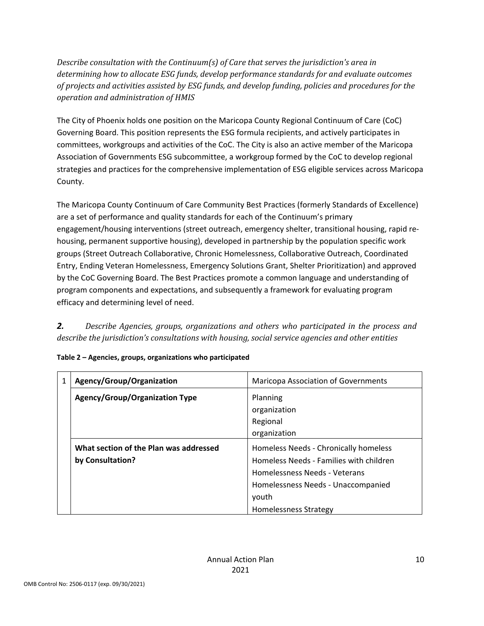*Describe consultation with the Continuum(s) of Care that serves the jurisdiction's area in determining how to allocate ESG funds, develop performance standards for and evaluate outcomes of projects and activities assisted by ESG funds, and develop funding, policies and procedures for the operation and administration of HMIS*

The City of Phoenix holds one position on the Maricopa County Regional Continuum of Care (CoC) Governing Board. This position represents the ESG formula recipients, and actively participates in committees, workgroups and activities of the CoC. The City is also an active member of the Maricopa Association of Governments ESG subcommittee, a workgroup formed by the CoC to develop regional strategies and practices for the comprehensive implementation of ESG eligible services across Maricopa County.

The Maricopa County Continuum of Care Community Best Practices (formerly Standards of Excellence) are a set of performance and quality standards for each of the Continuum's primary engagement/housing interventions (street outreach, emergency shelter, transitional housing, rapid rehousing, permanent supportive housing), developed in partnership by the population specific work groups (Street Outreach Collaborative, Chronic Homelessness, Collaborative Outreach, Coordinated Entry, Ending Veteran Homelessness, Emergency Solutions Grant, Shelter Prioritization) and approved by the CoC Governing Board. The Best Practices promote a common language and understanding of program components and expectations, and subsequently a framework for evaluating program efficacy and determining level of need.

*2. Describe Agencies, groups, organizations and others who participated in the process and describe the jurisdiction's consultations with housing, social service agencies and other entities*

| Agency/Group/Organization              | <b>Maricopa Association of Governments</b> |  |  |  |
|----------------------------------------|--------------------------------------------|--|--|--|
| <b>Agency/Group/Organization Type</b>  | Planning                                   |  |  |  |
|                                        | organization                               |  |  |  |
|                                        | Regional                                   |  |  |  |
|                                        | organization                               |  |  |  |
| What section of the Plan was addressed | Homeless Needs - Chronically homeless      |  |  |  |
| by Consultation?                       | Homeless Needs - Families with children    |  |  |  |
|                                        | Homelessness Needs - Veterans              |  |  |  |
|                                        | Homelessness Needs - Unaccompanied         |  |  |  |
|                                        | vouth                                      |  |  |  |
|                                        | <b>Homelessness Strategy</b>               |  |  |  |

| Table 2 - Agencies, groups, organizations who participated |  |
|------------------------------------------------------------|--|
|                                                            |  |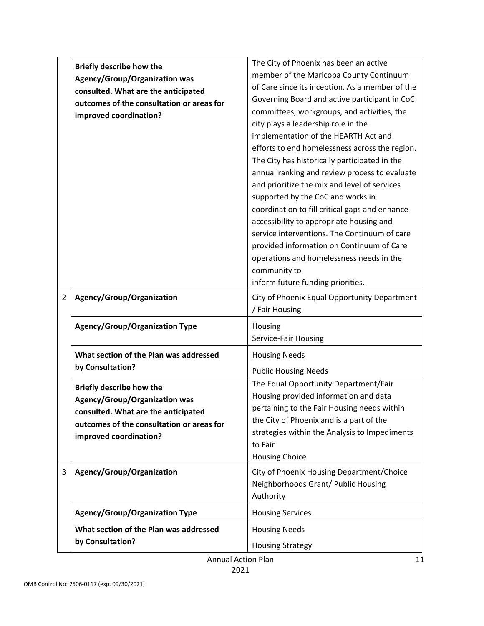|                | <b>Briefly describe how the</b>           | The City of Phoenix has been an active          |  |  |  |
|----------------|-------------------------------------------|-------------------------------------------------|--|--|--|
|                | <b>Agency/Group/Organization was</b>      | member of the Maricopa County Continuum         |  |  |  |
|                | consulted. What are the anticipated       | of Care since its inception. As a member of the |  |  |  |
|                | outcomes of the consultation or areas for | Governing Board and active participant in CoC   |  |  |  |
|                | improved coordination?                    | committees, workgroups, and activities, the     |  |  |  |
|                |                                           | city plays a leadership role in the             |  |  |  |
|                |                                           | implementation of the HEARTH Act and            |  |  |  |
|                |                                           | efforts to end homelessness across the region.  |  |  |  |
|                |                                           | The City has historically participated in the   |  |  |  |
|                |                                           | annual ranking and review process to evaluate   |  |  |  |
|                |                                           | and prioritize the mix and level of services    |  |  |  |
|                |                                           | supported by the CoC and works in               |  |  |  |
|                |                                           | coordination to fill critical gaps and enhance  |  |  |  |
|                |                                           | accessibility to appropriate housing and        |  |  |  |
|                |                                           | service interventions. The Continuum of care    |  |  |  |
|                |                                           | provided information on Continuum of Care       |  |  |  |
|                |                                           | operations and homelessness needs in the        |  |  |  |
|                |                                           | community to                                    |  |  |  |
|                |                                           | inform future funding priorities.               |  |  |  |
| $\overline{2}$ | Agency/Group/Organization                 | City of Phoenix Equal Opportunity Department    |  |  |  |
|                |                                           | / Fair Housing                                  |  |  |  |
|                | <b>Agency/Group/Organization Type</b>     | Housing                                         |  |  |  |
|                |                                           | Service-Fair Housing                            |  |  |  |
|                | What section of the Plan was addressed    | <b>Housing Needs</b>                            |  |  |  |
|                | by Consultation?                          |                                                 |  |  |  |
|                |                                           | <b>Public Housing Needs</b>                     |  |  |  |
|                | Briefly describe how the                  | The Equal Opportunity Department/Fair           |  |  |  |
|                | <b>Agency/Group/Organization was</b>      | Housing provided information and data           |  |  |  |
|                | consulted. What are the anticipated       | pertaining to the Fair Housing needs within     |  |  |  |
|                | outcomes of the consultation or areas for | the City of Phoenix and is a part of the        |  |  |  |
|                | improved coordination?                    | strategies within the Analysis to Impediments   |  |  |  |
|                |                                           | to Fair                                         |  |  |  |
|                |                                           | <b>Housing Choice</b>                           |  |  |  |
| 3              | Agency/Group/Organization                 | City of Phoenix Housing Department/Choice       |  |  |  |
|                |                                           | Neighborhoods Grant/ Public Housing             |  |  |  |
|                |                                           | Authority                                       |  |  |  |
|                | <b>Agency/Group/Organization Type</b>     | <b>Housing Services</b>                         |  |  |  |
|                | What section of the Plan was addressed    | <b>Housing Needs</b>                            |  |  |  |
|                | by Consultation?                          |                                                 |  |  |  |
|                |                                           | <b>Housing Strategy</b>                         |  |  |  |
|                | <b>Annual Action Plan</b>                 | 11                                              |  |  |  |

Annual Action Plan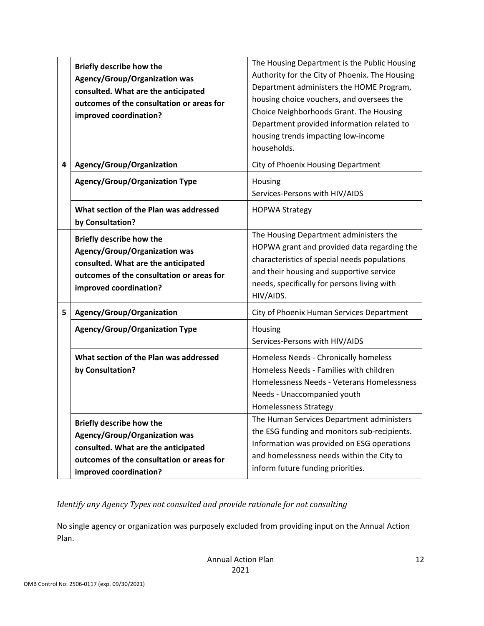|   | Briefly describe how the<br><b>Agency/Group/Organization was</b><br>consulted. What are the anticipated<br>outcomes of the consultation or areas for<br>improved coordination?        | The Housing Department is the Public Housing<br>Authority for the City of Phoenix. The Housing<br>Department administers the HOME Program,<br>housing choice vouchers, and oversees the<br>Choice Neighborhoods Grant. The Housing<br>Department provided information related to<br>housing trends impacting low-income<br>households. |
|---|---------------------------------------------------------------------------------------------------------------------------------------------------------------------------------------|----------------------------------------------------------------------------------------------------------------------------------------------------------------------------------------------------------------------------------------------------------------------------------------------------------------------------------------|
| 4 | Agency/Group/Organization                                                                                                                                                             | City of Phoenix Housing Department                                                                                                                                                                                                                                                                                                     |
|   | <b>Agency/Group/Organization Type</b>                                                                                                                                                 | Housing<br>Services-Persons with HIV/AIDS                                                                                                                                                                                                                                                                                              |
|   | What section of the Plan was addressed<br>by Consultation?                                                                                                                            | <b>HOPWA Strategy</b>                                                                                                                                                                                                                                                                                                                  |
|   | Briefly describe how the<br><b>Agency/Group/Organization was</b><br>consulted. What are the anticipated<br>outcomes of the consultation or areas for<br>improved coordination?        | The Housing Department administers the<br>HOPWA grant and provided data regarding the<br>characteristics of special needs populations<br>and their housing and supportive service<br>needs, specifically for persons living with<br>HIV/AIDS.                                                                                          |
| 5 | Agency/Group/Organization                                                                                                                                                             | City of Phoenix Human Services Department                                                                                                                                                                                                                                                                                              |
|   | <b>Agency/Group/Organization Type</b>                                                                                                                                                 | Housing<br>Services-Persons with HIV/AIDS                                                                                                                                                                                                                                                                                              |
|   | What section of the Plan was addressed<br>by Consultation?                                                                                                                            | Homeless Needs - Chronically homeless<br>Homeless Needs - Families with children<br>Homelessness Needs - Veterans Homelessness<br>Needs - Unaccompanied youth<br>Homelessness Strategy                                                                                                                                                 |
|   | <b>Briefly describe how the</b><br><b>Agency/Group/Organization was</b><br>consulted. What are the anticipated<br>outcomes of the consultation or areas for<br>improved coordination? | The Human Services Department administers<br>the ESG funding and monitors sub-recipients.<br>Information was provided on ESG operations<br>and homelessness needs within the City to<br>inform future funding priorities.                                                                                                              |

*Identify any Agency Types not consulted and provide rationale for not consulting*

No single agency or organization was purposely excluded from providing input on the Annual Action Plan.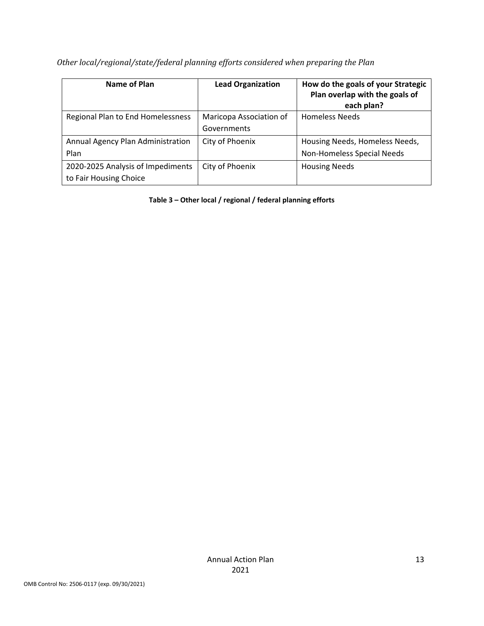| Name of Plan                      | <b>Lead Organization</b> | How do the goals of your Strategic<br>Plan overlap with the goals of<br>each plan? |
|-----------------------------------|--------------------------|------------------------------------------------------------------------------------|
| Regional Plan to End Homelessness | Maricopa Association of  | <b>Homeless Needs</b>                                                              |
|                                   | Governments              |                                                                                    |
| Annual Agency Plan Administration | City of Phoenix          | Housing Needs, Homeless Needs,                                                     |
| Plan                              |                          | Non-Homeless Special Needs                                                         |
| 2020-2025 Analysis of Impediments | City of Phoenix          | <b>Housing Needs</b>                                                               |
| to Fair Housing Choice            |                          |                                                                                    |

*Other local/regional/state/federal planning efforts considered when preparing the Plan*

**Table 3 – Other local / regional / federal planning efforts**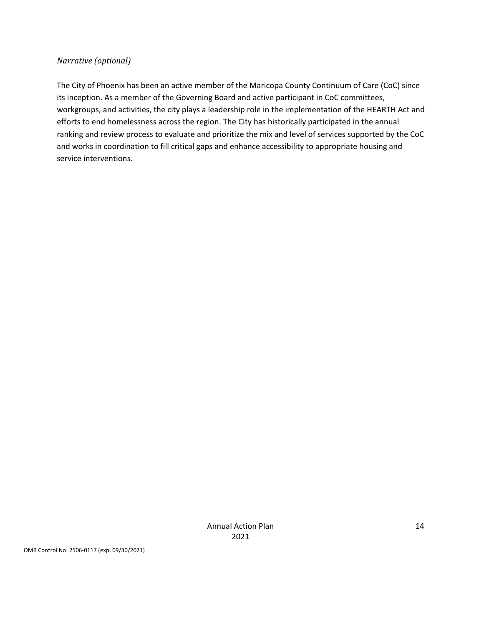#### *Narrative (optional)*

The City of Phoenix has been an active member of the Maricopa County Continuum of Care (CoC) since its inception. As a member of the Governing Board and active participant in CoC committees, workgroups, and activities, the city plays a leadership role in the implementation of the HEARTH Act and efforts to end homelessness across the region. The City has historically participated in the annual ranking and review process to evaluate and prioritize the mix and level of services supported by the CoC and works in coordination to fill critical gaps and enhance accessibility to appropriate housing and service interventions.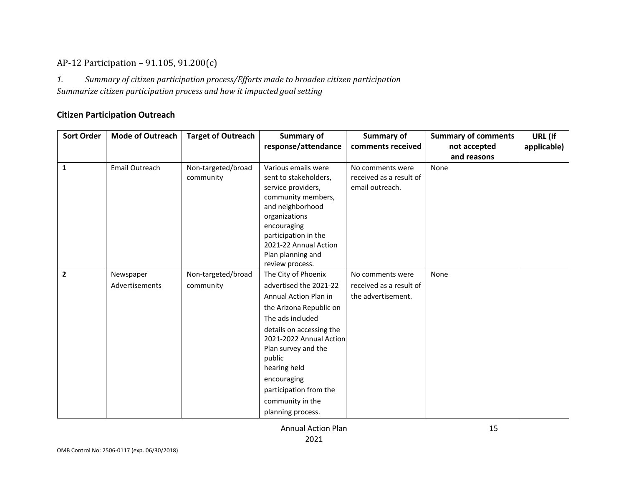## AP-12 Participation – 91.105, 91.200(c)

*1. Summary of citizen participation process/Efforts made to broaden citizen participation Summarize citizen participation process and how it impacted goal setting*

#### **Citizen Participation Outreach**

<span id="page-14-0"></span>

| <b>Sort Order</b> | <b>Mode of Outreach</b> | <b>Target of Outreach</b> | Summary of<br>response/attendance                   | <b>Summary of</b><br>comments received | <b>Summary of comments</b><br>not accepted | URL (If<br>applicable) |
|-------------------|-------------------------|---------------------------|-----------------------------------------------------|----------------------------------------|--------------------------------------------|------------------------|
|                   |                         |                           |                                                     |                                        | and reasons                                |                        |
| $\mathbf{1}$      | Email Outreach          | Non-targeted/broad        | Various emails were                                 | No comments were                       | None                                       |                        |
|                   |                         | community                 | sent to stakeholders,                               | received as a result of                |                                            |                        |
|                   |                         |                           | service providers,                                  | email outreach.                        |                                            |                        |
|                   |                         |                           | community members,                                  |                                        |                                            |                        |
|                   |                         |                           | and neighborhood                                    |                                        |                                            |                        |
|                   |                         |                           | organizations                                       |                                        |                                            |                        |
|                   |                         |                           | encouraging                                         |                                        |                                            |                        |
|                   |                         |                           | participation in the                                |                                        |                                            |                        |
|                   |                         |                           | 2021-22 Annual Action                               |                                        |                                            |                        |
|                   |                         |                           | Plan planning and<br>review process.                |                                        |                                            |                        |
| $\overline{2}$    | Newspaper               | Non-targeted/broad        | The City of Phoenix                                 | No comments were                       | None                                       |                        |
|                   |                         |                           |                                                     |                                        |                                            |                        |
|                   | Advertisements          | community                 | advertised the 2021-22                              | received as a result of                |                                            |                        |
|                   |                         |                           | Annual Action Plan in                               | the advertisement.                     |                                            |                        |
|                   |                         |                           | the Arizona Republic on                             |                                        |                                            |                        |
|                   |                         |                           | The ads included                                    |                                        |                                            |                        |
|                   |                         |                           | details on accessing the<br>2021-2022 Annual Action |                                        |                                            |                        |
|                   |                         |                           | Plan survey and the                                 |                                        |                                            |                        |
|                   |                         |                           | public                                              |                                        |                                            |                        |
|                   |                         |                           | hearing held                                        |                                        |                                            |                        |
|                   |                         |                           | encouraging                                         |                                        |                                            |                        |
|                   |                         |                           | participation from the                              |                                        |                                            |                        |
|                   |                         |                           | community in the                                    |                                        |                                            |                        |
|                   |                         |                           | planning process.                                   |                                        |                                            |                        |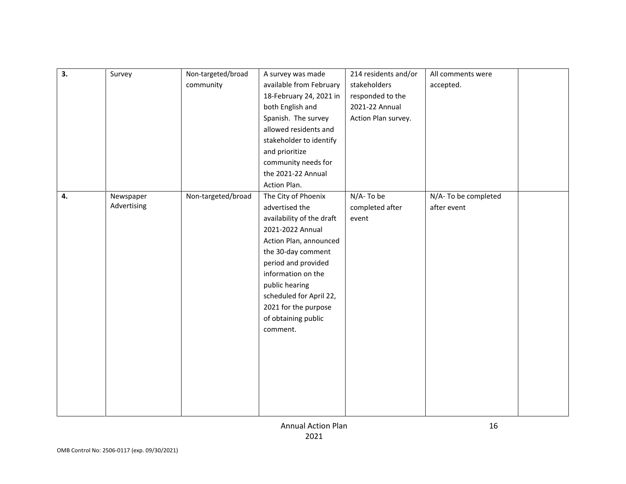| 3. | Survey      | Non-targeted/broad | A survey was made         | 214 residents and/or | All comments were   |  |
|----|-------------|--------------------|---------------------------|----------------------|---------------------|--|
|    |             | community          | available from February   | stakeholders         | accepted.           |  |
|    |             |                    | 18-February 24, 2021 in   | responded to the     |                     |  |
|    |             |                    | both English and          | 2021-22 Annual       |                     |  |
|    |             |                    | Spanish. The survey       | Action Plan survey.  |                     |  |
|    |             |                    | allowed residents and     |                      |                     |  |
|    |             |                    | stakeholder to identify   |                      |                     |  |
|    |             |                    | and prioritize            |                      |                     |  |
|    |             |                    | community needs for       |                      |                     |  |
|    |             |                    | the 2021-22 Annual        |                      |                     |  |
|    |             |                    | Action Plan.              |                      |                     |  |
| 4. | Newspaper   | Non-targeted/broad | The City of Phoenix       | N/A-To be            | N/A-To be completed |  |
|    | Advertising |                    | advertised the            | completed after      | after event         |  |
|    |             |                    | availability of the draft | event                |                     |  |
|    |             |                    | 2021-2022 Annual          |                      |                     |  |
|    |             |                    | Action Plan, announced    |                      |                     |  |
|    |             |                    | the 30-day comment        |                      |                     |  |
|    |             |                    | period and provided       |                      |                     |  |
|    |             |                    | information on the        |                      |                     |  |
|    |             |                    | public hearing            |                      |                     |  |
|    |             |                    | scheduled for April 22,   |                      |                     |  |
|    |             |                    | 2021 for the purpose      |                      |                     |  |
|    |             |                    | of obtaining public       |                      |                     |  |
|    |             |                    | comment.                  |                      |                     |  |
|    |             |                    |                           |                      |                     |  |
|    |             |                    |                           |                      |                     |  |
|    |             |                    |                           |                      |                     |  |
|    |             |                    |                           |                      |                     |  |
|    |             |                    |                           |                      |                     |  |
|    |             |                    |                           |                      |                     |  |
|    |             |                    |                           |                      |                     |  |
|    |             |                    |                           |                      |                     |  |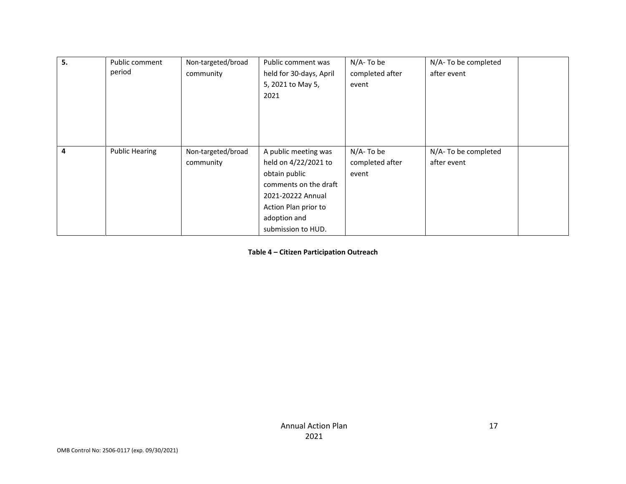| 5.             | Public comment        | Non-targeted/broad | Public comment was      | N/A-To be       | N/A-To be completed |
|----------------|-----------------------|--------------------|-------------------------|-----------------|---------------------|
|                | period                | community          | held for 30-days, April | completed after | after event         |
|                |                       |                    | 5, 2021 to May 5,       | event           |                     |
|                |                       |                    | 2021                    |                 |                     |
|                |                       |                    |                         |                 |                     |
|                |                       |                    |                         |                 |                     |
|                |                       |                    |                         |                 |                     |
|                |                       |                    |                         |                 |                     |
| $\overline{a}$ | <b>Public Hearing</b> | Non-targeted/broad | A public meeting was    | N/A-To be       | N/A-To be completed |
|                |                       | community          | held on 4/22/2021 to    | completed after | after event         |
|                |                       |                    | obtain public           | event           |                     |
|                |                       |                    | comments on the draft   |                 |                     |
|                |                       |                    | 2021-20222 Annual       |                 |                     |
|                |                       |                    | Action Plan prior to    |                 |                     |
|                |                       |                    | adoption and            |                 |                     |
|                |                       |                    | submission to HUD.      |                 |                     |

**Table 4 – Citizen Participation Outreach**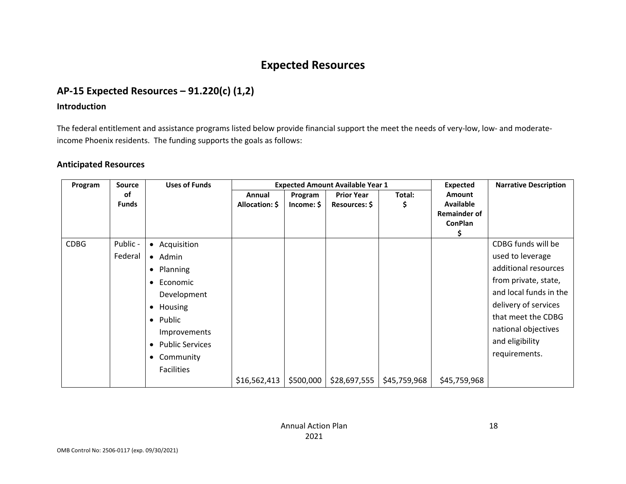## **Expected Resources**

## **AP-15 Expected Resources – 91.220(c) (1,2)**

#### **Introduction**

The federal entitlement and assistance programs listed below provide financial support the meet the needs of very-low, low- and moderateincome Phoenix residents. The funding supports the goals as follows:

#### **Anticipated Resources**

| Program     | <b>Source</b>      | <b>Uses of Funds</b>                |                          | <b>Expected Amount Available Year 1</b> |                                    |              |                                                                     | <b>Narrative Description</b> |
|-------------|--------------------|-------------------------------------|--------------------------|-----------------------------------------|------------------------------------|--------------|---------------------------------------------------------------------|------------------------------|
|             | оf<br><b>Funds</b> |                                     | Annual<br>Allocation: \$ | Program<br>Income: \$                   | <b>Prior Year</b><br>Resources: \$ | Total:<br>Ş  | <b>Amount</b><br>Available<br><b>Remainder of</b><br><b>ConPlan</b> |                              |
| <b>CDBG</b> | Public -           | Acquisition<br>$\bullet$            |                          |                                         |                                    |              |                                                                     | CDBG funds will be           |
|             | Federal            | • Admin                             |                          |                                         |                                    |              |                                                                     | used to leverage             |
|             |                    | Planning<br>$\bullet$               |                          |                                         |                                    |              |                                                                     | additional resources         |
|             |                    | Economic<br>$\bullet$               |                          |                                         |                                    |              |                                                                     | from private, state,         |
|             |                    | Development                         |                          |                                         |                                    |              |                                                                     | and local funds in the       |
|             |                    | Housing<br>$\bullet$                |                          |                                         |                                    |              |                                                                     | delivery of services         |
|             |                    | Public<br>$\bullet$                 |                          |                                         |                                    |              |                                                                     | that meet the CDBG           |
|             |                    | Improvements                        |                          |                                         |                                    |              |                                                                     | national objectives          |
|             |                    | <b>Public Services</b><br>$\bullet$ |                          |                                         |                                    |              |                                                                     | and eligibility              |
|             |                    | Community<br>$\bullet$              |                          |                                         |                                    |              |                                                                     | requirements.                |
|             |                    | <b>Facilities</b>                   |                          |                                         |                                    |              |                                                                     |                              |
|             |                    |                                     | \$16,562,413             | \$500,000                               | \$28,697,555                       | \$45,759,968 | \$45,759,968                                                        |                              |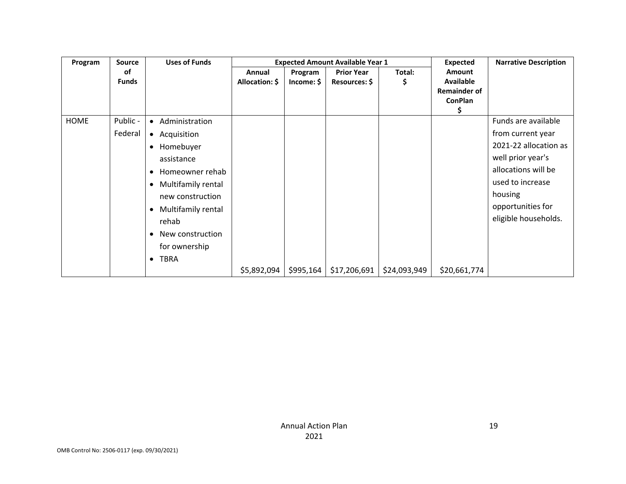| Program     | <b>Source</b> | <b>Uses of Funds</b>            | <b>Expected Amount Available Year 1</b> |            |                   |              | <b>Expected</b>      | <b>Narrative Description</b> |
|-------------|---------------|---------------------------------|-----------------------------------------|------------|-------------------|--------------|----------------------|------------------------------|
|             | оf            |                                 | Annual                                  | Program    | <b>Prior Year</b> | Total:       | Amount               |                              |
|             | <b>Funds</b>  |                                 | Allocation: \$                          | Income: \$ | Resources: \$     | \$           | <b>Available</b>     |                              |
|             |               |                                 |                                         |            |                   |              | <b>Remainder of</b>  |                              |
|             |               |                                 |                                         |            |                   |              | <b>ConPlan</b><br>\$ |                              |
| <b>HOME</b> | Public -      | Administration<br>$\bullet$     |                                         |            |                   |              |                      | Funds are available          |
|             | Federal       | Acquisition<br>$\bullet$        |                                         |            |                   |              |                      | from current year            |
|             |               | Homebuyer<br>$\bullet$          |                                         |            |                   |              |                      | 2021-22 allocation as        |
|             |               | assistance                      |                                         |            |                   |              |                      | well prior year's            |
|             |               | Homeowner rehab<br>$\bullet$    |                                         |            |                   |              |                      | allocations will be          |
|             |               | Multifamily rental<br>$\bullet$ |                                         |            |                   |              |                      | used to increase             |
|             |               | new construction                |                                         |            |                   |              |                      | housing                      |
|             |               | Multifamily rental<br>$\bullet$ |                                         |            |                   |              |                      | opportunities for            |
|             |               | rehab                           |                                         |            |                   |              |                      | eligible households.         |
|             |               | New construction<br>$\bullet$   |                                         |            |                   |              |                      |                              |
|             |               | for ownership                   |                                         |            |                   |              |                      |                              |
|             |               | <b>TBRA</b><br>$\bullet$        |                                         |            |                   |              |                      |                              |
|             |               |                                 | \$5,892,094                             | \$995,164  | \$17,206,691      | \$24,093,949 | \$20,661,774         |                              |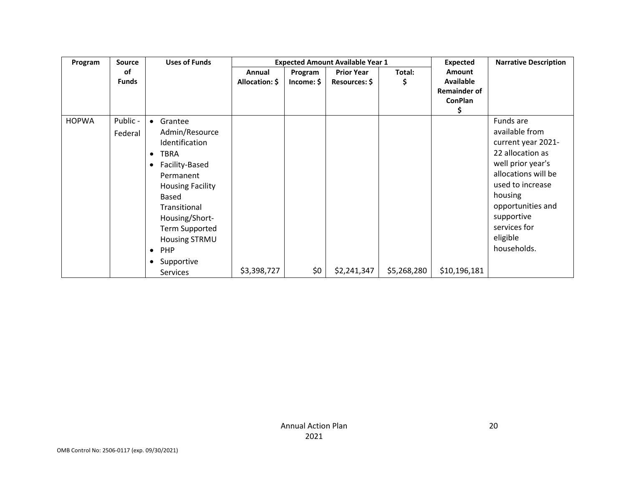| Program      | <b>Source</b> | <b>Uses of Funds</b>        |                |            | <b>Expected Amount Available Year 1</b> |             | <b>Expected</b>     | <b>Narrative Description</b> |
|--------------|---------------|-----------------------------|----------------|------------|-----------------------------------------|-------------|---------------------|------------------------------|
|              | οf            |                             | Annual         | Program    | <b>Prior Year</b>                       | Total:      | Amount              |                              |
|              | <b>Funds</b>  |                             | Allocation: \$ | Income: \$ | Resources: \$                           | \$          | <b>Available</b>    |                              |
|              |               |                             |                |            |                                         |             | <b>Remainder of</b> |                              |
|              |               |                             |                |            |                                         |             | <b>ConPlan</b>      |                              |
|              |               |                             |                |            |                                         |             | \$                  |                              |
| <b>HOPWA</b> | Public -      | Grantee<br>$\bullet$        |                |            |                                         |             |                     | Funds are                    |
|              | Federal       | Admin/Resource              |                |            |                                         |             |                     | available from               |
|              |               | Identification              |                |            |                                         |             |                     | current year 2021-           |
|              |               | <b>TBRA</b><br>$\bullet$    |                |            |                                         |             |                     | 22 allocation as             |
|              |               | Facility-Based<br>$\bullet$ |                |            |                                         |             |                     | well prior year's            |
|              |               | Permanent                   |                |            |                                         |             |                     | allocations will be          |
|              |               | <b>Housing Facility</b>     |                |            |                                         |             |                     | used to increase             |
|              |               | Based                       |                |            |                                         |             |                     | housing                      |
|              |               | Transitional                |                |            |                                         |             |                     | opportunities and            |
|              |               | Housing/Short-              |                |            |                                         |             |                     | supportive                   |
|              |               | <b>Term Supported</b>       |                |            |                                         |             |                     | services for                 |
|              |               | Housing STRMU               |                |            |                                         |             |                     | eligible                     |
|              |               | $\bullet$                   |                |            |                                         |             |                     | households.                  |
|              |               | <b>PHP</b>                  |                |            |                                         |             |                     |                              |
|              |               | Supportive<br>$\bullet$     |                |            |                                         |             |                     |                              |
|              |               | <b>Services</b>             | \$3,398,727    | \$0        | \$2,241,347                             | \$5,268,280 | \$10,196,181        |                              |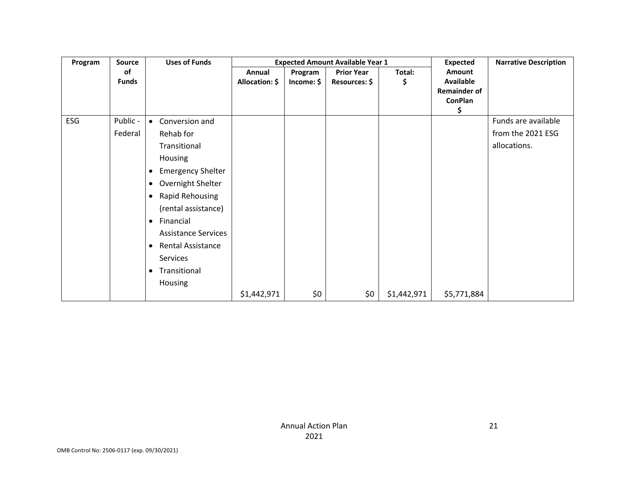| Program | <b>Source</b> | <b>Uses of Funds</b>                |                |            | <b>Expected Amount Available Year 1</b> |             | <b>Expected</b>     | <b>Narrative Description</b> |
|---------|---------------|-------------------------------------|----------------|------------|-----------------------------------------|-------------|---------------------|------------------------------|
|         | <b>of</b>     |                                     | Annual         | Program    | <b>Prior Year</b>                       | Total:      | Amount              |                              |
|         | <b>Funds</b>  |                                     | Allocation: \$ | Income: \$ | Resources: \$                           | \$          | <b>Available</b>    |                              |
|         |               |                                     |                |            |                                         |             | <b>Remainder of</b> |                              |
|         |               |                                     |                |            |                                         |             | ConPlan<br>\$       |                              |
| ESG     | Public -      | Conversion and<br>$\bullet$         |                |            |                                         |             |                     | Funds are available          |
|         | Federal       | Rehab for                           |                |            |                                         |             |                     | from the 2021 ESG            |
|         |               | Transitional                        |                |            |                                         |             |                     | allocations.                 |
|         |               | Housing                             |                |            |                                         |             |                     |                              |
|         |               | <b>Emergency Shelter</b><br>٠       |                |            |                                         |             |                     |                              |
|         |               | Overnight Shelter<br>$\bullet$      |                |            |                                         |             |                     |                              |
|         |               | <b>Rapid Rehousing</b><br>$\bullet$ |                |            |                                         |             |                     |                              |
|         |               | (rental assistance)                 |                |            |                                         |             |                     |                              |
|         |               | Financial<br>$\bullet$              |                |            |                                         |             |                     |                              |
|         |               | <b>Assistance Services</b>          |                |            |                                         |             |                     |                              |
|         |               | Rental Assistance<br>٠              |                |            |                                         |             |                     |                              |
|         |               | Services                            |                |            |                                         |             |                     |                              |
|         |               | Transitional<br>$\bullet$           |                |            |                                         |             |                     |                              |
|         |               | Housing                             |                |            |                                         |             |                     |                              |
|         |               |                                     | \$1,442,971    | \$0        | \$0                                     | \$1,442,971 | \$5,771,884         |                              |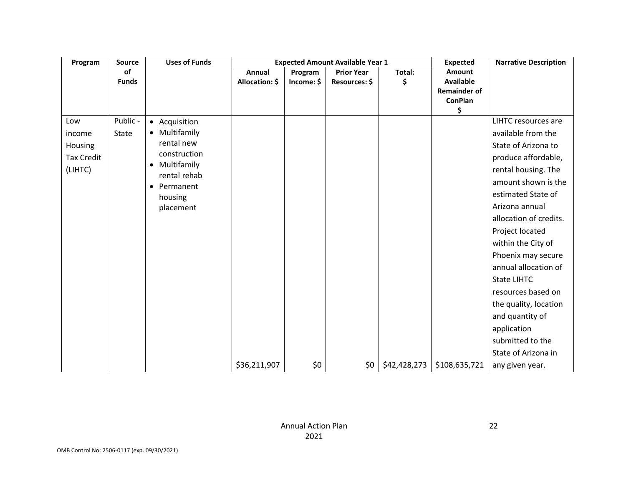| Program           | <b>Source</b> | <b>Uses of Funds</b>                     | <b>Expected Amount Available Year 1</b> |            |                   |              | <b>Expected</b>                         | <b>Narrative Description</b> |
|-------------------|---------------|------------------------------------------|-----------------------------------------|------------|-------------------|--------------|-----------------------------------------|------------------------------|
|                   | of            |                                          | Annual                                  | Program    | <b>Prior Year</b> | Total:       | Amount                                  |                              |
|                   | <b>Funds</b>  |                                          | Allocation: \$                          | Income: \$ | Resources: \$     | \$           | <b>Available</b><br><b>Remainder of</b> |                              |
|                   |               |                                          |                                         |            |                   |              | <b>ConPlan</b>                          |                              |
|                   |               |                                          |                                         |            |                   |              | \$                                      |                              |
| Low               | Public -      | • Acquisition                            |                                         |            |                   |              |                                         | <b>LIHTC resources are</b>   |
| income            | State         | • Multifamily                            |                                         |            |                   |              |                                         | available from the           |
| Housing           |               | rental new                               |                                         |            |                   |              |                                         | State of Arizona to          |
| <b>Tax Credit</b> |               | construction                             |                                         |            |                   |              |                                         | produce affordable,          |
| (LIHTC)           |               | Multifamily<br>$\bullet$<br>rental rehab |                                         |            |                   |              |                                         | rental housing. The          |
|                   |               | Permanent<br>$\bullet$                   |                                         |            |                   |              |                                         | amount shown is the          |
|                   |               | housing                                  |                                         |            |                   |              |                                         | estimated State of           |
|                   |               | placement                                |                                         |            |                   |              |                                         | Arizona annual               |
|                   |               |                                          |                                         |            |                   |              |                                         | allocation of credits.       |
|                   |               |                                          |                                         |            |                   |              |                                         | Project located              |
|                   |               |                                          |                                         |            |                   |              |                                         | within the City of           |
|                   |               |                                          |                                         |            |                   |              |                                         | Phoenix may secure           |
|                   |               |                                          |                                         |            |                   |              |                                         | annual allocation of         |
|                   |               |                                          |                                         |            |                   |              |                                         | <b>State LIHTC</b>           |
|                   |               |                                          |                                         |            |                   |              |                                         | resources based on           |
|                   |               |                                          |                                         |            |                   |              |                                         | the quality, location        |
|                   |               |                                          |                                         |            |                   |              |                                         | and quantity of              |
|                   |               |                                          |                                         |            |                   |              |                                         | application                  |
|                   |               |                                          |                                         |            |                   |              |                                         | submitted to the             |
|                   |               |                                          |                                         |            |                   |              |                                         | State of Arizona in          |
|                   |               |                                          | \$36,211,907                            | \$0        | \$0               | \$42,428,273 | \$108,635,721                           | any given year.              |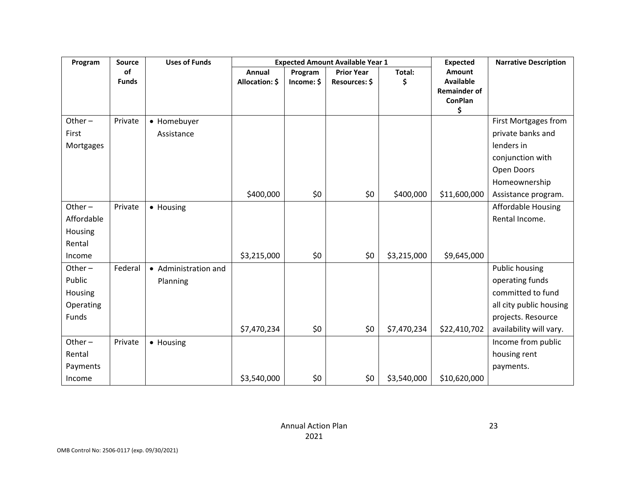| Program    | Source       | <b>Uses of Funds</b> |                |            | <b>Expected Amount Available Year 1</b> |             | <b>Expected</b>                       | <b>Narrative Description</b> |
|------------|--------------|----------------------|----------------|------------|-----------------------------------------|-------------|---------------------------------------|------------------------------|
|            | of           |                      | Annual         | Program    | <b>Prior Year</b>                       | Total:      | Amount                                |                              |
|            | <b>Funds</b> |                      | Allocation: \$ | Income: \$ | Resources: \$                           | \$          | <b>Available</b>                      |                              |
|            |              |                      |                |            |                                         |             | <b>Remainder of</b><br><b>ConPlan</b> |                              |
|            |              |                      |                |            |                                         |             | \$                                    |                              |
| Other $-$  | Private      | • Homebuyer          |                |            |                                         |             |                                       | First Mortgages from         |
| First      |              | Assistance           |                |            |                                         |             |                                       | private banks and            |
| Mortgages  |              |                      |                |            |                                         |             |                                       | lenders in                   |
|            |              |                      |                |            |                                         |             |                                       | conjunction with             |
|            |              |                      |                |            |                                         |             |                                       | Open Doors                   |
|            |              |                      |                |            |                                         |             |                                       | Homeownership                |
|            |              |                      | \$400,000      | \$0        | \$0                                     | \$400,000   | \$11,600,000                          | Assistance program.          |
| Other-     | Private      | • Housing            |                |            |                                         |             |                                       | <b>Affordable Housing</b>    |
| Affordable |              |                      |                |            |                                         |             |                                       | Rental Income.               |
| Housing    |              |                      |                |            |                                         |             |                                       |                              |
| Rental     |              |                      |                |            |                                         |             |                                       |                              |
| Income     |              |                      | \$3,215,000    | \$0        | \$0                                     | \$3,215,000 | \$9,645,000                           |                              |
| Other $-$  | Federal      | • Administration and |                |            |                                         |             |                                       | <b>Public housing</b>        |
| Public     |              | Planning             |                |            |                                         |             |                                       | operating funds              |
| Housing    |              |                      |                |            |                                         |             |                                       | committed to fund            |
| Operating  |              |                      |                |            |                                         |             |                                       | all city public housing      |
| Funds      |              |                      |                |            |                                         |             |                                       | projects. Resource           |
|            |              |                      | \$7,470,234    | \$0        | \$0                                     | \$7,470,234 | \$22,410,702                          | availability will vary.      |
| Other $-$  | Private      | • Housing            |                |            |                                         |             |                                       | Income from public           |
| Rental     |              |                      |                |            |                                         |             |                                       | housing rent                 |
| Payments   |              |                      |                |            |                                         |             |                                       | payments.                    |
| Income     |              |                      | \$3,540,000    | \$0        | \$0                                     | \$3,540,000 | \$10,620,000                          |                              |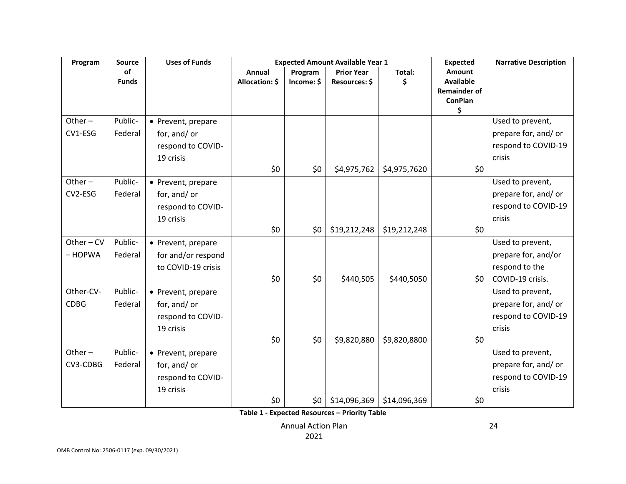| Program     | <b>Source</b> | <b>Uses of Funds</b> |                |            | <b>Expected Amount Available Year 1</b> |              | <b>Expected</b>                         | <b>Narrative Description</b> |
|-------------|---------------|----------------------|----------------|------------|-----------------------------------------|--------------|-----------------------------------------|------------------------------|
|             | of            |                      | <b>Annual</b>  | Program    | <b>Prior Year</b>                       | Total:       | Amount                                  |                              |
|             | <b>Funds</b>  |                      | Allocation: \$ | Income: \$ | Resources: \$                           | \$           | <b>Available</b><br><b>Remainder of</b> |                              |
|             |               |                      |                |            |                                         |              | <b>ConPlan</b>                          |                              |
| Other $-$   | Public-       | • Prevent, prepare   |                |            |                                         |              | \$                                      | Used to prevent,             |
| CV1-ESG     | Federal       | for, and/ or         |                |            |                                         |              |                                         | prepare for, and/or          |
|             |               | respond to COVID-    |                |            |                                         |              |                                         | respond to COVID-19          |
|             |               | 19 crisis            |                |            |                                         |              |                                         | crisis                       |
|             |               |                      | \$0            | \$0        | \$4,975,762                             | \$4,975,7620 | \$0\$                                   |                              |
| Other $-$   | Public-       | • Prevent, prepare   |                |            |                                         |              |                                         | Used to prevent,             |
| CV2-ESG     | Federal       | for, and/ or         |                |            |                                         |              |                                         | prepare for, and/or          |
|             |               | respond to COVID-    |                |            |                                         |              |                                         | respond to COVID-19          |
|             |               | 19 crisis            |                |            |                                         |              |                                         | crisis                       |
|             |               |                      | \$0            | \$0        | \$19,212,248                            | \$19,212,248 | \$0\$                                   |                              |
| Other $-CV$ | Public-       | • Prevent, prepare   |                |            |                                         |              |                                         | Used to prevent,             |
| $-$ HOPWA   | Federal       | for and/or respond   |                |            |                                         |              |                                         | prepare for, and/or          |
|             |               | to COVID-19 crisis   |                |            |                                         |              |                                         | respond to the               |
|             |               |                      | \$0            | \$0        | \$440,505                               | \$440,5050   | \$0                                     | COVID-19 crisis.             |
| Other-CV-   | Public-       | • Prevent, prepare   |                |            |                                         |              |                                         | Used to prevent,             |
| <b>CDBG</b> | Federal       | for, and/ or         |                |            |                                         |              |                                         | prepare for, and/or          |
|             |               | respond to COVID-    |                |            |                                         |              |                                         | respond to COVID-19          |
|             |               | 19 crisis            |                |            |                                         |              |                                         | crisis                       |
|             |               |                      | \$0            | \$0        | \$9,820,880                             | \$9,820,8800 | \$0\$                                   |                              |
| Other $-$   | Public-       | • Prevent, prepare   |                |            |                                         |              |                                         | Used to prevent,             |
| CV3-CDBG    | Federal       | for, and/ or         |                |            |                                         |              |                                         | prepare for, and/or          |
|             |               | respond to COVID-    |                |            |                                         |              |                                         | respond to COVID-19          |
|             |               | 19 crisis            |                |            |                                         |              |                                         | crisis                       |
|             |               |                      | \$0            | \$0        | \$14,096,369                            | \$14,096,369 | \$0                                     |                              |

**Table 1 - Expected Resources – Priority Table**

Annual Action Plan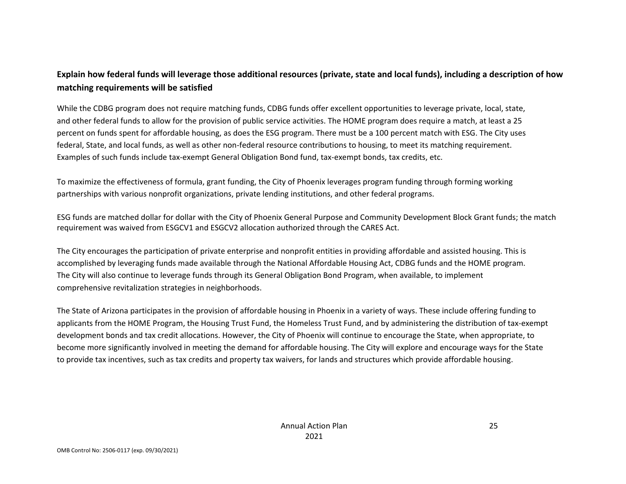### **Explain how federal funds will leverage those additional resources (private, state and local funds), including a description of how matching requirements will be satisfied**

While the CDBG program does not require matching funds, CDBG funds offer excellent opportunities to leverage private, local, state, and other federal funds to allow for the provision of public service activities. The HOME program does require a match, at least a 25 percent on funds spent for affordable housing, as does the ESG program. There must be a 100 percent match with ESG. The City uses federal, State, and local funds, as well as other non-federal resource contributions to housing, to meet its matching requirement. Examples of such funds include tax-exempt General Obligation Bond fund, tax-exempt bonds, tax credits, etc.

To maximize the effectiveness of formula, grant funding, the City of Phoenix leverages program funding through forming working partnerships with various nonprofit organizations, private lending institutions, and other federal programs.

ESG funds are matched dollar for dollar with the City of Phoenix General Purpose and Community Development Block Grant funds; the match requirement was waived from ESGCV1 and ESGCV2 allocation authorized through the CARES Act.

The City encourages the participation of private enterprise and nonprofit entities in providing affordable and assisted housing. This is accomplished by leveraging funds made available through the National Affordable Housing Act, CDBG funds and the HOME program. The City will also continue to leverage funds through its General Obligation Bond Program, when available, to implement comprehensive revitalization strategies in neighborhoods.

The State of Arizona participates in the provision of affordable housing in Phoenix in a variety of ways. These include offering funding to applicants from the HOME Program, the Housing Trust Fund, the Homeless Trust Fund, and by administering the distribution of tax-exempt development bonds and tax credit allocations. However, the City of Phoenix will continue to encourage the State, when appropriate, to become more significantly involved in meeting the demand for affordable housing. The City will explore and encourage ways for the State to provide tax incentives, such as tax credits and property tax waivers, for lands and structures which provide affordable housing.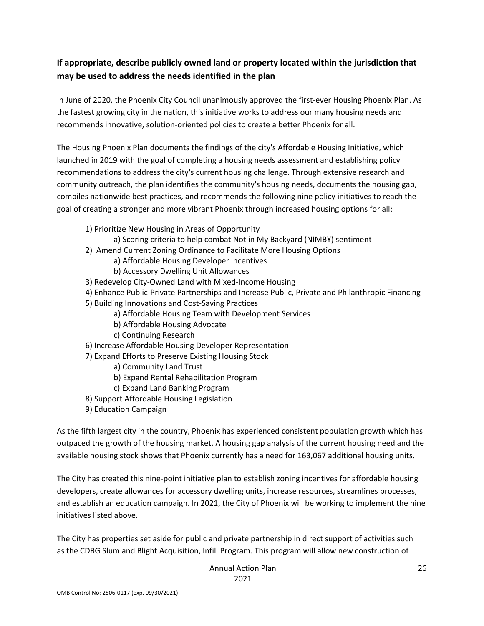## **If appropriate, describe publicly owned land or property located within the jurisdiction that may be used to address the needs identified in the plan**

In June of 2020, the Phoenix City Council unanimously approved the first-ever Housing Phoenix Plan. As the fastest growing city in the nation, this initiative works to address our many housing needs and recommends innovative, solution-oriented policies to create a better Phoenix for all.

The Housing Phoenix Plan documents the findings of the city's Affordable Housing Initiative, which launched in 2019 with the goal of completing a housing needs assessment and establishing policy recommendations to address the city's current housing challenge. Through extensive research and community outreach, the plan identifies the community's housing needs, documents the housing gap, compiles nationwide best practices, and recommends the following nine policy initiatives to reach the goal of creating a stronger and more vibrant Phoenix through increased housing options for all:

- 1) Prioritize New Housing in Areas of Opportunity
	- a) Scoring criteria to help combat Not in My Backyard (NIMBY) sentiment
- 2) Amend Current Zoning Ordinance to Facilitate More Housing Options
	- a) Affordable Housing Developer Incentives
	- b) Accessory Dwelling Unit Allowances
- 3) Redevelop City-Owned Land with Mixed-Income Housing
- 4) Enhance Public-Private Partnerships and Increase Public, Private and Philanthropic Financing
- 5) Building Innovations and Cost-Saving Practices
	- a) Affordable Housing Team with Development Services
	- b) Affordable Housing Advocate
	- c) Continuing Research
- 6) Increase Affordable Housing Developer Representation
- 7) Expand Efforts to Preserve Existing Housing Stock
	- a) Community Land Trust
	- b) Expand Rental Rehabilitation Program
	- c) Expand Land Banking Program
- 8) Support Affordable Housing Legislation
- 9) Education Campaign

As the fifth largest city in the country, Phoenix has experienced consistent population growth which has outpaced the growth of the housing market. A housing gap analysis of the current housing need and the available housing stock shows that Phoenix currently has a need for 163,067 additional housing units.

The City has created this nine-point initiative plan to establish zoning incentives for affordable housing developers, create allowances for accessory dwelling units, increase resources, streamlines processes, and establish an education campaign. In 2021, the City of Phoenix will be working to implement the nine initiatives listed above.

The City has properties set aside for public and private partnership in direct support of activities such as the CDBG Slum and Blight Acquisition, Infill Program. This program will allow new construction of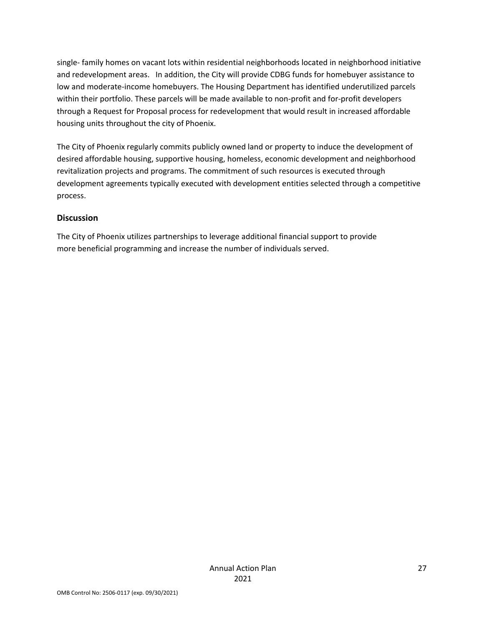single- family homes on vacant lots within residential neighborhoods located in neighborhood initiative and redevelopment areas. In addition, the City will provide CDBG funds for homebuyer assistance to low and moderate-income homebuyers. The Housing Department has identified underutilized parcels within their portfolio. These parcels will be made available to non-profit and for-profit developers through a Request for Proposal process for redevelopment that would result in increased affordable housing units throughout the city of Phoenix.

The City of Phoenix regularly commits publicly owned land or property to induce the development of desired affordable housing, supportive housing, homeless, economic development and neighborhood revitalization projects and programs. The commitment of such resources is executed through development agreements typically executed with development entities selected through a competitive process.

#### **Discussion**

The City of Phoenix utilizes partnerships to leverage additional financial support to provide more beneficial programming and increase the number of individuals served.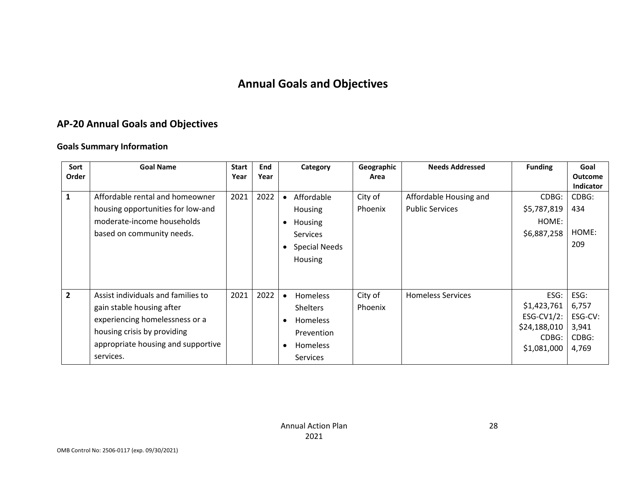## **Annual Goals and Objectives**

## **AP-20 Annual Goals and Objectives**

#### **Goals Summary Information**

| Sort         | <b>Goal Name</b>                                                                                                                                                                    | <b>Start</b> | End  | Category                                                                                                                                         | Geographic         | <b>Needs Addressed</b>                           | <b>Funding</b>                                                            | Goal                                                |
|--------------|-------------------------------------------------------------------------------------------------------------------------------------------------------------------------------------|--------------|------|--------------------------------------------------------------------------------------------------------------------------------------------------|--------------------|--------------------------------------------------|---------------------------------------------------------------------------|-----------------------------------------------------|
| Order        |                                                                                                                                                                                     | Year         | Year |                                                                                                                                                  | Area               |                                                  |                                                                           | <b>Outcome</b><br><b>Indicator</b>                  |
| 1            | Affordable rental and homeowner<br>housing opportunities for low-and<br>moderate-income households<br>based on community needs.                                                     | 2021         | 2022 | Affordable<br>Housing<br>Housing<br>$\bullet$<br><b>Services</b>                                                                                 | City of<br>Phoenix | Affordable Housing and<br><b>Public Services</b> | CDBG:<br>\$5,787,819<br>HOME:<br>\$6,887,258                              | CDBG:<br>434<br>HOME:                               |
|              |                                                                                                                                                                                     |              |      | Special Needs<br>$\bullet$<br>Housing                                                                                                            |                    |                                                  |                                                                           | 209                                                 |
| $\mathbf{2}$ | Assist individuals and families to<br>gain stable housing after<br>experiencing homelessness or a<br>housing crisis by providing<br>appropriate housing and supportive<br>services. | 2021         | 2022 | <b>Homeless</b><br>$\bullet$<br><b>Shelters</b><br><b>Homeless</b><br>$\bullet$<br>Prevention<br><b>Homeless</b><br>$\bullet$<br><b>Services</b> | City of<br>Phoenix | <b>Homeless Services</b>                         | ESG:<br>\$1,423,761<br>ESG-CV1/2:<br>\$24,188,010<br>CDBG:<br>\$1,081,000 | ESG:<br>6,757<br>ESG-CV:<br>3,941<br>CDBG:<br>4,769 |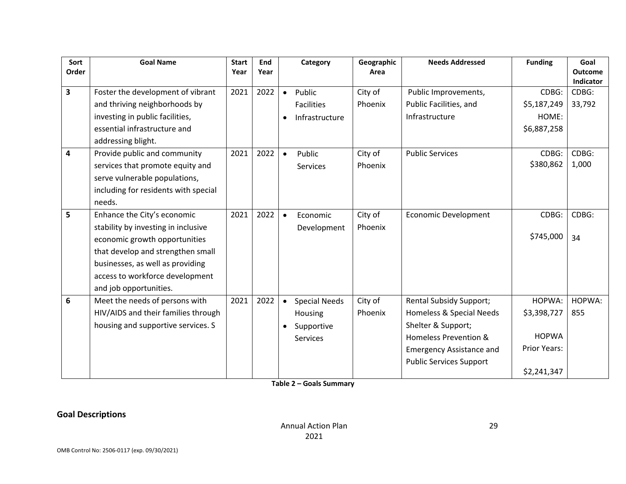| Sort<br>Order           | <b>Goal Name</b>                                                                                                                                                                                                                          | <b>Start</b><br>Year | End<br>Year |           | Category                                                         | Geographic<br>Area | <b>Needs Addressed</b>                                                                                                                                                         | <b>Funding</b>                                                       | Goal<br><b>Outcome</b>       |
|-------------------------|-------------------------------------------------------------------------------------------------------------------------------------------------------------------------------------------------------------------------------------------|----------------------|-------------|-----------|------------------------------------------------------------------|--------------------|--------------------------------------------------------------------------------------------------------------------------------------------------------------------------------|----------------------------------------------------------------------|------------------------------|
| $\overline{\mathbf{3}}$ | Foster the development of vibrant<br>and thriving neighborhoods by                                                                                                                                                                        | 2021                 | 2022        | $\bullet$ | Public<br><b>Facilities</b>                                      | City of<br>Phoenix | Public Improvements,<br>Public Facilities, and                                                                                                                                 | CDBG:<br>\$5,187,249                                                 | Indicator<br>CDBG:<br>33,792 |
|                         | investing in public facilities,<br>essential infrastructure and<br>addressing blight.                                                                                                                                                     |                      |             |           | Infrastructure                                                   |                    | Infrastructure                                                                                                                                                                 | HOME:<br>\$6,887,258                                                 |                              |
| $\overline{\mathbf{4}}$ | Provide public and community<br>services that promote equity and<br>serve vulnerable populations,<br>including for residents with special<br>needs.                                                                                       | 2021                 | 2022        | $\bullet$ | Public<br><b>Services</b>                                        | City of<br>Phoenix | <b>Public Services</b>                                                                                                                                                         | CDBG:<br>\$380,862                                                   | CDBG:<br>1,000               |
| 5                       | Enhance the City's economic<br>stability by investing in inclusive<br>economic growth opportunities<br>that develop and strengthen small<br>businesses, as well as providing<br>access to workforce development<br>and job opportunities. | 2021                 | 2022        | $\bullet$ | Economic<br>Development                                          | City of<br>Phoenix | <b>Economic Development</b>                                                                                                                                                    | CDBG:<br>\$745,000                                                   | CDBG:<br>34                  |
| 6                       | Meet the needs of persons with<br>HIV/AIDS and their families through<br>housing and supportive services. S                                                                                                                               | 2021                 | 2022        |           | <b>Special Needs</b><br>Housing<br>Supportive<br><b>Services</b> | City of<br>Phoenix | <b>Rental Subsidy Support;</b><br>Homeless & Special Needs<br>Shelter & Support;<br>Homeless Prevention &<br><b>Emergency Assistance and</b><br><b>Public Services Support</b> | HOPWA:<br>\$3,398,727<br><b>HOPWA</b><br>Prior Years:<br>\$2,241,347 | HOPWA:<br>855                |

**Table 2 – Goals Summary**

## **Goal Descriptions**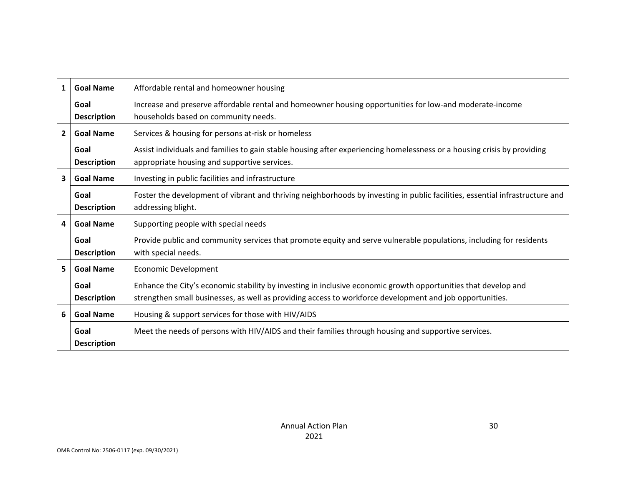| 1            | <b>Goal Name</b>           | Affordable rental and homeowner housing                                                                                                                                                                                    |
|--------------|----------------------------|----------------------------------------------------------------------------------------------------------------------------------------------------------------------------------------------------------------------------|
|              | Goal<br><b>Description</b> | Increase and preserve affordable rental and homeowner housing opportunities for low-and moderate-income<br>households based on community needs.                                                                            |
| $\mathbf{2}$ | <b>Goal Name</b>           | Services & housing for persons at-risk or homeless                                                                                                                                                                         |
|              | Goal<br><b>Description</b> | Assist individuals and families to gain stable housing after experiencing homelessness or a housing crisis by providing<br>appropriate housing and supportive services.                                                    |
| 3            | <b>Goal Name</b>           | Investing in public facilities and infrastructure                                                                                                                                                                          |
|              | Goal<br><b>Description</b> | Foster the development of vibrant and thriving neighborhoods by investing in public facilities, essential infrastructure and<br>addressing blight.                                                                         |
| 4            | <b>Goal Name</b>           | Supporting people with special needs                                                                                                                                                                                       |
|              | Goal<br><b>Description</b> | Provide public and community services that promote equity and serve vulnerable populations, including for residents<br>with special needs.                                                                                 |
| 5            | <b>Goal Name</b>           | Economic Development                                                                                                                                                                                                       |
|              | Goal<br><b>Description</b> | Enhance the City's economic stability by investing in inclusive economic growth opportunities that develop and<br>strengthen small businesses, as well as providing access to workforce development and job opportunities. |
| 6            | <b>Goal Name</b>           | Housing & support services for those with HIV/AIDS                                                                                                                                                                         |
|              | Goal<br><b>Description</b> | Meet the needs of persons with HIV/AIDS and their families through housing and supportive services.                                                                                                                        |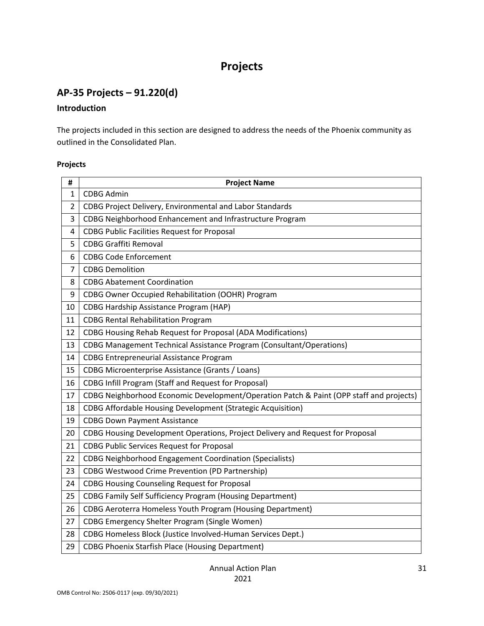## **Projects**

## **AP-35 Projects – 91.220(d)**

#### **Introduction**

The projects included in this section are designed to address the needs of the Phoenix community as outlined in the Consolidated Plan.

#### **Projects**

| #              | <b>Project Name</b>                                                                     |
|----------------|-----------------------------------------------------------------------------------------|
| 1              | <b>CDBG Admin</b>                                                                       |
| $\overline{2}$ | CDBG Project Delivery, Environmental and Labor Standards                                |
| 3              | CDBG Neighborhood Enhancement and Infrastructure Program                                |
| 4              | <b>CDBG Public Facilities Request for Proposal</b>                                      |
| 5              | <b>CDBG Graffiti Removal</b>                                                            |
| 6              | <b>CDBG Code Enforcement</b>                                                            |
| 7              | <b>CDBG Demolition</b>                                                                  |
| 8              | <b>CDBG Abatement Coordination</b>                                                      |
| 9              | CDBG Owner Occupied Rehabilitation (OOHR) Program                                       |
| 10             | <b>CDBG Hardship Assistance Program (HAP)</b>                                           |
| 11             | <b>CDBG Rental Rehabilitation Program</b>                                               |
| 12             | <b>CDBG Housing Rehab Request for Proposal (ADA Modifications)</b>                      |
| 13             | <b>CDBG Management Technical Assistance Program (Consultant/Operations)</b>             |
| 14             | <b>CDBG Entrepreneurial Assistance Program</b>                                          |
| 15             | CDBG Microenterprise Assistance (Grants / Loans)                                        |
| 16             | <b>CDBG Infill Program (Staff and Request for Proposal)</b>                             |
| 17             | CDBG Neighborhood Economic Development/Operation Patch & Paint (OPP staff and projects) |
| 18             | <b>CDBG Affordable Housing Development (Strategic Acquisition)</b>                      |
| 19             | <b>CDBG Down Payment Assistance</b>                                                     |
| 20             | CDBG Housing Development Operations, Project Delivery and Request for Proposal          |
| 21             | <b>CDBG Public Services Request for Proposal</b>                                        |
| 22             | <b>CDBG Neighborhood Engagement Coordination (Specialists)</b>                          |
| 23             | <b>CDBG Westwood Crime Prevention (PD Partnership)</b>                                  |
| 24             | <b>CDBG Housing Counseling Request for Proposal</b>                                     |
| 25             | <b>CDBG Family Self Sufficiency Program (Housing Department)</b>                        |
| 26             | <b>CDBG Aeroterra Homeless Youth Program (Housing Department)</b>                       |
| 27             | <b>CDBG Emergency Shelter Program (Single Women)</b>                                    |
| 28             | CDBG Homeless Block (Justice Involved-Human Services Dept.)                             |
| 29             | <b>CDBG Phoenix Starfish Place (Housing Department)</b>                                 |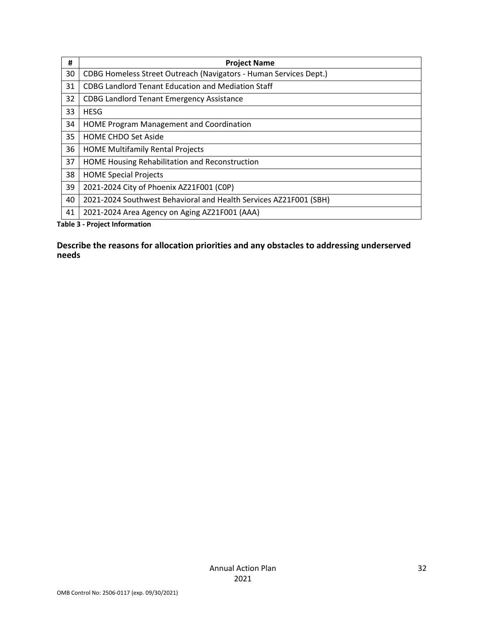| #  | <b>Project Name</b>                                               |
|----|-------------------------------------------------------------------|
| 30 | CDBG Homeless Street Outreach (Navigators - Human Services Dept.) |
| 31 | <b>CDBG Landlord Tenant Education and Mediation Staff</b>         |
| 32 | <b>CDBG Landlord Tenant Emergency Assistance</b>                  |
| 33 | <b>HESG</b>                                                       |
| 34 | <b>HOME Program Management and Coordination</b>                   |
| 35 | <b>HOME CHDO Set Aside</b>                                        |
| 36 | <b>HOME Multifamily Rental Projects</b>                           |
| 37 | HOME Housing Rehabilitation and Reconstruction                    |
| 38 | <b>HOME Special Projects</b>                                      |
| 39 | 2021-2024 City of Phoenix AZ21F001 (COP)                          |
| 40 | 2021-2024 Southwest Behavioral and Health Services AZ21F001 (SBH) |
| 41 | 2021-2024 Area Agency on Aging AZ21F001 (AAA)                     |

**Table 3 - Project Information**

#### **Describe the reasons for allocation priorities and any obstacles to addressing underserved needs**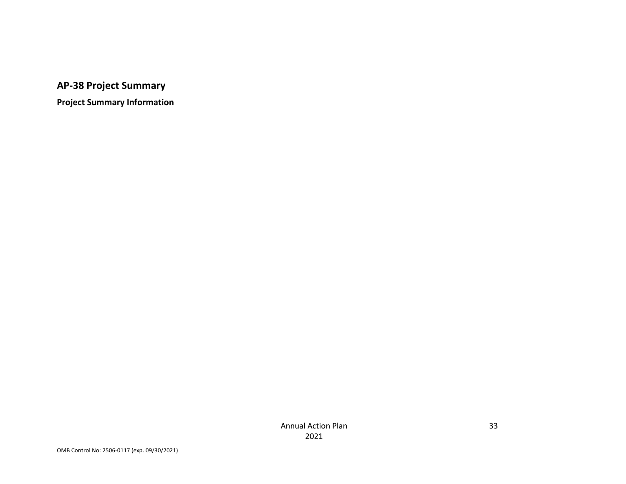**AP-38 Project Summary**

**Project Summary Information**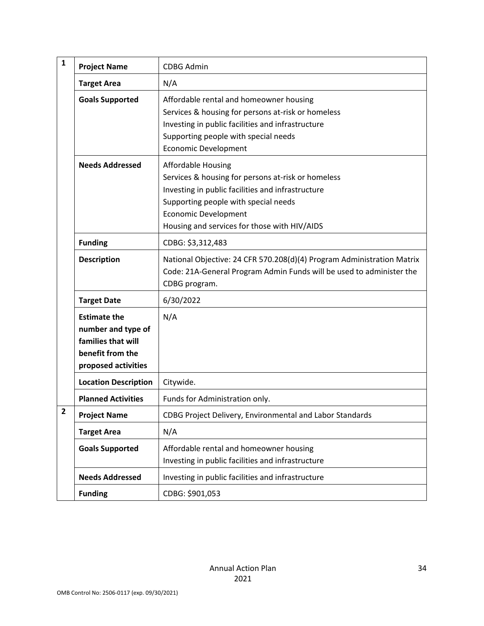| $\mathbf{1}$            | <b>Project Name</b>                                                                                        | <b>CDBG Admin</b>                                                                                                                                                                                                                                           |
|-------------------------|------------------------------------------------------------------------------------------------------------|-------------------------------------------------------------------------------------------------------------------------------------------------------------------------------------------------------------------------------------------------------------|
|                         | <b>Target Area</b>                                                                                         | N/A                                                                                                                                                                                                                                                         |
|                         | <b>Goals Supported</b>                                                                                     | Affordable rental and homeowner housing<br>Services & housing for persons at-risk or homeless<br>Investing in public facilities and infrastructure<br>Supporting people with special needs<br><b>Economic Development</b>                                   |
|                         | <b>Needs Addressed</b>                                                                                     | <b>Affordable Housing</b><br>Services & housing for persons at-risk or homeless<br>Investing in public facilities and infrastructure<br>Supporting people with special needs<br><b>Economic Development</b><br>Housing and services for those with HIV/AIDS |
|                         | <b>Funding</b>                                                                                             | CDBG: \$3,312,483                                                                                                                                                                                                                                           |
|                         | <b>Description</b>                                                                                         | National Objective: 24 CFR 570.208(d)(4) Program Administration Matrix<br>Code: 21A-General Program Admin Funds will be used to administer the<br>CDBG program.                                                                                             |
|                         | <b>Target Date</b>                                                                                         | 6/30/2022                                                                                                                                                                                                                                                   |
|                         | <b>Estimate the</b><br>number and type of<br>families that will<br>benefit from the<br>proposed activities | N/A                                                                                                                                                                                                                                                         |
|                         | <b>Location Description</b>                                                                                | Citywide.                                                                                                                                                                                                                                                   |
|                         | <b>Planned Activities</b>                                                                                  | Funds for Administration only.                                                                                                                                                                                                                              |
| $\overline{\mathbf{c}}$ | <b>Project Name</b>                                                                                        | CDBG Project Delivery, Environmental and Labor Standards                                                                                                                                                                                                    |
|                         | <b>Target Area</b>                                                                                         | N/A                                                                                                                                                                                                                                                         |
|                         | <b>Goals Supported</b>                                                                                     | Affordable rental and homeowner housing<br>Investing in public facilities and infrastructure                                                                                                                                                                |
|                         | <b>Needs Addressed</b>                                                                                     | Investing in public facilities and infrastructure                                                                                                                                                                                                           |
|                         | <b>Funding</b>                                                                                             | CDBG: \$901,053                                                                                                                                                                                                                                             |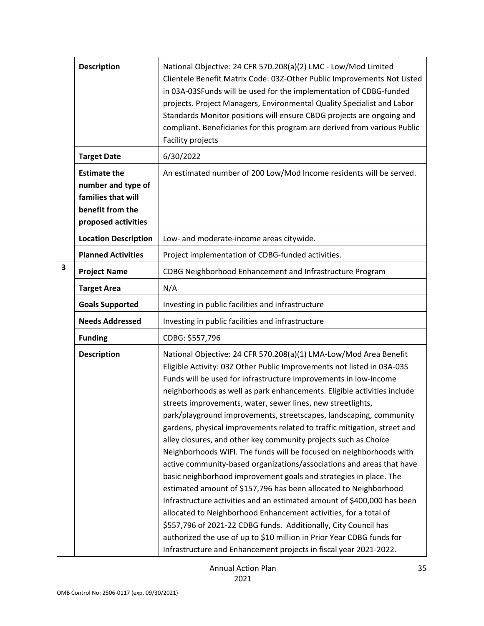|   | <b>Description</b>                                                                                         | National Objective: 24 CFR 570.208(a)(2) LMC - Low/Mod Limited<br>Clientele Benefit Matrix Code: 03Z-Other Public Improvements Not Listed<br>in 03A-03SFunds will be used for the implementation of CDBG-funded<br>projects. Project Managers, Environmental Quality Specialist and Labor<br>Standards Monitor positions will ensure CBDG projects are ongoing and<br>compliant. Beneficiaries for this program are derived from various Public<br>Facility projects                                                                                                                                                                                                                                                                                                                                                                                                                                                                                                                                                                                                                                                                                                                                                                    |  |  |  |  |  |  |  |  |
|---|------------------------------------------------------------------------------------------------------------|-----------------------------------------------------------------------------------------------------------------------------------------------------------------------------------------------------------------------------------------------------------------------------------------------------------------------------------------------------------------------------------------------------------------------------------------------------------------------------------------------------------------------------------------------------------------------------------------------------------------------------------------------------------------------------------------------------------------------------------------------------------------------------------------------------------------------------------------------------------------------------------------------------------------------------------------------------------------------------------------------------------------------------------------------------------------------------------------------------------------------------------------------------------------------------------------------------------------------------------------|--|--|--|--|--|--|--|--|
|   | <b>Target Date</b>                                                                                         | 6/30/2022                                                                                                                                                                                                                                                                                                                                                                                                                                                                                                                                                                                                                                                                                                                                                                                                                                                                                                                                                                                                                                                                                                                                                                                                                               |  |  |  |  |  |  |  |  |
|   | <b>Estimate the</b><br>number and type of<br>families that will<br>benefit from the<br>proposed activities | An estimated number of 200 Low/Mod Income residents will be served.                                                                                                                                                                                                                                                                                                                                                                                                                                                                                                                                                                                                                                                                                                                                                                                                                                                                                                                                                                                                                                                                                                                                                                     |  |  |  |  |  |  |  |  |
|   | <b>Location Description</b>                                                                                | Low- and moderate-income areas citywide.                                                                                                                                                                                                                                                                                                                                                                                                                                                                                                                                                                                                                                                                                                                                                                                                                                                                                                                                                                                                                                                                                                                                                                                                |  |  |  |  |  |  |  |  |
|   | <b>Planned Activities</b>                                                                                  | Project implementation of CDBG-funded activities.                                                                                                                                                                                                                                                                                                                                                                                                                                                                                                                                                                                                                                                                                                                                                                                                                                                                                                                                                                                                                                                                                                                                                                                       |  |  |  |  |  |  |  |  |
| 3 | <b>Project Name</b>                                                                                        | CDBG Neighborhood Enhancement and Infrastructure Program                                                                                                                                                                                                                                                                                                                                                                                                                                                                                                                                                                                                                                                                                                                                                                                                                                                                                                                                                                                                                                                                                                                                                                                |  |  |  |  |  |  |  |  |
|   | <b>Target Area</b>                                                                                         | N/A                                                                                                                                                                                                                                                                                                                                                                                                                                                                                                                                                                                                                                                                                                                                                                                                                                                                                                                                                                                                                                                                                                                                                                                                                                     |  |  |  |  |  |  |  |  |
|   | <b>Goals Supported</b>                                                                                     | Investing in public facilities and infrastructure                                                                                                                                                                                                                                                                                                                                                                                                                                                                                                                                                                                                                                                                                                                                                                                                                                                                                                                                                                                                                                                                                                                                                                                       |  |  |  |  |  |  |  |  |
|   | <b>Needs Addressed</b>                                                                                     | Investing in public facilities and infrastructure                                                                                                                                                                                                                                                                                                                                                                                                                                                                                                                                                                                                                                                                                                                                                                                                                                                                                                                                                                                                                                                                                                                                                                                       |  |  |  |  |  |  |  |  |
|   | <b>Funding</b>                                                                                             | CDBG: \$557,796                                                                                                                                                                                                                                                                                                                                                                                                                                                                                                                                                                                                                                                                                                                                                                                                                                                                                                                                                                                                                                                                                                                                                                                                                         |  |  |  |  |  |  |  |  |
|   | <b>Description</b>                                                                                         | National Objective: 24 CFR 570.208(a)(1) LMA-Low/Mod Area Benefit<br>Eligible Activity: 03Z Other Public Improvements not listed in 03A-03S<br>Funds will be used for infrastructure improvements in low-income<br>neighborhoods as well as park enhancements. Eligible activities include<br>streets improvements, water, sewer lines, new streetlights,<br>park/playground improvements, streetscapes, landscaping, community<br>gardens, physical improvements related to traffic mitigation, street and<br>alley closures, and other key community projects such as Choice<br>Neighborhoods WIFI. The funds will be focused on neighborhoods with<br>active community-based organizations/associations and areas that have<br>basic neighborhood improvement goals and strategies in place. The<br>estimated amount of \$157,796 has been allocated to Neighborhood<br>Infrastructure activities and an estimated amount of \$400,000 has been<br>allocated to Neighborhood Enhancement activities, for a total of<br>\$557,796 of 2021-22 CDBG funds. Additionally, City Council has<br>authorized the use of up to \$10 million in Prior Year CDBG funds for<br>Infrastructure and Enhancement projects in fiscal year 2021-2022. |  |  |  |  |  |  |  |  |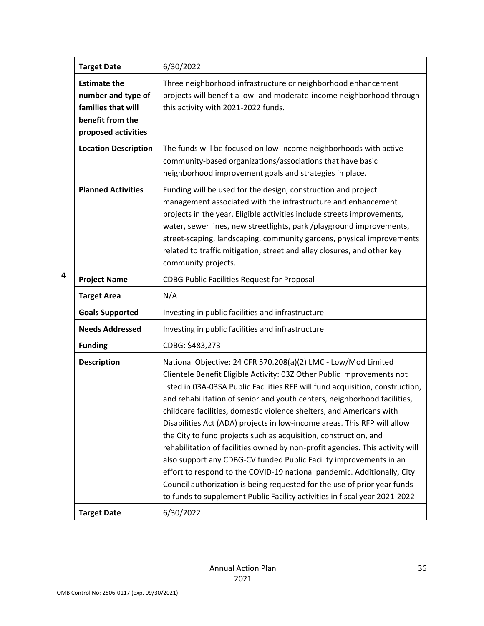|   | <b>Target Date</b>                                                                                         | 6/30/2022                                                                                                                                                                                                                                                                                                                                                                                                                                                                                                                                                                                                                                                                                                                                                                                                                                                                                                                 |
|---|------------------------------------------------------------------------------------------------------------|---------------------------------------------------------------------------------------------------------------------------------------------------------------------------------------------------------------------------------------------------------------------------------------------------------------------------------------------------------------------------------------------------------------------------------------------------------------------------------------------------------------------------------------------------------------------------------------------------------------------------------------------------------------------------------------------------------------------------------------------------------------------------------------------------------------------------------------------------------------------------------------------------------------------------|
|   | <b>Estimate the</b><br>number and type of<br>families that will<br>benefit from the<br>proposed activities | Three neighborhood infrastructure or neighborhood enhancement<br>projects will benefit a low- and moderate-income neighborhood through<br>this activity with 2021-2022 funds.                                                                                                                                                                                                                                                                                                                                                                                                                                                                                                                                                                                                                                                                                                                                             |
|   | <b>Location Description</b>                                                                                | The funds will be focused on low-income neighborhoods with active<br>community-based organizations/associations that have basic<br>neighborhood improvement goals and strategies in place.                                                                                                                                                                                                                                                                                                                                                                                                                                                                                                                                                                                                                                                                                                                                |
|   | <b>Planned Activities</b>                                                                                  | Funding will be used for the design, construction and project<br>management associated with the infrastructure and enhancement<br>projects in the year. Eligible activities include streets improvements,<br>water, sewer lines, new streetlights, park /playground improvements,<br>street-scaping, landscaping, community gardens, physical improvements<br>related to traffic mitigation, street and alley closures, and other key<br>community projects.                                                                                                                                                                                                                                                                                                                                                                                                                                                              |
| 4 | <b>Project Name</b>                                                                                        | <b>CDBG Public Facilities Request for Proposal</b>                                                                                                                                                                                                                                                                                                                                                                                                                                                                                                                                                                                                                                                                                                                                                                                                                                                                        |
|   | <b>Target Area</b>                                                                                         | N/A                                                                                                                                                                                                                                                                                                                                                                                                                                                                                                                                                                                                                                                                                                                                                                                                                                                                                                                       |
|   | <b>Goals Supported</b>                                                                                     | Investing in public facilities and infrastructure                                                                                                                                                                                                                                                                                                                                                                                                                                                                                                                                                                                                                                                                                                                                                                                                                                                                         |
|   | <b>Needs Addressed</b>                                                                                     | Investing in public facilities and infrastructure                                                                                                                                                                                                                                                                                                                                                                                                                                                                                                                                                                                                                                                                                                                                                                                                                                                                         |
|   | <b>Funding</b>                                                                                             | CDBG: \$483,273                                                                                                                                                                                                                                                                                                                                                                                                                                                                                                                                                                                                                                                                                                                                                                                                                                                                                                           |
|   | <b>Description</b>                                                                                         | National Objective: 24 CFR 570.208(a)(2) LMC - Low/Mod Limited<br>Clientele Benefit Eligible Activity: 03Z Other Public Improvements not<br>listed in 03A-03SA Public Facilities RFP will fund acquisition, construction,<br>and rehabilitation of senior and youth centers, neighborhood facilities,<br>childcare facilities, domestic violence shelters, and Americans with<br>Disabilities Act (ADA) projects in low-income areas. This RFP will allow<br>the City to fund projects such as acquisition, construction, and<br>rehabilitation of facilities owned by non-profit agencies. This activity will<br>also support any CDBG-CV funded Public Facility improvements in an<br>effort to respond to the COVID-19 national pandemic. Additionally, City<br>Council authorization is being requested for the use of prior year funds<br>to funds to supplement Public Facility activities in fiscal year 2021-2022 |
|   |                                                                                                            | 6/30/2022                                                                                                                                                                                                                                                                                                                                                                                                                                                                                                                                                                                                                                                                                                                                                                                                                                                                                                                 |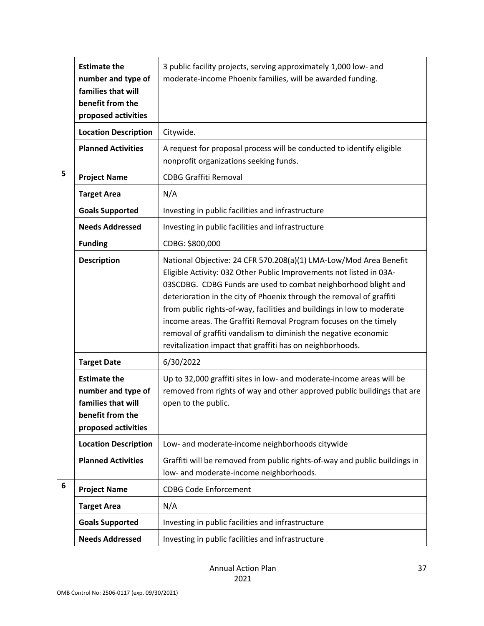|   | <b>Estimate the</b><br>number and type of<br>families that will<br>benefit from the<br>proposed activities | 3 public facility projects, serving approximately 1,000 low- and<br>moderate-income Phoenix families, will be awarded funding.                                                                                                                                                                                                                                                                                                                                                                                                                                   |
|---|------------------------------------------------------------------------------------------------------------|------------------------------------------------------------------------------------------------------------------------------------------------------------------------------------------------------------------------------------------------------------------------------------------------------------------------------------------------------------------------------------------------------------------------------------------------------------------------------------------------------------------------------------------------------------------|
|   | <b>Location Description</b>                                                                                | Citywide.                                                                                                                                                                                                                                                                                                                                                                                                                                                                                                                                                        |
|   | <b>Planned Activities</b>                                                                                  | A request for proposal process will be conducted to identify eligible<br>nonprofit organizations seeking funds.                                                                                                                                                                                                                                                                                                                                                                                                                                                  |
| 5 | <b>Project Name</b>                                                                                        | <b>CDBG Graffiti Removal</b>                                                                                                                                                                                                                                                                                                                                                                                                                                                                                                                                     |
|   | <b>Target Area</b>                                                                                         | N/A                                                                                                                                                                                                                                                                                                                                                                                                                                                                                                                                                              |
|   | <b>Goals Supported</b>                                                                                     | Investing in public facilities and infrastructure                                                                                                                                                                                                                                                                                                                                                                                                                                                                                                                |
|   | <b>Needs Addressed</b>                                                                                     | Investing in public facilities and infrastructure                                                                                                                                                                                                                                                                                                                                                                                                                                                                                                                |
|   | <b>Funding</b>                                                                                             | CDBG: \$800,000                                                                                                                                                                                                                                                                                                                                                                                                                                                                                                                                                  |
|   | <b>Description</b>                                                                                         | National Objective: 24 CFR 570.208(a)(1) LMA-Low/Mod Area Benefit<br>Eligible Activity: 03Z Other Public Improvements not listed in 03A-<br>03SCDBG. CDBG Funds are used to combat neighborhood blight and<br>deterioration in the city of Phoenix through the removal of graffiti<br>from public rights-of-way, facilities and buildings in low to moderate<br>income areas. The Graffiti Removal Program focuses on the timely<br>removal of graffiti vandalism to diminish the negative economic<br>revitalization impact that graffiti has on neighborhoods. |
|   | <b>Target Date</b>                                                                                         | 6/30/2022                                                                                                                                                                                                                                                                                                                                                                                                                                                                                                                                                        |
|   | <b>Estimate the</b><br>number and type of<br>families that will<br>benefit from the<br>proposed activities | Up to 32,000 graffiti sites in low- and moderate-income areas will be<br>removed from rights of way and other approved public buildings that are<br>open to the public.                                                                                                                                                                                                                                                                                                                                                                                          |
|   | <b>Location Description</b>                                                                                | Low- and moderate-income neighborhoods citywide                                                                                                                                                                                                                                                                                                                                                                                                                                                                                                                  |
|   | <b>Planned Activities</b>                                                                                  | Graffiti will be removed from public rights-of-way and public buildings in<br>low- and moderate-income neighborhoods.                                                                                                                                                                                                                                                                                                                                                                                                                                            |
| 6 | <b>Project Name</b>                                                                                        | <b>CDBG Code Enforcement</b>                                                                                                                                                                                                                                                                                                                                                                                                                                                                                                                                     |
|   | <b>Target Area</b>                                                                                         | N/A                                                                                                                                                                                                                                                                                                                                                                                                                                                                                                                                                              |
|   | <b>Goals Supported</b>                                                                                     | Investing in public facilities and infrastructure                                                                                                                                                                                                                                                                                                                                                                                                                                                                                                                |
|   | <b>Needs Addressed</b>                                                                                     | Investing in public facilities and infrastructure                                                                                                                                                                                                                                                                                                                                                                                                                                                                                                                |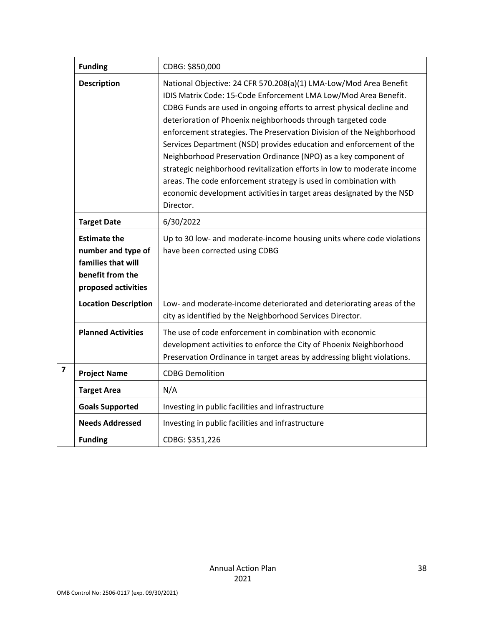|                         | <b>Funding</b>                                                                                             | CDBG: \$850,000                                                                                                                                                                                                                                                                                                                                                                                                                                                                                                                                                                                                                                                                                                                       |
|-------------------------|------------------------------------------------------------------------------------------------------------|---------------------------------------------------------------------------------------------------------------------------------------------------------------------------------------------------------------------------------------------------------------------------------------------------------------------------------------------------------------------------------------------------------------------------------------------------------------------------------------------------------------------------------------------------------------------------------------------------------------------------------------------------------------------------------------------------------------------------------------|
|                         | <b>Description</b>                                                                                         | National Objective: 24 CFR 570.208(a)(1) LMA-Low/Mod Area Benefit<br>IDIS Matrix Code: 15-Code Enforcement LMA Low/Mod Area Benefit.<br>CDBG Funds are used in ongoing efforts to arrest physical decline and<br>deterioration of Phoenix neighborhoods through targeted code<br>enforcement strategies. The Preservation Division of the Neighborhood<br>Services Department (NSD) provides education and enforcement of the<br>Neighborhood Preservation Ordinance (NPO) as a key component of<br>strategic neighborhood revitalization efforts in low to moderate income<br>areas. The code enforcement strategy is used in combination with<br>economic development activities in target areas designated by the NSD<br>Director. |
|                         | <b>Target Date</b>                                                                                         | 6/30/2022                                                                                                                                                                                                                                                                                                                                                                                                                                                                                                                                                                                                                                                                                                                             |
|                         | <b>Estimate the</b><br>number and type of<br>families that will<br>benefit from the<br>proposed activities | Up to 30 low- and moderate-income housing units where code violations<br>have been corrected using CDBG                                                                                                                                                                                                                                                                                                                                                                                                                                                                                                                                                                                                                               |
|                         | <b>Location Description</b>                                                                                | Low- and moderate-income deteriorated and deteriorating areas of the<br>city as identified by the Neighborhood Services Director.                                                                                                                                                                                                                                                                                                                                                                                                                                                                                                                                                                                                     |
|                         | <b>Planned Activities</b>                                                                                  | The use of code enforcement in combination with economic<br>development activities to enforce the City of Phoenix Neighborhood<br>Preservation Ordinance in target areas by addressing blight violations.                                                                                                                                                                                                                                                                                                                                                                                                                                                                                                                             |
| $\overline{\mathbf{z}}$ | <b>Project Name</b>                                                                                        | <b>CDBG Demolition</b>                                                                                                                                                                                                                                                                                                                                                                                                                                                                                                                                                                                                                                                                                                                |
|                         | <b>Target Area</b>                                                                                         | N/A                                                                                                                                                                                                                                                                                                                                                                                                                                                                                                                                                                                                                                                                                                                                   |
|                         | <b>Goals Supported</b>                                                                                     | Investing in public facilities and infrastructure                                                                                                                                                                                                                                                                                                                                                                                                                                                                                                                                                                                                                                                                                     |
|                         | <b>Needs Addressed</b>                                                                                     | Investing in public facilities and infrastructure                                                                                                                                                                                                                                                                                                                                                                                                                                                                                                                                                                                                                                                                                     |
|                         | <b>Funding</b>                                                                                             | CDBG: \$351,226                                                                                                                                                                                                                                                                                                                                                                                                                                                                                                                                                                                                                                                                                                                       |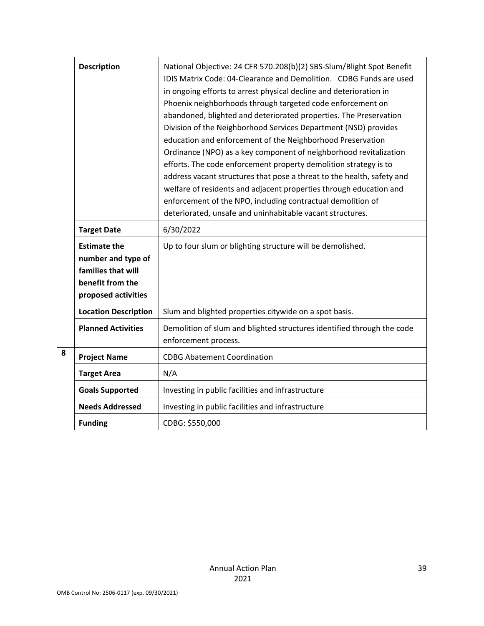|   | <b>Description</b><br><b>Target Date</b>                                                                   | National Objective: 24 CFR 570.208(b)(2) SBS-Slum/Blight Spot Benefit<br>IDIS Matrix Code: 04-Clearance and Demolition. CDBG Funds are used<br>in ongoing efforts to arrest physical decline and deterioration in<br>Phoenix neighborhoods through targeted code enforcement on<br>abandoned, blighted and deteriorated properties. The Preservation<br>Division of the Neighborhood Services Department (NSD) provides<br>education and enforcement of the Neighborhood Preservation<br>Ordinance (NPO) as a key component of neighborhood revitalization<br>efforts. The code enforcement property demolition strategy is to<br>address vacant structures that pose a threat to the health, safety and<br>welfare of residents and adjacent properties through education and<br>enforcement of the NPO, including contractual demolition of<br>deteriorated, unsafe and uninhabitable vacant structures.<br>6/30/2022 |
|---|------------------------------------------------------------------------------------------------------------|-------------------------------------------------------------------------------------------------------------------------------------------------------------------------------------------------------------------------------------------------------------------------------------------------------------------------------------------------------------------------------------------------------------------------------------------------------------------------------------------------------------------------------------------------------------------------------------------------------------------------------------------------------------------------------------------------------------------------------------------------------------------------------------------------------------------------------------------------------------------------------------------------------------------------|
|   | <b>Estimate the</b><br>number and type of<br>families that will<br>benefit from the<br>proposed activities | Up to four slum or blighting structure will be demolished.                                                                                                                                                                                                                                                                                                                                                                                                                                                                                                                                                                                                                                                                                                                                                                                                                                                              |
|   | <b>Location Description</b>                                                                                | Slum and blighted properties citywide on a spot basis.                                                                                                                                                                                                                                                                                                                                                                                                                                                                                                                                                                                                                                                                                                                                                                                                                                                                  |
|   | <b>Planned Activities</b>                                                                                  | Demolition of slum and blighted structures identified through the code<br>enforcement process.                                                                                                                                                                                                                                                                                                                                                                                                                                                                                                                                                                                                                                                                                                                                                                                                                          |
| 8 | <b>Project Name</b>                                                                                        | <b>CDBG Abatement Coordination</b>                                                                                                                                                                                                                                                                                                                                                                                                                                                                                                                                                                                                                                                                                                                                                                                                                                                                                      |
|   | <b>Target Area</b>                                                                                         | N/A                                                                                                                                                                                                                                                                                                                                                                                                                                                                                                                                                                                                                                                                                                                                                                                                                                                                                                                     |
|   | <b>Goals Supported</b>                                                                                     | Investing in public facilities and infrastructure                                                                                                                                                                                                                                                                                                                                                                                                                                                                                                                                                                                                                                                                                                                                                                                                                                                                       |
|   | <b>Needs Addressed</b>                                                                                     | Investing in public facilities and infrastructure                                                                                                                                                                                                                                                                                                                                                                                                                                                                                                                                                                                                                                                                                                                                                                                                                                                                       |
|   | <b>Funding</b>                                                                                             | CDBG: \$550,000                                                                                                                                                                                                                                                                                                                                                                                                                                                                                                                                                                                                                                                                                                                                                                                                                                                                                                         |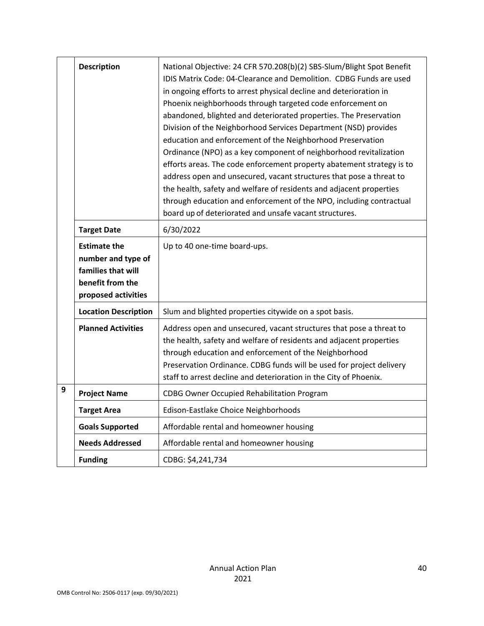|   | <b>Description</b>                                                                                         | National Objective: 24 CFR 570.208(b)(2) SBS-Slum/Blight Spot Benefit<br>IDIS Matrix Code: 04-Clearance and Demolition. CDBG Funds are used<br>in ongoing efforts to arrest physical decline and deterioration in<br>Phoenix neighborhoods through targeted code enforcement on<br>abandoned, blighted and deteriorated properties. The Preservation<br>Division of the Neighborhood Services Department (NSD) provides<br>education and enforcement of the Neighborhood Preservation<br>Ordinance (NPO) as a key component of neighborhood revitalization<br>efforts areas. The code enforcement property abatement strategy is to<br>address open and unsecured, vacant structures that pose a threat to<br>the health, safety and welfare of residents and adjacent properties<br>through education and enforcement of the NPO, including contractual<br>board up of deteriorated and unsafe vacant structures. |
|---|------------------------------------------------------------------------------------------------------------|--------------------------------------------------------------------------------------------------------------------------------------------------------------------------------------------------------------------------------------------------------------------------------------------------------------------------------------------------------------------------------------------------------------------------------------------------------------------------------------------------------------------------------------------------------------------------------------------------------------------------------------------------------------------------------------------------------------------------------------------------------------------------------------------------------------------------------------------------------------------------------------------------------------------|
|   | <b>Target Date</b>                                                                                         | 6/30/2022                                                                                                                                                                                                                                                                                                                                                                                                                                                                                                                                                                                                                                                                                                                                                                                                                                                                                                          |
|   | <b>Estimate the</b><br>number and type of<br>families that will<br>benefit from the<br>proposed activities | Up to 40 one-time board-ups.                                                                                                                                                                                                                                                                                                                                                                                                                                                                                                                                                                                                                                                                                                                                                                                                                                                                                       |
|   | <b>Location Description</b>                                                                                | Slum and blighted properties citywide on a spot basis.                                                                                                                                                                                                                                                                                                                                                                                                                                                                                                                                                                                                                                                                                                                                                                                                                                                             |
|   | <b>Planned Activities</b>                                                                                  | Address open and unsecured, vacant structures that pose a threat to<br>the health, safety and welfare of residents and adjacent properties<br>through education and enforcement of the Neighborhood<br>Preservation Ordinance. CDBG funds will be used for project delivery<br>staff to arrest decline and deterioration in the City of Phoenix.                                                                                                                                                                                                                                                                                                                                                                                                                                                                                                                                                                   |
| 9 | <b>Project Name</b>                                                                                        | CDBG Owner Occupied Rehabilitation Program                                                                                                                                                                                                                                                                                                                                                                                                                                                                                                                                                                                                                                                                                                                                                                                                                                                                         |
|   | <b>Target Area</b>                                                                                         | Edison-Eastlake Choice Neighborhoods                                                                                                                                                                                                                                                                                                                                                                                                                                                                                                                                                                                                                                                                                                                                                                                                                                                                               |
|   | <b>Goals Supported</b>                                                                                     | Affordable rental and homeowner housing                                                                                                                                                                                                                                                                                                                                                                                                                                                                                                                                                                                                                                                                                                                                                                                                                                                                            |
|   | <b>Needs Addressed</b>                                                                                     | Affordable rental and homeowner housing                                                                                                                                                                                                                                                                                                                                                                                                                                                                                                                                                                                                                                                                                                                                                                                                                                                                            |
|   | <b>Funding</b>                                                                                             | CDBG: \$4,241,734                                                                                                                                                                                                                                                                                                                                                                                                                                                                                                                                                                                                                                                                                                                                                                                                                                                                                                  |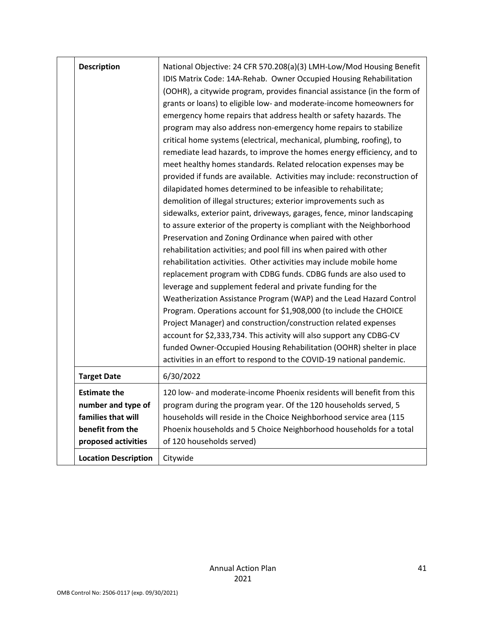| <b>Description</b>                                                                                         | National Objective: 24 CFR 570.208(a)(3) LMH-Low/Mod Housing Benefit<br>IDIS Matrix Code: 14A-Rehab. Owner Occupied Housing Rehabilitation<br>(OOHR), a citywide program, provides financial assistance (in the form of<br>grants or loans) to eligible low- and moderate-income homeowners for<br>emergency home repairs that address health or safety hazards. The<br>program may also address non-emergency home repairs to stabilize<br>critical home systems (electrical, mechanical, plumbing, roofing), to<br>remediate lead hazards, to improve the homes energy efficiency, and to<br>meet healthy homes standards. Related relocation expenses may be<br>provided if funds are available. Activities may include: reconstruction of<br>dilapidated homes determined to be infeasible to rehabilitate;<br>demolition of illegal structures; exterior improvements such as<br>sidewalks, exterior paint, driveways, garages, fence, minor landscaping<br>to assure exterior of the property is compliant with the Neighborhood<br>Preservation and Zoning Ordinance when paired with other<br>rehabilitation activities; and pool fill ins when paired with other<br>rehabilitation activities. Other activities may include mobile home<br>replacement program with CDBG funds. CDBG funds are also used to<br>leverage and supplement federal and private funding for the<br>Weatherization Assistance Program (WAP) and the Lead Hazard Control<br>Program. Operations account for \$1,908,000 (to include the CHOICE<br>Project Manager) and construction/construction related expenses<br>account for \$2,333,734. This activity will also support any CDBG-CV<br>funded Owner-Occupied Housing Rehabilitation (OOHR) shelter in place<br>activities in an effort to respond to the COVID-19 national pandemic. |
|------------------------------------------------------------------------------------------------------------|------------------------------------------------------------------------------------------------------------------------------------------------------------------------------------------------------------------------------------------------------------------------------------------------------------------------------------------------------------------------------------------------------------------------------------------------------------------------------------------------------------------------------------------------------------------------------------------------------------------------------------------------------------------------------------------------------------------------------------------------------------------------------------------------------------------------------------------------------------------------------------------------------------------------------------------------------------------------------------------------------------------------------------------------------------------------------------------------------------------------------------------------------------------------------------------------------------------------------------------------------------------------------------------------------------------------------------------------------------------------------------------------------------------------------------------------------------------------------------------------------------------------------------------------------------------------------------------------------------------------------------------------------------------------------------------------------------------------------------------------------------------------------------------------------------------------------|
| <b>Target Date</b>                                                                                         | 6/30/2022                                                                                                                                                                                                                                                                                                                                                                                                                                                                                                                                                                                                                                                                                                                                                                                                                                                                                                                                                                                                                                                                                                                                                                                                                                                                                                                                                                                                                                                                                                                                                                                                                                                                                                                                                                                                                    |
| <b>Estimate the</b><br>number and type of<br>families that will<br>benefit from the<br>proposed activities | 120 low- and moderate-income Phoenix residents will benefit from this<br>program during the program year. Of the 120 households served, 5<br>households will reside in the Choice Neighborhood service area (115<br>Phoenix households and 5 Choice Neighborhood households for a total<br>of 120 households served)                                                                                                                                                                                                                                                                                                                                                                                                                                                                                                                                                                                                                                                                                                                                                                                                                                                                                                                                                                                                                                                                                                                                                                                                                                                                                                                                                                                                                                                                                                         |
| <b>Location Description</b>                                                                                | Citywide                                                                                                                                                                                                                                                                                                                                                                                                                                                                                                                                                                                                                                                                                                                                                                                                                                                                                                                                                                                                                                                                                                                                                                                                                                                                                                                                                                                                                                                                                                                                                                                                                                                                                                                                                                                                                     |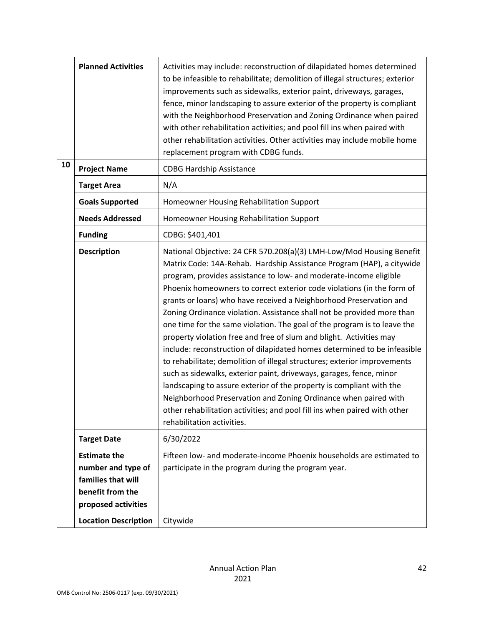|    | <b>Planned Activities</b>                                                                                  | Activities may include: reconstruction of dilapidated homes determined<br>to be infeasible to rehabilitate; demolition of illegal structures; exterior<br>improvements such as sidewalks, exterior paint, driveways, garages,<br>fence, minor landscaping to assure exterior of the property is compliant<br>with the Neighborhood Preservation and Zoning Ordinance when paired<br>with other rehabilitation activities; and pool fill ins when paired with<br>other rehabilitation activities. Other activities may include mobile home<br>replacement program with CDBG funds.                                                                                                                                                                                                                                                                                                                                                                                                                                                                                                    |
|----|------------------------------------------------------------------------------------------------------------|--------------------------------------------------------------------------------------------------------------------------------------------------------------------------------------------------------------------------------------------------------------------------------------------------------------------------------------------------------------------------------------------------------------------------------------------------------------------------------------------------------------------------------------------------------------------------------------------------------------------------------------------------------------------------------------------------------------------------------------------------------------------------------------------------------------------------------------------------------------------------------------------------------------------------------------------------------------------------------------------------------------------------------------------------------------------------------------|
| 10 | <b>Project Name</b>                                                                                        | <b>CDBG Hardship Assistance</b>                                                                                                                                                                                                                                                                                                                                                                                                                                                                                                                                                                                                                                                                                                                                                                                                                                                                                                                                                                                                                                                      |
|    | <b>Target Area</b>                                                                                         | N/A                                                                                                                                                                                                                                                                                                                                                                                                                                                                                                                                                                                                                                                                                                                                                                                                                                                                                                                                                                                                                                                                                  |
|    | <b>Goals Supported</b>                                                                                     | Homeowner Housing Rehabilitation Support                                                                                                                                                                                                                                                                                                                                                                                                                                                                                                                                                                                                                                                                                                                                                                                                                                                                                                                                                                                                                                             |
|    | <b>Needs Addressed</b>                                                                                     | Homeowner Housing Rehabilitation Support                                                                                                                                                                                                                                                                                                                                                                                                                                                                                                                                                                                                                                                                                                                                                                                                                                                                                                                                                                                                                                             |
|    | <b>Funding</b>                                                                                             | CDBG: \$401,401                                                                                                                                                                                                                                                                                                                                                                                                                                                                                                                                                                                                                                                                                                                                                                                                                                                                                                                                                                                                                                                                      |
|    | <b>Description</b>                                                                                         | National Objective: 24 CFR 570.208(a)(3) LMH-Low/Mod Housing Benefit<br>Matrix Code: 14A-Rehab. Hardship Assistance Program (HAP), a citywide<br>program, provides assistance to low- and moderate-income eligible<br>Phoenix homeowners to correct exterior code violations (in the form of<br>grants or loans) who have received a Neighborhood Preservation and<br>Zoning Ordinance violation. Assistance shall not be provided more than<br>one time for the same violation. The goal of the program is to leave the<br>property violation free and free of slum and blight. Activities may<br>include: reconstruction of dilapidated homes determined to be infeasible<br>to rehabilitate; demolition of illegal structures; exterior improvements<br>such as sidewalks, exterior paint, driveways, garages, fence, minor<br>landscaping to assure exterior of the property is compliant with the<br>Neighborhood Preservation and Zoning Ordinance when paired with<br>other rehabilitation activities; and pool fill ins when paired with other<br>rehabilitation activities. |
|    | <b>Target Date</b>                                                                                         | 6/30/2022                                                                                                                                                                                                                                                                                                                                                                                                                                                                                                                                                                                                                                                                                                                                                                                                                                                                                                                                                                                                                                                                            |
|    | <b>Estimate the</b><br>number and type of<br>families that will<br>benefit from the<br>proposed activities | Fifteen low- and moderate-income Phoenix households are estimated to<br>participate in the program during the program year.                                                                                                                                                                                                                                                                                                                                                                                                                                                                                                                                                                                                                                                                                                                                                                                                                                                                                                                                                          |
|    | <b>Location Description</b>                                                                                | Citywide                                                                                                                                                                                                                                                                                                                                                                                                                                                                                                                                                                                                                                                                                                                                                                                                                                                                                                                                                                                                                                                                             |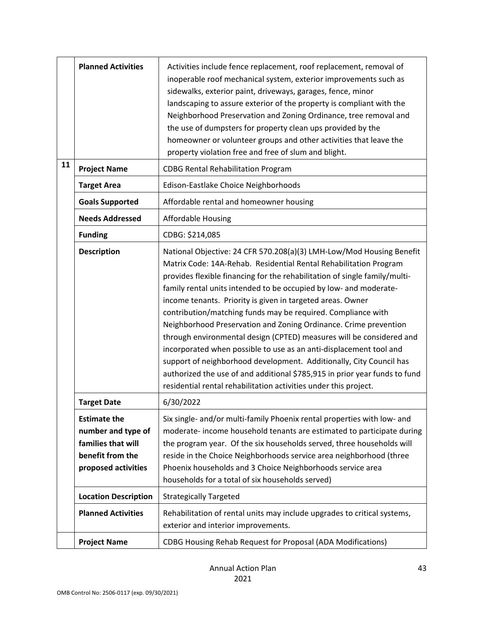|    | <b>Planned Activities</b>                                                                                  | Activities include fence replacement, roof replacement, removal of<br>inoperable roof mechanical system, exterior improvements such as<br>sidewalks, exterior paint, driveways, garages, fence, minor<br>landscaping to assure exterior of the property is compliant with the<br>Neighborhood Preservation and Zoning Ordinance, tree removal and<br>the use of dumpsters for property clean ups provided by the<br>homeowner or volunteer groups and other activities that leave the<br>property violation free and free of slum and blight.                                                                                                                                                                                                                                                                                                                         |
|----|------------------------------------------------------------------------------------------------------------|-----------------------------------------------------------------------------------------------------------------------------------------------------------------------------------------------------------------------------------------------------------------------------------------------------------------------------------------------------------------------------------------------------------------------------------------------------------------------------------------------------------------------------------------------------------------------------------------------------------------------------------------------------------------------------------------------------------------------------------------------------------------------------------------------------------------------------------------------------------------------|
| 11 | <b>Project Name</b>                                                                                        | <b>CDBG Rental Rehabilitation Program</b>                                                                                                                                                                                                                                                                                                                                                                                                                                                                                                                                                                                                                                                                                                                                                                                                                             |
|    | <b>Target Area</b>                                                                                         | Edison-Eastlake Choice Neighborhoods                                                                                                                                                                                                                                                                                                                                                                                                                                                                                                                                                                                                                                                                                                                                                                                                                                  |
|    | <b>Goals Supported</b>                                                                                     | Affordable rental and homeowner housing                                                                                                                                                                                                                                                                                                                                                                                                                                                                                                                                                                                                                                                                                                                                                                                                                               |
|    | <b>Needs Addressed</b>                                                                                     | <b>Affordable Housing</b>                                                                                                                                                                                                                                                                                                                                                                                                                                                                                                                                                                                                                                                                                                                                                                                                                                             |
|    | <b>Funding</b>                                                                                             | CDBG: \$214,085                                                                                                                                                                                                                                                                                                                                                                                                                                                                                                                                                                                                                                                                                                                                                                                                                                                       |
|    | <b>Description</b>                                                                                         | National Objective: 24 CFR 570.208(a)(3) LMH-Low/Mod Housing Benefit<br>Matrix Code: 14A-Rehab. Residential Rental Rehabilitation Program<br>provides flexible financing for the rehabilitation of single family/multi-<br>family rental units intended to be occupied by low- and moderate-<br>income tenants. Priority is given in targeted areas. Owner<br>contribution/matching funds may be required. Compliance with<br>Neighborhood Preservation and Zoning Ordinance. Crime prevention<br>through environmental design (CPTED) measures will be considered and<br>incorporated when possible to use as an anti-displacement tool and<br>support of neighborhood development. Additionally, City Council has<br>authorized the use of and additional \$785,915 in prior year funds to fund<br>residential rental rehabilitation activities under this project. |
|    | <b>Target Date</b>                                                                                         | 6/30/2022                                                                                                                                                                                                                                                                                                                                                                                                                                                                                                                                                                                                                                                                                                                                                                                                                                                             |
|    | <b>Estimate the</b><br>number and type of<br>families that will<br>benefit from the<br>proposed activities | Six single- and/or multi-family Phoenix rental properties with low- and<br>moderate-income household tenants are estimated to participate during<br>the program year. Of the six households served, three households will<br>reside in the Choice Neighborhoods service area neighborhood (three<br>Phoenix households and 3 Choice Neighborhoods service area<br>households for a total of six households served)                                                                                                                                                                                                                                                                                                                                                                                                                                                    |
|    | <b>Location Description</b>                                                                                | <b>Strategically Targeted</b>                                                                                                                                                                                                                                                                                                                                                                                                                                                                                                                                                                                                                                                                                                                                                                                                                                         |
|    | <b>Planned Activities</b>                                                                                  | Rehabilitation of rental units may include upgrades to critical systems,<br>exterior and interior improvements.                                                                                                                                                                                                                                                                                                                                                                                                                                                                                                                                                                                                                                                                                                                                                       |
|    | <b>Project Name</b>                                                                                        | CDBG Housing Rehab Request for Proposal (ADA Modifications)                                                                                                                                                                                                                                                                                                                                                                                                                                                                                                                                                                                                                                                                                                                                                                                                           |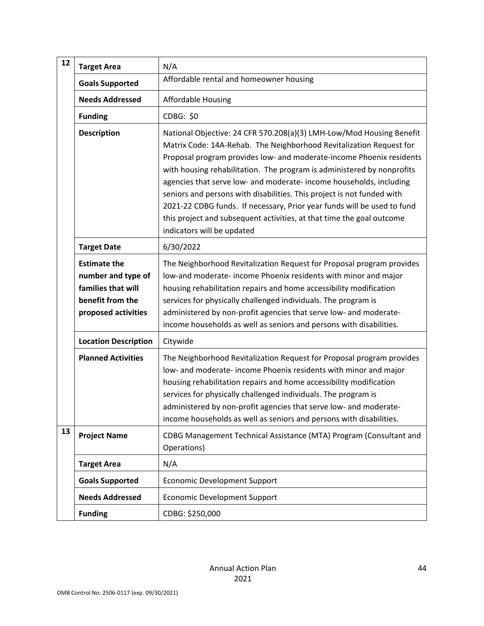| 12 | <b>Target Area</b>                                                                                         | N/A                                                                                                                                                                                                                                                                                                                                                                                                                                                                                                                                                                                                                              |
|----|------------------------------------------------------------------------------------------------------------|----------------------------------------------------------------------------------------------------------------------------------------------------------------------------------------------------------------------------------------------------------------------------------------------------------------------------------------------------------------------------------------------------------------------------------------------------------------------------------------------------------------------------------------------------------------------------------------------------------------------------------|
|    | <b>Goals Supported</b>                                                                                     | Affordable rental and homeowner housing                                                                                                                                                                                                                                                                                                                                                                                                                                                                                                                                                                                          |
|    | <b>Needs Addressed</b>                                                                                     | <b>Affordable Housing</b>                                                                                                                                                                                                                                                                                                                                                                                                                                                                                                                                                                                                        |
|    | <b>Funding</b>                                                                                             | CDBG: \$0                                                                                                                                                                                                                                                                                                                                                                                                                                                                                                                                                                                                                        |
|    | <b>Description</b>                                                                                         | National Objective: 24 CFR 570.208(a)(3) LMH-Low/Mod Housing Benefit<br>Matrix Code: 14A-Rehab. The Neighborhood Revitalization Request for<br>Proposal program provides low- and moderate-income Phoenix residents<br>with housing rehabilitation. The program is administered by nonprofits<br>agencies that serve low- and moderate- income households, including<br>seniors and persons with disabilities. This project is not funded with<br>2021-22 CDBG funds. If necessary, Prior year funds will be used to fund<br>this project and subsequent activities, at that time the goal outcome<br>indicators will be updated |
|    | <b>Target Date</b>                                                                                         | 6/30/2022                                                                                                                                                                                                                                                                                                                                                                                                                                                                                                                                                                                                                        |
|    | <b>Estimate the</b><br>number and type of<br>families that will<br>benefit from the<br>proposed activities | The Neighborhood Revitalization Request for Proposal program provides<br>low-and moderate-income Phoenix residents with minor and major<br>housing rehabilitation repairs and home accessibility modification<br>services for physically challenged individuals. The program is<br>administered by non-profit agencies that serve low- and moderate-<br>income households as well as seniors and persons with disabilities.                                                                                                                                                                                                      |
|    | <b>Location Description</b>                                                                                | Citywide                                                                                                                                                                                                                                                                                                                                                                                                                                                                                                                                                                                                                         |
|    | <b>Planned Activities</b>                                                                                  | The Neighborhood Revitalization Request for Proposal program provides<br>low- and moderate- income Phoenix residents with minor and major<br>housing rehabilitation repairs and home accessibility modification<br>services for physically challenged individuals. The program is<br>administered by non-profit agencies that serve low- and moderate-<br>income households as well as seniors and persons with disabilities.                                                                                                                                                                                                    |
| 13 | <b>Project Name</b>                                                                                        | CDBG Management Technical Assistance (MTA) Program (Consultant and<br>Operations)                                                                                                                                                                                                                                                                                                                                                                                                                                                                                                                                                |
|    | <b>Target Area</b>                                                                                         | N/A                                                                                                                                                                                                                                                                                                                                                                                                                                                                                                                                                                                                                              |
|    | <b>Goals Supported</b>                                                                                     | <b>Economic Development Support</b>                                                                                                                                                                                                                                                                                                                                                                                                                                                                                                                                                                                              |
|    | <b>Needs Addressed</b>                                                                                     | <b>Economic Development Support</b>                                                                                                                                                                                                                                                                                                                                                                                                                                                                                                                                                                                              |
|    | <b>Funding</b>                                                                                             | CDBG: \$250,000                                                                                                                                                                                                                                                                                                                                                                                                                                                                                                                                                                                                                  |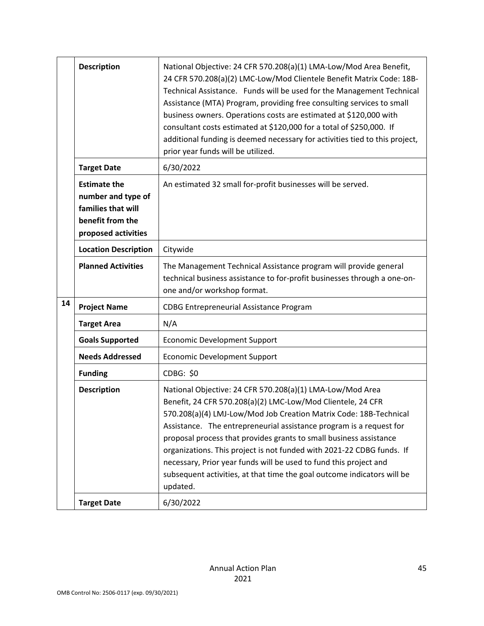|    | <b>Description</b>                                                                                         | National Objective: 24 CFR 570.208(a)(1) LMA-Low/Mod Area Benefit,<br>24 CFR 570.208(a)(2) LMC-Low/Mod Clientele Benefit Matrix Code: 18B-<br>Technical Assistance. Funds will be used for the Management Technical<br>Assistance (MTA) Program, providing free consulting services to small<br>business owners. Operations costs are estimated at \$120,000 with<br>consultant costs estimated at \$120,000 for a total of \$250,000. If<br>additional funding is deemed necessary for activities tied to this project,<br>prior year funds will be utilized.                  |
|----|------------------------------------------------------------------------------------------------------------|---------------------------------------------------------------------------------------------------------------------------------------------------------------------------------------------------------------------------------------------------------------------------------------------------------------------------------------------------------------------------------------------------------------------------------------------------------------------------------------------------------------------------------------------------------------------------------|
|    | <b>Target Date</b>                                                                                         | 6/30/2022                                                                                                                                                                                                                                                                                                                                                                                                                                                                                                                                                                       |
|    | <b>Estimate the</b><br>number and type of<br>families that will<br>benefit from the<br>proposed activities | An estimated 32 small for-profit businesses will be served.                                                                                                                                                                                                                                                                                                                                                                                                                                                                                                                     |
|    | <b>Location Description</b>                                                                                | Citywide                                                                                                                                                                                                                                                                                                                                                                                                                                                                                                                                                                        |
|    | <b>Planned Activities</b>                                                                                  | The Management Technical Assistance program will provide general<br>technical business assistance to for-profit businesses through a one-on-<br>one and/or workshop format.                                                                                                                                                                                                                                                                                                                                                                                                     |
| 14 | <b>Project Name</b>                                                                                        | <b>CDBG Entrepreneurial Assistance Program</b>                                                                                                                                                                                                                                                                                                                                                                                                                                                                                                                                  |
|    | <b>Target Area</b>                                                                                         | N/A                                                                                                                                                                                                                                                                                                                                                                                                                                                                                                                                                                             |
|    | <b>Goals Supported</b>                                                                                     | <b>Economic Development Support</b>                                                                                                                                                                                                                                                                                                                                                                                                                                                                                                                                             |
|    | <b>Needs Addressed</b>                                                                                     | <b>Economic Development Support</b>                                                                                                                                                                                                                                                                                                                                                                                                                                                                                                                                             |
|    | <b>Funding</b>                                                                                             | CDBG: \$0                                                                                                                                                                                                                                                                                                                                                                                                                                                                                                                                                                       |
|    | <b>Description</b>                                                                                         | National Objective: 24 CFR 570.208(a)(1) LMA-Low/Mod Area<br>Benefit, 24 CFR 570.208(a)(2) LMC-Low/Mod Clientele, 24 CFR<br>570.208(a)(4) LMJ-Low/Mod Job Creation Matrix Code: 18B-Technical<br>Assistance. The entrepreneurial assistance program is a request for<br>proposal process that provides grants to small business assistance<br>organizations. This project is not funded with 2021-22 CDBG funds. If<br>necessary, Prior year funds will be used to fund this project and<br>subsequent activities, at that time the goal outcome indicators will be<br>updated. |
|    | <b>Target Date</b>                                                                                         | 6/30/2022                                                                                                                                                                                                                                                                                                                                                                                                                                                                                                                                                                       |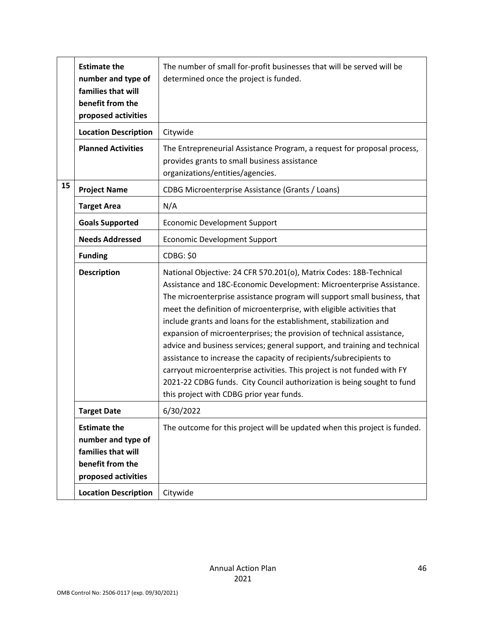|    | <b>Estimate the</b><br>number and type of<br>families that will<br>benefit from the<br>proposed activities | The number of small for-profit businesses that will be served will be<br>determined once the project is funded.                                                                                                                                                                                                                                                                                                                                                                                                                                                                                                                                                                                                                                                                                   |
|----|------------------------------------------------------------------------------------------------------------|---------------------------------------------------------------------------------------------------------------------------------------------------------------------------------------------------------------------------------------------------------------------------------------------------------------------------------------------------------------------------------------------------------------------------------------------------------------------------------------------------------------------------------------------------------------------------------------------------------------------------------------------------------------------------------------------------------------------------------------------------------------------------------------------------|
|    | <b>Location Description</b>                                                                                | Citywide                                                                                                                                                                                                                                                                                                                                                                                                                                                                                                                                                                                                                                                                                                                                                                                          |
|    | <b>Planned Activities</b>                                                                                  | The Entrepreneurial Assistance Program, a request for proposal process,<br>provides grants to small business assistance<br>organizations/entities/agencies.                                                                                                                                                                                                                                                                                                                                                                                                                                                                                                                                                                                                                                       |
| 15 | <b>Project Name</b>                                                                                        | CDBG Microenterprise Assistance (Grants / Loans)                                                                                                                                                                                                                                                                                                                                                                                                                                                                                                                                                                                                                                                                                                                                                  |
|    | <b>Target Area</b>                                                                                         | N/A                                                                                                                                                                                                                                                                                                                                                                                                                                                                                                                                                                                                                                                                                                                                                                                               |
|    | <b>Goals Supported</b>                                                                                     | <b>Economic Development Support</b>                                                                                                                                                                                                                                                                                                                                                                                                                                                                                                                                                                                                                                                                                                                                                               |
|    | <b>Needs Addressed</b>                                                                                     | <b>Economic Development Support</b>                                                                                                                                                                                                                                                                                                                                                                                                                                                                                                                                                                                                                                                                                                                                                               |
|    | <b>Funding</b>                                                                                             | <b>CDBG: \$0</b>                                                                                                                                                                                                                                                                                                                                                                                                                                                                                                                                                                                                                                                                                                                                                                                  |
|    | <b>Description</b>                                                                                         | National Objective: 24 CFR 570.201(o), Matrix Codes: 18B-Technical<br>Assistance and 18C-Economic Development: Microenterprise Assistance.<br>The microenterprise assistance program will support small business, that<br>meet the definition of microenterprise, with eligible activities that<br>include grants and loans for the establishment, stabilization and<br>expansion of microenterprises; the provision of technical assistance,<br>advice and business services; general support, and training and technical<br>assistance to increase the capacity of recipients/subrecipients to<br>carryout microenterprise activities. This project is not funded with FY<br>2021-22 CDBG funds. City Council authorization is being sought to fund<br>this project with CDBG prior year funds. |
|    | <b>Target Date</b>                                                                                         | 6/30/2022                                                                                                                                                                                                                                                                                                                                                                                                                                                                                                                                                                                                                                                                                                                                                                                         |
|    | <b>Estimate the</b><br>number and type of<br>families that will<br>benefit from the<br>proposed activities | The outcome for this project will be updated when this project is funded.                                                                                                                                                                                                                                                                                                                                                                                                                                                                                                                                                                                                                                                                                                                         |
|    | <b>Location Description</b>                                                                                | Citywide                                                                                                                                                                                                                                                                                                                                                                                                                                                                                                                                                                                                                                                                                                                                                                                          |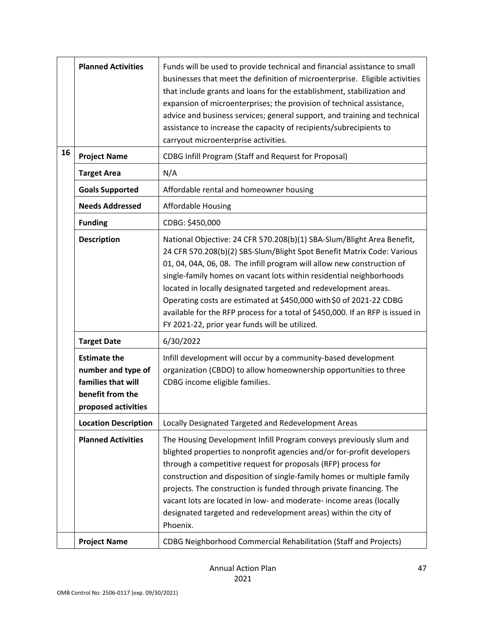|    | <b>Planned Activities</b>                                                                                  | Funds will be used to provide technical and financial assistance to small<br>businesses that meet the definition of microenterprise. Eligible activities<br>that include grants and loans for the establishment, stabilization and<br>expansion of microenterprises; the provision of technical assistance,<br>advice and business services; general support, and training and technical<br>assistance to increase the capacity of recipients/subrecipients to<br>carryout microenterprise activities.                                                                          |
|----|------------------------------------------------------------------------------------------------------------|---------------------------------------------------------------------------------------------------------------------------------------------------------------------------------------------------------------------------------------------------------------------------------------------------------------------------------------------------------------------------------------------------------------------------------------------------------------------------------------------------------------------------------------------------------------------------------|
| 16 | <b>Project Name</b>                                                                                        | <b>CDBG Infill Program (Staff and Request for Proposal)</b>                                                                                                                                                                                                                                                                                                                                                                                                                                                                                                                     |
|    | <b>Target Area</b>                                                                                         | N/A                                                                                                                                                                                                                                                                                                                                                                                                                                                                                                                                                                             |
|    | <b>Goals Supported</b>                                                                                     | Affordable rental and homeowner housing                                                                                                                                                                                                                                                                                                                                                                                                                                                                                                                                         |
|    | <b>Needs Addressed</b>                                                                                     | <b>Affordable Housing</b>                                                                                                                                                                                                                                                                                                                                                                                                                                                                                                                                                       |
|    | <b>Funding</b>                                                                                             | CDBG: \$450,000                                                                                                                                                                                                                                                                                                                                                                                                                                                                                                                                                                 |
|    | <b>Description</b>                                                                                         | National Objective: 24 CFR 570.208(b)(1) SBA-Slum/Blight Area Benefit,<br>24 CFR 570.208(b)(2) SBS-Slum/Blight Spot Benefit Matrix Code: Various<br>01, 04, 04A, 06, 08. The infill program will allow new construction of<br>single-family homes on vacant lots within residential neighborhoods<br>located in locally designated targeted and redevelopment areas.<br>Operating costs are estimated at \$450,000 with \$0 of 2021-22 CDBG<br>available for the RFP process for a total of \$450,000. If an RFP is issued in<br>FY 2021-22, prior year funds will be utilized. |
|    | <b>Target Date</b>                                                                                         | 6/30/2022                                                                                                                                                                                                                                                                                                                                                                                                                                                                                                                                                                       |
|    | <b>Estimate the</b><br>number and type of<br>families that will<br>benefit from the<br>proposed activities | Infill development will occur by a community-based development<br>organization (CBDO) to allow homeownership opportunities to three<br>CDBG income eligible families.                                                                                                                                                                                                                                                                                                                                                                                                           |
|    | <b>Location Description</b>                                                                                | Locally Designated Targeted and Redevelopment Areas                                                                                                                                                                                                                                                                                                                                                                                                                                                                                                                             |
|    | <b>Planned Activities</b>                                                                                  | The Housing Development Infill Program conveys previously slum and<br>blighted properties to nonprofit agencies and/or for-profit developers<br>through a competitive request for proposals (RFP) process for<br>construction and disposition of single-family homes or multiple family<br>projects. The construction is funded through private financing. The<br>vacant lots are located in low- and moderate- income areas (locally<br>designated targeted and redevelopment areas) within the city of<br>Phoenix.                                                            |
|    | <b>Project Name</b>                                                                                        | <b>CDBG Neighborhood Commercial Rehabilitation (Staff and Projects)</b>                                                                                                                                                                                                                                                                                                                                                                                                                                                                                                         |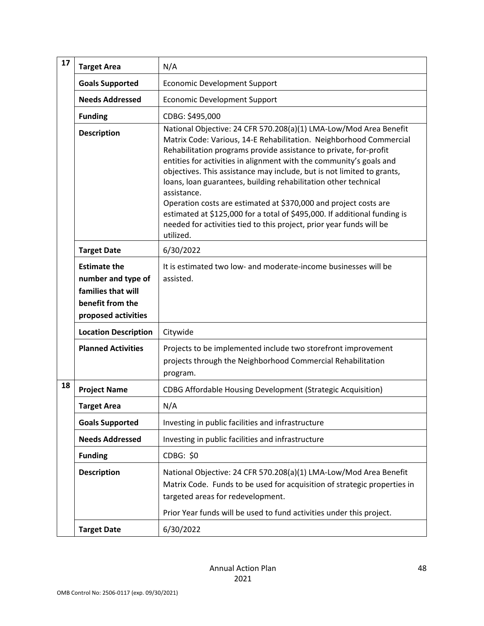| 17 | <b>Target Area</b>                                                                                         | N/A                                                                                                                                                                                                                                                                                                                                                                                                                                                                                                                                                                                                                                                                                   |
|----|------------------------------------------------------------------------------------------------------------|---------------------------------------------------------------------------------------------------------------------------------------------------------------------------------------------------------------------------------------------------------------------------------------------------------------------------------------------------------------------------------------------------------------------------------------------------------------------------------------------------------------------------------------------------------------------------------------------------------------------------------------------------------------------------------------|
|    | <b>Goals Supported</b>                                                                                     | <b>Economic Development Support</b>                                                                                                                                                                                                                                                                                                                                                                                                                                                                                                                                                                                                                                                   |
|    | <b>Needs Addressed</b>                                                                                     | <b>Economic Development Support</b>                                                                                                                                                                                                                                                                                                                                                                                                                                                                                                                                                                                                                                                   |
|    | <b>Funding</b>                                                                                             | CDBG: \$495,000                                                                                                                                                                                                                                                                                                                                                                                                                                                                                                                                                                                                                                                                       |
|    | <b>Description</b>                                                                                         | National Objective: 24 CFR 570.208(a)(1) LMA-Low/Mod Area Benefit<br>Matrix Code: Various, 14-E Rehabilitation. Neighborhood Commercial<br>Rehabilitation programs provide assistance to private, for-profit<br>entities for activities in alignment with the community's goals and<br>objectives. This assistance may include, but is not limited to grants,<br>loans, loan guarantees, building rehabilitation other technical<br>assistance.<br>Operation costs are estimated at \$370,000 and project costs are<br>estimated at \$125,000 for a total of \$495,000. If additional funding is<br>needed for activities tied to this project, prior year funds will be<br>utilized. |
|    | <b>Target Date</b>                                                                                         | 6/30/2022                                                                                                                                                                                                                                                                                                                                                                                                                                                                                                                                                                                                                                                                             |
|    | <b>Estimate the</b><br>number and type of<br>families that will<br>benefit from the<br>proposed activities | It is estimated two low- and moderate-income businesses will be<br>assisted.                                                                                                                                                                                                                                                                                                                                                                                                                                                                                                                                                                                                          |
|    | <b>Location Description</b>                                                                                | Citywide                                                                                                                                                                                                                                                                                                                                                                                                                                                                                                                                                                                                                                                                              |
|    | <b>Planned Activities</b>                                                                                  | Projects to be implemented include two storefront improvement<br>projects through the Neighborhood Commercial Rehabilitation<br>program.                                                                                                                                                                                                                                                                                                                                                                                                                                                                                                                                              |
| 18 | <b>Project Name</b>                                                                                        | <b>CDBG Affordable Housing Development (Strategic Acquisition)</b>                                                                                                                                                                                                                                                                                                                                                                                                                                                                                                                                                                                                                    |
|    | <b>Target Area</b>                                                                                         | N/A                                                                                                                                                                                                                                                                                                                                                                                                                                                                                                                                                                                                                                                                                   |
|    | <b>Goals Supported</b>                                                                                     | Investing in public facilities and infrastructure                                                                                                                                                                                                                                                                                                                                                                                                                                                                                                                                                                                                                                     |
|    | <b>Needs Addressed</b>                                                                                     | Investing in public facilities and infrastructure                                                                                                                                                                                                                                                                                                                                                                                                                                                                                                                                                                                                                                     |
|    | <b>Funding</b>                                                                                             | CDBG: \$0                                                                                                                                                                                                                                                                                                                                                                                                                                                                                                                                                                                                                                                                             |
|    | <b>Description</b>                                                                                         | National Objective: 24 CFR 570.208(a)(1) LMA-Low/Mod Area Benefit<br>Matrix Code. Funds to be used for acquisition of strategic properties in<br>targeted areas for redevelopment.<br>Prior Year funds will be used to fund activities under this project.                                                                                                                                                                                                                                                                                                                                                                                                                            |
|    | <b>Target Date</b>                                                                                         | 6/30/2022                                                                                                                                                                                                                                                                                                                                                                                                                                                                                                                                                                                                                                                                             |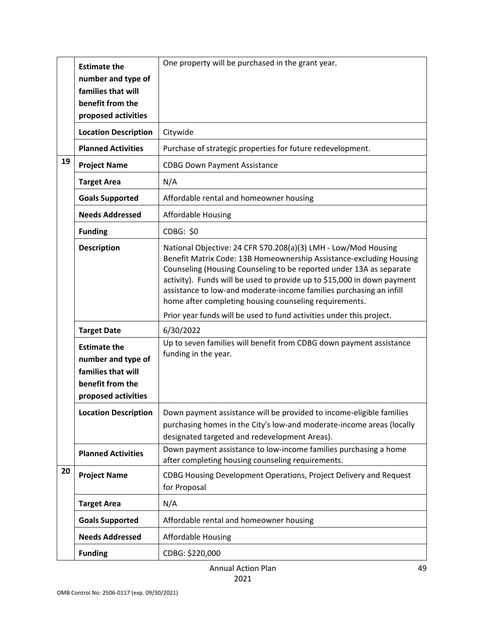|    | <b>Estimate the</b><br>number and type of<br>families that will<br>benefit from the<br>proposed activities | One property will be purchased in the grant year.                                                                                                                                                                                                                                                                                                                                                                        |
|----|------------------------------------------------------------------------------------------------------------|--------------------------------------------------------------------------------------------------------------------------------------------------------------------------------------------------------------------------------------------------------------------------------------------------------------------------------------------------------------------------------------------------------------------------|
|    | <b>Location Description</b>                                                                                | Citywide                                                                                                                                                                                                                                                                                                                                                                                                                 |
|    | <b>Planned Activities</b>                                                                                  | Purchase of strategic properties for future redevelopment.                                                                                                                                                                                                                                                                                                                                                               |
| 19 | <b>Project Name</b>                                                                                        | <b>CDBG Down Payment Assistance</b>                                                                                                                                                                                                                                                                                                                                                                                      |
|    | <b>Target Area</b>                                                                                         | N/A                                                                                                                                                                                                                                                                                                                                                                                                                      |
|    | <b>Goals Supported</b>                                                                                     | Affordable rental and homeowner housing                                                                                                                                                                                                                                                                                                                                                                                  |
|    | <b>Needs Addressed</b>                                                                                     | <b>Affordable Housing</b>                                                                                                                                                                                                                                                                                                                                                                                                |
|    | <b>Funding</b>                                                                                             | <b>CDBG: \$0</b>                                                                                                                                                                                                                                                                                                                                                                                                         |
|    | <b>Description</b>                                                                                         | National Objective: 24 CFR 570.208(a)(3) LMH - Low/Mod Housing<br>Benefit Matrix Code: 13B Homeownership Assistance-excluding Housing<br>Counseling (Housing Counseling to be reported under 13A as separate<br>activity). Funds will be used to provide up to \$15,000 in down payment<br>assistance to low-and moderate-income families purchasing an infill<br>home after completing housing counseling requirements. |
|    |                                                                                                            | Prior year funds will be used to fund activities under this project.                                                                                                                                                                                                                                                                                                                                                     |
|    | <b>Target Date</b>                                                                                         | 6/30/2022                                                                                                                                                                                                                                                                                                                                                                                                                |
|    | <b>Estimate the</b><br>number and type of<br>families that will<br>benefit from the<br>proposed activities | Up to seven families will benefit from CDBG down payment assistance<br>funding in the year.                                                                                                                                                                                                                                                                                                                              |
|    | <b>Location Description</b>                                                                                | Down payment assistance will be provided to income-eligible families<br>purchasing homes in the City's low-and moderate-income areas (locally<br>designated targeted and redevelopment Areas).                                                                                                                                                                                                                           |
|    | <b>Planned Activities</b>                                                                                  | Down payment assistance to low-income families purchasing a home<br>after completing housing counseling requirements.                                                                                                                                                                                                                                                                                                    |
| 20 | <b>Project Name</b>                                                                                        | CDBG Housing Development Operations, Project Delivery and Request<br>for Proposal                                                                                                                                                                                                                                                                                                                                        |
|    | <b>Target Area</b>                                                                                         | N/A                                                                                                                                                                                                                                                                                                                                                                                                                      |
|    | <b>Goals Supported</b>                                                                                     | Affordable rental and homeowner housing                                                                                                                                                                                                                                                                                                                                                                                  |
|    | <b>Needs Addressed</b>                                                                                     | <b>Affordable Housing</b>                                                                                                                                                                                                                                                                                                                                                                                                |
|    | <b>Funding</b>                                                                                             | CDBG: \$220,000                                                                                                                                                                                                                                                                                                                                                                                                          |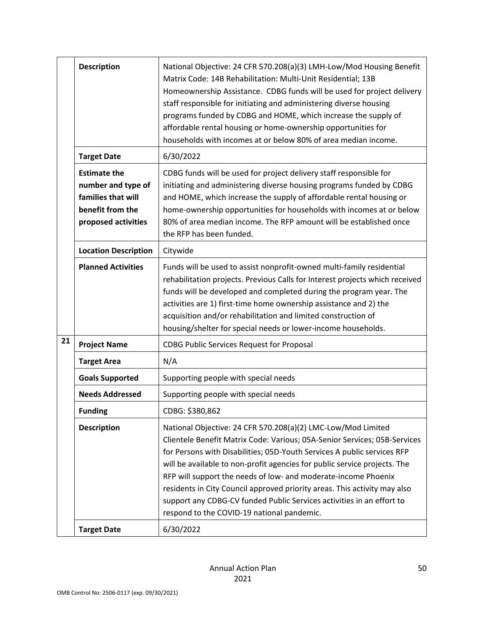|    | <b>Description</b>                                                                                         | National Objective: 24 CFR 570.208(a)(3) LMH-Low/Mod Housing Benefit<br>Matrix Code: 14B Rehabilitation: Multi-Unit Residential; 13B<br>Homeownership Assistance. CDBG funds will be used for project delivery<br>staff responsible for initiating and administering diverse housing<br>programs funded by CDBG and HOME, which increase the supply of<br>affordable rental housing or home-ownership opportunities for<br>households with incomes at or below 80% of area median income.                                                                               |
|----|------------------------------------------------------------------------------------------------------------|-------------------------------------------------------------------------------------------------------------------------------------------------------------------------------------------------------------------------------------------------------------------------------------------------------------------------------------------------------------------------------------------------------------------------------------------------------------------------------------------------------------------------------------------------------------------------|
|    | <b>Target Date</b>                                                                                         | 6/30/2022                                                                                                                                                                                                                                                                                                                                                                                                                                                                                                                                                               |
|    | <b>Estimate the</b><br>number and type of<br>families that will<br>benefit from the<br>proposed activities | CDBG funds will be used for project delivery staff responsible for<br>initiating and administering diverse housing programs funded by CDBG<br>and HOME, which increase the supply of affordable rental housing or<br>home-ownership opportunities for households with incomes at or below<br>80% of area median income. The RFP amount will be established once<br>the RFP has been funded.                                                                                                                                                                             |
|    | <b>Location Description</b>                                                                                | Citywide                                                                                                                                                                                                                                                                                                                                                                                                                                                                                                                                                                |
|    | <b>Planned Activities</b>                                                                                  | Funds will be used to assist nonprofit-owned multi-family residential<br>rehabilitation projects. Previous Calls for Interest projects which received<br>funds will be developed and completed during the program year. The<br>activities are 1) first-time home ownership assistance and 2) the<br>acquisition and/or rehabilitation and limited construction of<br>housing/shelter for special needs or lower-income households.                                                                                                                                      |
| 21 | <b>Project Name</b>                                                                                        | <b>CDBG Public Services Request for Proposal</b>                                                                                                                                                                                                                                                                                                                                                                                                                                                                                                                        |
|    | <b>Target Area</b>                                                                                         | N/A                                                                                                                                                                                                                                                                                                                                                                                                                                                                                                                                                                     |
|    | <b>Goals Supported</b>                                                                                     | Supporting people with special needs                                                                                                                                                                                                                                                                                                                                                                                                                                                                                                                                    |
|    | <b>Needs Addressed</b>                                                                                     | Supporting people with special needs                                                                                                                                                                                                                                                                                                                                                                                                                                                                                                                                    |
|    | <b>Funding</b>                                                                                             | CDBG: \$380,862                                                                                                                                                                                                                                                                                                                                                                                                                                                                                                                                                         |
|    | <b>Description</b>                                                                                         | National Objective: 24 CFR 570.208(a)(2) LMC-Low/Mod Limited<br>Clientele Benefit Matrix Code: Various; 05A-Senior Services; 05B-Services<br>for Persons with Disabilities; 05D-Youth Services A public services RFP<br>will be available to non-profit agencies for public service projects. The<br>RFP will support the needs of low- and moderate-income Phoenix<br>residents in City Council approved priority areas. This activity may also<br>support any CDBG-CV funded Public Services activities in an effort to<br>respond to the COVID-19 national pandemic. |
|    | <b>Target Date</b>                                                                                         | 6/30/2022                                                                                                                                                                                                                                                                                                                                                                                                                                                                                                                                                               |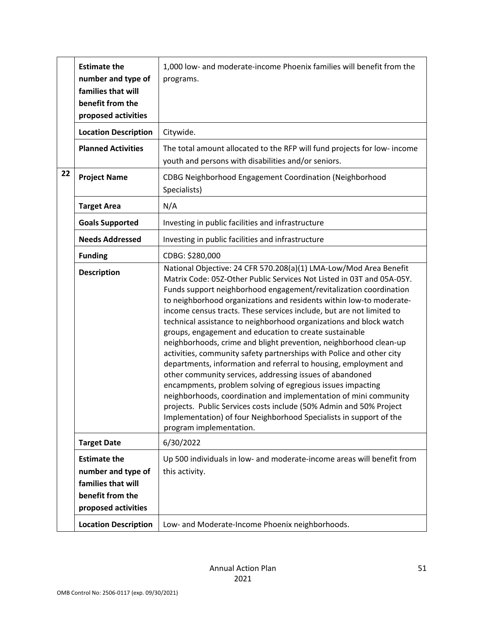|    | <b>Estimate the</b><br>number and type of<br>families that will<br>benefit from the<br>proposed activities | 1,000 low- and moderate-income Phoenix families will benefit from the<br>programs.                                                                                                                                                                                                                                                                                                                                                                                                                                                                                                                                                                                                                                                                                                                                                                                                                                                                                                                                                                                                   |
|----|------------------------------------------------------------------------------------------------------------|--------------------------------------------------------------------------------------------------------------------------------------------------------------------------------------------------------------------------------------------------------------------------------------------------------------------------------------------------------------------------------------------------------------------------------------------------------------------------------------------------------------------------------------------------------------------------------------------------------------------------------------------------------------------------------------------------------------------------------------------------------------------------------------------------------------------------------------------------------------------------------------------------------------------------------------------------------------------------------------------------------------------------------------------------------------------------------------|
|    | <b>Location Description</b>                                                                                | Citywide.                                                                                                                                                                                                                                                                                                                                                                                                                                                                                                                                                                                                                                                                                                                                                                                                                                                                                                                                                                                                                                                                            |
|    | <b>Planned Activities</b>                                                                                  | The total amount allocated to the RFP will fund projects for low- income<br>youth and persons with disabilities and/or seniors.                                                                                                                                                                                                                                                                                                                                                                                                                                                                                                                                                                                                                                                                                                                                                                                                                                                                                                                                                      |
| 22 | <b>Project Name</b>                                                                                        | CDBG Neighborhood Engagement Coordination (Neighborhood<br>Specialists)                                                                                                                                                                                                                                                                                                                                                                                                                                                                                                                                                                                                                                                                                                                                                                                                                                                                                                                                                                                                              |
|    | <b>Target Area</b>                                                                                         | N/A                                                                                                                                                                                                                                                                                                                                                                                                                                                                                                                                                                                                                                                                                                                                                                                                                                                                                                                                                                                                                                                                                  |
|    | <b>Goals Supported</b>                                                                                     | Investing in public facilities and infrastructure                                                                                                                                                                                                                                                                                                                                                                                                                                                                                                                                                                                                                                                                                                                                                                                                                                                                                                                                                                                                                                    |
|    | <b>Needs Addressed</b>                                                                                     | Investing in public facilities and infrastructure                                                                                                                                                                                                                                                                                                                                                                                                                                                                                                                                                                                                                                                                                                                                                                                                                                                                                                                                                                                                                                    |
|    | <b>Funding</b>                                                                                             | CDBG: \$280,000                                                                                                                                                                                                                                                                                                                                                                                                                                                                                                                                                                                                                                                                                                                                                                                                                                                                                                                                                                                                                                                                      |
|    | <b>Description</b>                                                                                         | National Objective: 24 CFR 570.208(a)(1) LMA-Low/Mod Area Benefit<br>Matrix Code: 05Z-Other Public Services Not Listed in 03T and 05A-05Y.<br>Funds support neighborhood engagement/revitalization coordination<br>to neighborhood organizations and residents within low-to moderate-<br>income census tracts. These services include, but are not limited to<br>technical assistance to neighborhood organizations and block watch<br>groups, engagement and education to create sustainable<br>neighborhoods, crime and blight prevention, neighborhood clean-up<br>activities, community safety partnerships with Police and other city<br>departments, information and referral to housing, employment and<br>other community services, addressing issues of abandoned<br>encampments, problem solving of egregious issues impacting<br>neighborhoods, coordination and implementation of mini community<br>projects. Public Services costs include (50% Admin and 50% Project<br>Implementation) of four Neighborhood Specialists in support of the<br>program implementation. |
|    | <b>Target Date</b>                                                                                         | 6/30/2022                                                                                                                                                                                                                                                                                                                                                                                                                                                                                                                                                                                                                                                                                                                                                                                                                                                                                                                                                                                                                                                                            |
|    | <b>Estimate the</b><br>number and type of<br>families that will<br>benefit from the<br>proposed activities | Up 500 individuals in low- and moderate-income areas will benefit from<br>this activity.                                                                                                                                                                                                                                                                                                                                                                                                                                                                                                                                                                                                                                                                                                                                                                                                                                                                                                                                                                                             |
|    | <b>Location Description</b>                                                                                | Low- and Moderate-Income Phoenix neighborhoods.                                                                                                                                                                                                                                                                                                                                                                                                                                                                                                                                                                                                                                                                                                                                                                                                                                                                                                                                                                                                                                      |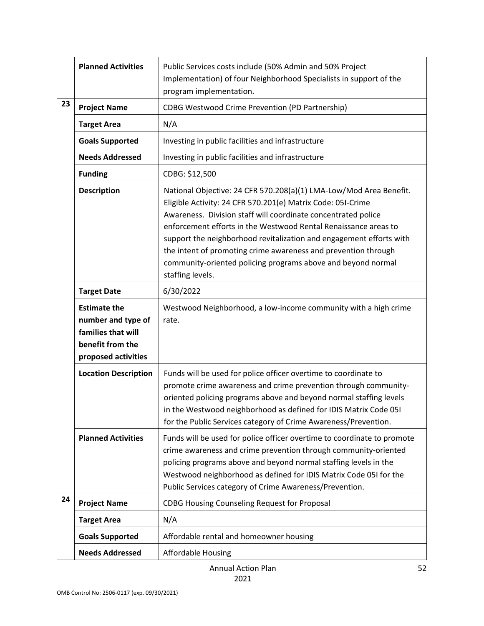|    | <b>Planned Activities</b>                                                                                  | Public Services costs include (50% Admin and 50% Project<br>Implementation) of four Neighborhood Specialists in support of the<br>program implementation.                                                                                                                                                                                                                                                                                                                                          |
|----|------------------------------------------------------------------------------------------------------------|----------------------------------------------------------------------------------------------------------------------------------------------------------------------------------------------------------------------------------------------------------------------------------------------------------------------------------------------------------------------------------------------------------------------------------------------------------------------------------------------------|
| 23 | <b>Project Name</b>                                                                                        | CDBG Westwood Crime Prevention (PD Partnership)                                                                                                                                                                                                                                                                                                                                                                                                                                                    |
|    | <b>Target Area</b>                                                                                         | N/A                                                                                                                                                                                                                                                                                                                                                                                                                                                                                                |
|    | <b>Goals Supported</b>                                                                                     | Investing in public facilities and infrastructure                                                                                                                                                                                                                                                                                                                                                                                                                                                  |
|    | <b>Needs Addressed</b>                                                                                     | Investing in public facilities and infrastructure                                                                                                                                                                                                                                                                                                                                                                                                                                                  |
|    | <b>Funding</b>                                                                                             | CDBG: \$12,500                                                                                                                                                                                                                                                                                                                                                                                                                                                                                     |
|    | <b>Description</b>                                                                                         | National Objective: 24 CFR 570.208(a)(1) LMA-Low/Mod Area Benefit.<br>Eligible Activity: 24 CFR 570.201(e) Matrix Code: 05I-Crime<br>Awareness. Division staff will coordinate concentrated police<br>enforcement efforts in the Westwood Rental Renaissance areas to<br>support the neighborhood revitalization and engagement efforts with<br>the intent of promoting crime awareness and prevention through<br>community-oriented policing programs above and beyond normal<br>staffing levels. |
|    | <b>Target Date</b>                                                                                         | 6/30/2022                                                                                                                                                                                                                                                                                                                                                                                                                                                                                          |
|    | <b>Estimate the</b><br>number and type of<br>families that will<br>benefit from the<br>proposed activities | Westwood Neighborhood, a low-income community with a high crime<br>rate.                                                                                                                                                                                                                                                                                                                                                                                                                           |
|    | <b>Location Description</b>                                                                                | Funds will be used for police officer overtime to coordinate to<br>promote crime awareness and crime prevention through community-<br>oriented policing programs above and beyond normal staffing levels<br>in the Westwood neighborhood as defined for IDIS Matrix Code 051<br>for the Public Services category of Crime Awareness/Prevention.                                                                                                                                                    |
|    | <b>Planned Activities</b>                                                                                  | Funds will be used for police officer overtime to coordinate to promote<br>crime awareness and crime prevention through community-oriented<br>policing programs above and beyond normal staffing levels in the<br>Westwood neighborhood as defined for IDIS Matrix Code 05I for the<br>Public Services category of Crime Awareness/Prevention.                                                                                                                                                     |
| 24 | <b>Project Name</b>                                                                                        | <b>CDBG Housing Counseling Request for Proposal</b>                                                                                                                                                                                                                                                                                                                                                                                                                                                |
|    | <b>Target Area</b>                                                                                         | N/A                                                                                                                                                                                                                                                                                                                                                                                                                                                                                                |
|    | <b>Goals Supported</b>                                                                                     | Affordable rental and homeowner housing                                                                                                                                                                                                                                                                                                                                                                                                                                                            |
|    | <b>Needs Addressed</b>                                                                                     | <b>Affordable Housing</b>                                                                                                                                                                                                                                                                                                                                                                                                                                                                          |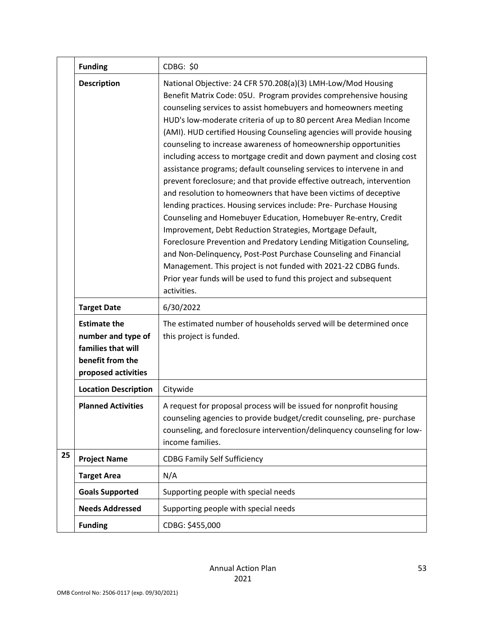|    | <b>Funding</b>                                                                                             | CDBG: \$0                                                                                                                                                                                                                                                                                                                                                                                                                                                                                                                                                                                                                                                                                                                                                                                                                                                                                                                                                                                                                                                                                                                                                                                                                   |
|----|------------------------------------------------------------------------------------------------------------|-----------------------------------------------------------------------------------------------------------------------------------------------------------------------------------------------------------------------------------------------------------------------------------------------------------------------------------------------------------------------------------------------------------------------------------------------------------------------------------------------------------------------------------------------------------------------------------------------------------------------------------------------------------------------------------------------------------------------------------------------------------------------------------------------------------------------------------------------------------------------------------------------------------------------------------------------------------------------------------------------------------------------------------------------------------------------------------------------------------------------------------------------------------------------------------------------------------------------------|
|    | <b>Description</b>                                                                                         | National Objective: 24 CFR 570.208(a)(3) LMH-Low/Mod Housing<br>Benefit Matrix Code: 05U. Program provides comprehensive housing<br>counseling services to assist homebuyers and homeowners meeting<br>HUD's low-moderate criteria of up to 80 percent Area Median Income<br>(AMI). HUD certified Housing Counseling agencies will provide housing<br>counseling to increase awareness of homeownership opportunities<br>including access to mortgage credit and down payment and closing cost<br>assistance programs; default counseling services to intervene in and<br>prevent foreclosure; and that provide effective outreach, intervention<br>and resolution to homeowners that have been victims of deceptive<br>lending practices. Housing services include: Pre- Purchase Housing<br>Counseling and Homebuyer Education, Homebuyer Re-entry, Credit<br>Improvement, Debt Reduction Strategies, Mortgage Default,<br>Foreclosure Prevention and Predatory Lending Mitigation Counseling,<br>and Non-Delinquency, Post-Post Purchase Counseling and Financial<br>Management. This project is not funded with 2021-22 CDBG funds.<br>Prior year funds will be used to fund this project and subsequent<br>activities. |
|    | <b>Target Date</b>                                                                                         | 6/30/2022                                                                                                                                                                                                                                                                                                                                                                                                                                                                                                                                                                                                                                                                                                                                                                                                                                                                                                                                                                                                                                                                                                                                                                                                                   |
|    | <b>Estimate the</b><br>number and type of<br>families that will<br>benefit from the<br>proposed activities | The estimated number of households served will be determined once<br>this project is funded.                                                                                                                                                                                                                                                                                                                                                                                                                                                                                                                                                                                                                                                                                                                                                                                                                                                                                                                                                                                                                                                                                                                                |
|    | <b>Location Description</b>                                                                                | Citywide                                                                                                                                                                                                                                                                                                                                                                                                                                                                                                                                                                                                                                                                                                                                                                                                                                                                                                                                                                                                                                                                                                                                                                                                                    |
|    | <b>Planned Activities</b>                                                                                  | A request for proposal process will be issued for nonprofit housing<br>counseling agencies to provide budget/credit counseling, pre- purchase<br>counseling, and foreclosure intervention/delinquency counseling for low-<br>income families.                                                                                                                                                                                                                                                                                                                                                                                                                                                                                                                                                                                                                                                                                                                                                                                                                                                                                                                                                                               |
| 25 | <b>Project Name</b>                                                                                        | <b>CDBG Family Self Sufficiency</b>                                                                                                                                                                                                                                                                                                                                                                                                                                                                                                                                                                                                                                                                                                                                                                                                                                                                                                                                                                                                                                                                                                                                                                                         |
|    | <b>Target Area</b>                                                                                         | N/A                                                                                                                                                                                                                                                                                                                                                                                                                                                                                                                                                                                                                                                                                                                                                                                                                                                                                                                                                                                                                                                                                                                                                                                                                         |
|    | <b>Goals Supported</b>                                                                                     | Supporting people with special needs                                                                                                                                                                                                                                                                                                                                                                                                                                                                                                                                                                                                                                                                                                                                                                                                                                                                                                                                                                                                                                                                                                                                                                                        |
|    | <b>Needs Addressed</b>                                                                                     | Supporting people with special needs                                                                                                                                                                                                                                                                                                                                                                                                                                                                                                                                                                                                                                                                                                                                                                                                                                                                                                                                                                                                                                                                                                                                                                                        |
|    | <b>Funding</b>                                                                                             | CDBG: \$455,000                                                                                                                                                                                                                                                                                                                                                                                                                                                                                                                                                                                                                                                                                                                                                                                                                                                                                                                                                                                                                                                                                                                                                                                                             |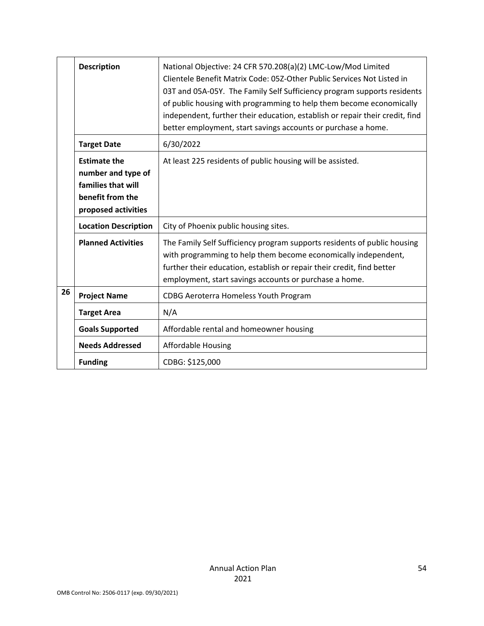|    | <b>Description</b>                                                                                         | National Objective: 24 CFR 570.208(a)(2) LMC-Low/Mod Limited<br>Clientele Benefit Matrix Code: 05Z-Other Public Services Not Listed in<br>03T and 05A-05Y. The Family Self Sufficiency program supports residents<br>of public housing with programming to help them become economically<br>independent, further their education, establish or repair their credit, find<br>better employment, start savings accounts or purchase a home. |
|----|------------------------------------------------------------------------------------------------------------|-------------------------------------------------------------------------------------------------------------------------------------------------------------------------------------------------------------------------------------------------------------------------------------------------------------------------------------------------------------------------------------------------------------------------------------------|
|    | <b>Target Date</b>                                                                                         | 6/30/2022                                                                                                                                                                                                                                                                                                                                                                                                                                 |
|    | <b>Estimate the</b><br>number and type of<br>families that will<br>benefit from the<br>proposed activities | At least 225 residents of public housing will be assisted.                                                                                                                                                                                                                                                                                                                                                                                |
|    | <b>Location Description</b>                                                                                | City of Phoenix public housing sites.                                                                                                                                                                                                                                                                                                                                                                                                     |
|    | <b>Planned Activities</b>                                                                                  | The Family Self Sufficiency program supports residents of public housing<br>with programming to help them become economically independent,<br>further their education, establish or repair their credit, find better<br>employment, start savings accounts or purchase a home.                                                                                                                                                            |
| 26 | <b>Project Name</b>                                                                                        | CDBG Aeroterra Homeless Youth Program                                                                                                                                                                                                                                                                                                                                                                                                     |
|    | <b>Target Area</b>                                                                                         | N/A                                                                                                                                                                                                                                                                                                                                                                                                                                       |
|    | <b>Goals Supported</b>                                                                                     | Affordable rental and homeowner housing                                                                                                                                                                                                                                                                                                                                                                                                   |
|    | <b>Needs Addressed</b>                                                                                     | <b>Affordable Housing</b>                                                                                                                                                                                                                                                                                                                                                                                                                 |
|    | <b>Funding</b>                                                                                             | CDBG: \$125,000                                                                                                                                                                                                                                                                                                                                                                                                                           |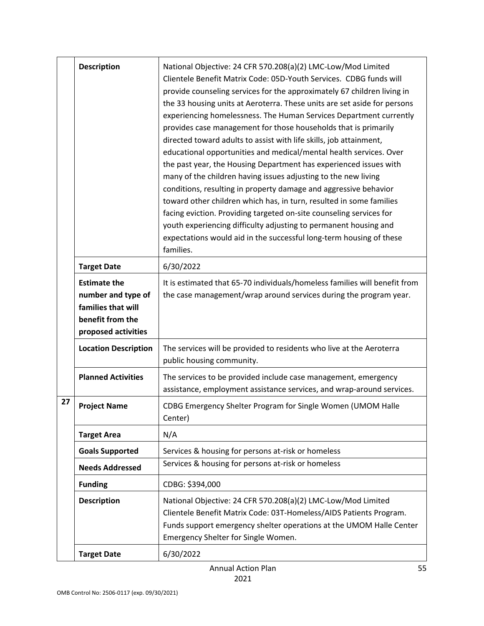|    | <b>Description</b>                                                                                         | National Objective: 24 CFR 570.208(a)(2) LMC-Low/Mod Limited<br>Clientele Benefit Matrix Code: 05D-Youth Services. CDBG funds will<br>provide counseling services for the approximately 67 children living in<br>the 33 housing units at Aeroterra. These units are set aside for persons<br>experiencing homelessness. The Human Services Department currently<br>provides case management for those households that is primarily<br>directed toward adults to assist with life skills, job attainment,<br>educational opportunities and medical/mental health services. Over<br>the past year, the Housing Department has experienced issues with<br>many of the children having issues adjusting to the new living<br>conditions, resulting in property damage and aggressive behavior<br>toward other children which has, in turn, resulted in some families<br>facing eviction. Providing targeted on-site counseling services for<br>youth experiencing difficulty adjusting to permanent housing and<br>expectations would aid in the successful long-term housing of these<br>families. |
|----|------------------------------------------------------------------------------------------------------------|-------------------------------------------------------------------------------------------------------------------------------------------------------------------------------------------------------------------------------------------------------------------------------------------------------------------------------------------------------------------------------------------------------------------------------------------------------------------------------------------------------------------------------------------------------------------------------------------------------------------------------------------------------------------------------------------------------------------------------------------------------------------------------------------------------------------------------------------------------------------------------------------------------------------------------------------------------------------------------------------------------------------------------------------------------------------------------------------------|
|    | <b>Target Date</b>                                                                                         | 6/30/2022                                                                                                                                                                                                                                                                                                                                                                                                                                                                                                                                                                                                                                                                                                                                                                                                                                                                                                                                                                                                                                                                                       |
|    | <b>Estimate the</b><br>number and type of<br>families that will<br>benefit from the<br>proposed activities | It is estimated that 65-70 individuals/homeless families will benefit from<br>the case management/wrap around services during the program year.                                                                                                                                                                                                                                                                                                                                                                                                                                                                                                                                                                                                                                                                                                                                                                                                                                                                                                                                                 |
|    | <b>Location Description</b>                                                                                | The services will be provided to residents who live at the Aeroterra<br>public housing community.                                                                                                                                                                                                                                                                                                                                                                                                                                                                                                                                                                                                                                                                                                                                                                                                                                                                                                                                                                                               |
|    | <b>Planned Activities</b>                                                                                  | The services to be provided include case management, emergency<br>assistance, employment assistance services, and wrap-around services.                                                                                                                                                                                                                                                                                                                                                                                                                                                                                                                                                                                                                                                                                                                                                                                                                                                                                                                                                         |
| 27 | <b>Project Name</b>                                                                                        | CDBG Emergency Shelter Program for Single Women (UMOM Halle<br>Center)                                                                                                                                                                                                                                                                                                                                                                                                                                                                                                                                                                                                                                                                                                                                                                                                                                                                                                                                                                                                                          |
|    | <b>Target Area</b>                                                                                         | N/A                                                                                                                                                                                                                                                                                                                                                                                                                                                                                                                                                                                                                                                                                                                                                                                                                                                                                                                                                                                                                                                                                             |
|    | <b>Goals Supported</b>                                                                                     | Services & housing for persons at-risk or homeless                                                                                                                                                                                                                                                                                                                                                                                                                                                                                                                                                                                                                                                                                                                                                                                                                                                                                                                                                                                                                                              |
|    | <b>Needs Addressed</b>                                                                                     | Services & housing for persons at-risk or homeless                                                                                                                                                                                                                                                                                                                                                                                                                                                                                                                                                                                                                                                                                                                                                                                                                                                                                                                                                                                                                                              |
|    | <b>Funding</b>                                                                                             | CDBG: \$394,000                                                                                                                                                                                                                                                                                                                                                                                                                                                                                                                                                                                                                                                                                                                                                                                                                                                                                                                                                                                                                                                                                 |
|    | <b>Description</b>                                                                                         | National Objective: 24 CFR 570.208(a)(2) LMC-Low/Mod Limited<br>Clientele Benefit Matrix Code: 03T-Homeless/AIDS Patients Program.<br>Funds support emergency shelter operations at the UMOM Halle Center<br>Emergency Shelter for Single Women.                                                                                                                                                                                                                                                                                                                                                                                                                                                                                                                                                                                                                                                                                                                                                                                                                                                |
|    | <b>Target Date</b>                                                                                         | 6/30/2022                                                                                                                                                                                                                                                                                                                                                                                                                                                                                                                                                                                                                                                                                                                                                                                                                                                                                                                                                                                                                                                                                       |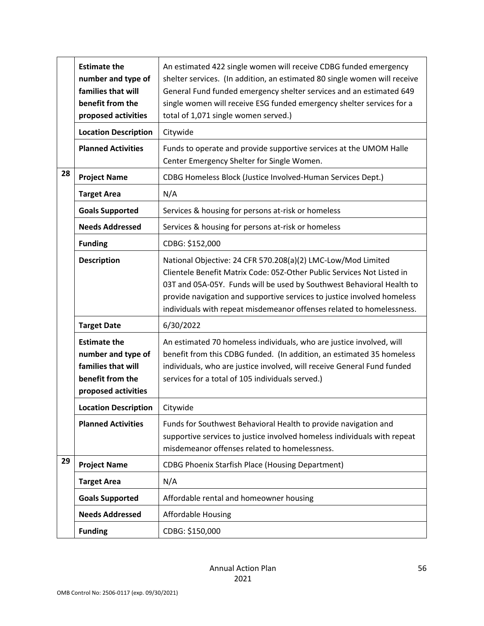|    | <b>Estimate the</b><br>number and type of<br>families that will<br>benefit from the<br>proposed activities | An estimated 422 single women will receive CDBG funded emergency<br>shelter services. (In addition, an estimated 80 single women will receive<br>General Fund funded emergency shelter services and an estimated 649<br>single women will receive ESG funded emergency shelter services for a<br>total of 1,071 single women served.)                               |
|----|------------------------------------------------------------------------------------------------------------|---------------------------------------------------------------------------------------------------------------------------------------------------------------------------------------------------------------------------------------------------------------------------------------------------------------------------------------------------------------------|
|    | <b>Location Description</b>                                                                                | Citywide                                                                                                                                                                                                                                                                                                                                                            |
|    | <b>Planned Activities</b>                                                                                  | Funds to operate and provide supportive services at the UMOM Halle<br>Center Emergency Shelter for Single Women.                                                                                                                                                                                                                                                    |
| 28 | <b>Project Name</b>                                                                                        | CDBG Homeless Block (Justice Involved-Human Services Dept.)                                                                                                                                                                                                                                                                                                         |
|    | <b>Target Area</b>                                                                                         | N/A                                                                                                                                                                                                                                                                                                                                                                 |
|    | <b>Goals Supported</b>                                                                                     | Services & housing for persons at-risk or homeless                                                                                                                                                                                                                                                                                                                  |
|    | <b>Needs Addressed</b>                                                                                     | Services & housing for persons at-risk or homeless                                                                                                                                                                                                                                                                                                                  |
|    | <b>Funding</b>                                                                                             | CDBG: \$152,000                                                                                                                                                                                                                                                                                                                                                     |
|    | <b>Description</b>                                                                                         | National Objective: 24 CFR 570.208(a)(2) LMC-Low/Mod Limited<br>Clientele Benefit Matrix Code: 05Z-Other Public Services Not Listed in<br>03T and 05A-05Y. Funds will be used by Southwest Behavioral Health to<br>provide navigation and supportive services to justice involved homeless<br>individuals with repeat misdemeanor offenses related to homelessness. |
|    | <b>Target Date</b>                                                                                         | 6/30/2022                                                                                                                                                                                                                                                                                                                                                           |
|    | <b>Estimate the</b><br>number and type of<br>families that will<br>benefit from the<br>proposed activities | An estimated 70 homeless individuals, who are justice involved, will<br>benefit from this CDBG funded. (In addition, an estimated 35 homeless<br>individuals, who are justice involved, will receive General Fund funded<br>services for a total of 105 individuals served.)                                                                                        |
|    | <b>Location Description</b>                                                                                | Citywide                                                                                                                                                                                                                                                                                                                                                            |
|    | <b>Planned Activities</b>                                                                                  | Funds for Southwest Behavioral Health to provide navigation and<br>supportive services to justice involved homeless individuals with repeat<br>misdemeanor offenses related to homelessness.                                                                                                                                                                        |
| 29 | <b>Project Name</b>                                                                                        | <b>CDBG Phoenix Starfish Place (Housing Department)</b>                                                                                                                                                                                                                                                                                                             |
|    | <b>Target Area</b>                                                                                         | N/A                                                                                                                                                                                                                                                                                                                                                                 |
|    | <b>Goals Supported</b>                                                                                     | Affordable rental and homeowner housing                                                                                                                                                                                                                                                                                                                             |
|    | <b>Needs Addressed</b>                                                                                     | <b>Affordable Housing</b>                                                                                                                                                                                                                                                                                                                                           |
|    | <b>Funding</b>                                                                                             | CDBG: \$150,000                                                                                                                                                                                                                                                                                                                                                     |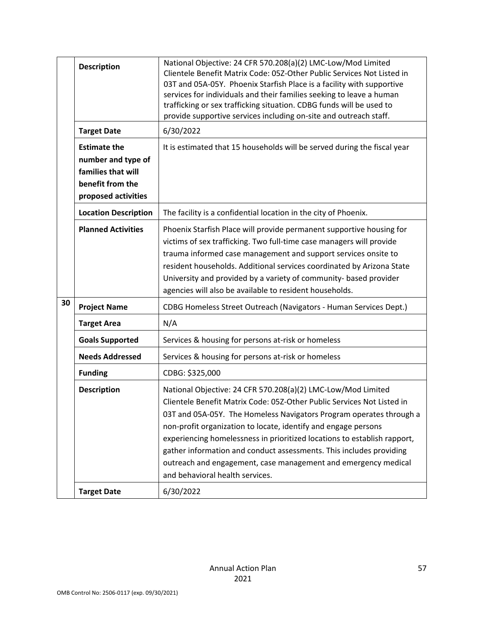|    | <b>Description</b>                                                                                         | National Objective: 24 CFR 570.208(a)(2) LMC-Low/Mod Limited<br>Clientele Benefit Matrix Code: 05Z-Other Public Services Not Listed in<br>03T and 05A-05Y. Phoenix Starfish Place is a facility with supportive<br>services for individuals and their families seeking to leave a human<br>trafficking or sex trafficking situation. CDBG funds will be used to<br>provide supportive services including on-site and outreach staff.                                                                                                    |
|----|------------------------------------------------------------------------------------------------------------|-----------------------------------------------------------------------------------------------------------------------------------------------------------------------------------------------------------------------------------------------------------------------------------------------------------------------------------------------------------------------------------------------------------------------------------------------------------------------------------------------------------------------------------------|
|    | <b>Target Date</b>                                                                                         | 6/30/2022                                                                                                                                                                                                                                                                                                                                                                                                                                                                                                                               |
|    | <b>Estimate the</b><br>number and type of<br>families that will<br>benefit from the<br>proposed activities | It is estimated that 15 households will be served during the fiscal year                                                                                                                                                                                                                                                                                                                                                                                                                                                                |
|    | <b>Location Description</b>                                                                                | The facility is a confidential location in the city of Phoenix.                                                                                                                                                                                                                                                                                                                                                                                                                                                                         |
|    | <b>Planned Activities</b>                                                                                  | Phoenix Starfish Place will provide permanent supportive housing for<br>victims of sex trafficking. Two full-time case managers will provide<br>trauma informed case management and support services onsite to<br>resident households. Additional services coordinated by Arizona State<br>University and provided by a variety of community- based provider<br>agencies will also be available to resident households.                                                                                                                 |
| 30 | <b>Project Name</b>                                                                                        | CDBG Homeless Street Outreach (Navigators - Human Services Dept.)                                                                                                                                                                                                                                                                                                                                                                                                                                                                       |
|    | <b>Target Area</b>                                                                                         | N/A                                                                                                                                                                                                                                                                                                                                                                                                                                                                                                                                     |
|    | <b>Goals Supported</b>                                                                                     | Services & housing for persons at-risk or homeless                                                                                                                                                                                                                                                                                                                                                                                                                                                                                      |
|    | <b>Needs Addressed</b>                                                                                     | Services & housing for persons at-risk or homeless                                                                                                                                                                                                                                                                                                                                                                                                                                                                                      |
|    | <b>Funding</b>                                                                                             | CDBG: \$325,000                                                                                                                                                                                                                                                                                                                                                                                                                                                                                                                         |
|    | <b>Description</b>                                                                                         | National Objective: 24 CFR 570.208(a)(2) LMC-Low/Mod Limited<br>Clientele Benefit Matrix Code: 05Z-Other Public Services Not Listed in<br>03T and 05A-05Y. The Homeless Navigators Program operates through a<br>non-profit organization to locate, identify and engage persons<br>experiencing homelessness in prioritized locations to establish rapport,<br>gather information and conduct assessments. This includes providing<br>outreach and engagement, case management and emergency medical<br>and behavioral health services. |
|    | <b>Target Date</b>                                                                                         | 6/30/2022                                                                                                                                                                                                                                                                                                                                                                                                                                                                                                                               |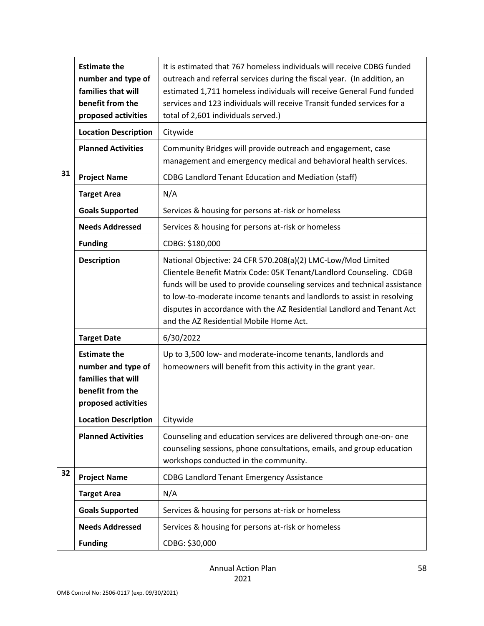|    | <b>Estimate the</b><br>number and type of<br>families that will<br>benefit from the<br>proposed activities | It is estimated that 767 homeless individuals will receive CDBG funded<br>outreach and referral services during the fiscal year. (In addition, an<br>estimated 1,711 homeless individuals will receive General Fund funded<br>services and 123 individuals will receive Transit funded services for a<br>total of 2,601 individuals served.)                                                                     |
|----|------------------------------------------------------------------------------------------------------------|------------------------------------------------------------------------------------------------------------------------------------------------------------------------------------------------------------------------------------------------------------------------------------------------------------------------------------------------------------------------------------------------------------------|
|    | <b>Location Description</b>                                                                                | Citywide                                                                                                                                                                                                                                                                                                                                                                                                         |
|    | <b>Planned Activities</b>                                                                                  | Community Bridges will provide outreach and engagement, case<br>management and emergency medical and behavioral health services.                                                                                                                                                                                                                                                                                 |
| 31 | <b>Project Name</b>                                                                                        | <b>CDBG Landlord Tenant Education and Mediation (staff)</b>                                                                                                                                                                                                                                                                                                                                                      |
|    | <b>Target Area</b>                                                                                         | N/A                                                                                                                                                                                                                                                                                                                                                                                                              |
|    | <b>Goals Supported</b>                                                                                     | Services & housing for persons at-risk or homeless                                                                                                                                                                                                                                                                                                                                                               |
|    | <b>Needs Addressed</b>                                                                                     | Services & housing for persons at-risk or homeless                                                                                                                                                                                                                                                                                                                                                               |
|    | <b>Funding</b>                                                                                             | CDBG: \$180,000                                                                                                                                                                                                                                                                                                                                                                                                  |
|    | <b>Description</b>                                                                                         | National Objective: 24 CFR 570.208(a)(2) LMC-Low/Mod Limited<br>Clientele Benefit Matrix Code: 05K Tenant/Landlord Counseling. CDGB<br>funds will be used to provide counseling services and technical assistance<br>to low-to-moderate income tenants and landlords to assist in resolving<br>disputes in accordance with the AZ Residential Landlord and Tenant Act<br>and the AZ Residential Mobile Home Act. |
|    | <b>Target Date</b>                                                                                         | 6/30/2022                                                                                                                                                                                                                                                                                                                                                                                                        |
|    | <b>Estimate the</b><br>number and type of<br>families that will<br>benefit from the<br>proposed activities | Up to 3,500 low- and moderate-income tenants, landlords and<br>homeowners will benefit from this activity in the grant year.                                                                                                                                                                                                                                                                                     |
|    | <b>Location Description</b>                                                                                | Citywide                                                                                                                                                                                                                                                                                                                                                                                                         |
|    | <b>Planned Activities</b>                                                                                  | Counseling and education services are delivered through one-on- one<br>counseling sessions, phone consultations, emails, and group education<br>workshops conducted in the community.                                                                                                                                                                                                                            |
| 32 | <b>Project Name</b>                                                                                        | <b>CDBG Landlord Tenant Emergency Assistance</b>                                                                                                                                                                                                                                                                                                                                                                 |
|    | <b>Target Area</b>                                                                                         | N/A                                                                                                                                                                                                                                                                                                                                                                                                              |
|    | <b>Goals Supported</b>                                                                                     | Services & housing for persons at-risk or homeless                                                                                                                                                                                                                                                                                                                                                               |
|    | <b>Needs Addressed</b>                                                                                     | Services & housing for persons at-risk or homeless                                                                                                                                                                                                                                                                                                                                                               |
|    | <b>Funding</b>                                                                                             | CDBG: \$30,000                                                                                                                                                                                                                                                                                                                                                                                                   |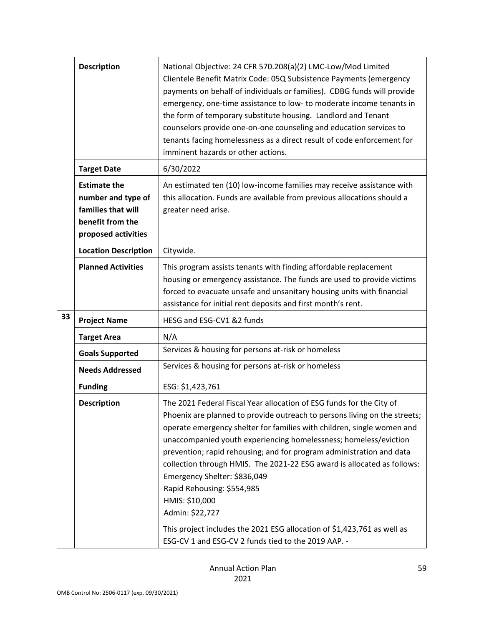|    | <b>Description</b>                                                                                         | National Objective: 24 CFR 570.208(a)(2) LMC-Low/Mod Limited<br>Clientele Benefit Matrix Code: 05Q Subsistence Payments (emergency<br>payments on behalf of individuals or families). CDBG funds will provide<br>emergency, one-time assistance to low- to moderate income tenants in<br>the form of temporary substitute housing. Landlord and Tenant<br>counselors provide one-on-one counseling and education services to<br>tenants facing homelessness as a direct result of code enforcement for<br>imminent hazards or other actions.                                                                                     |
|----|------------------------------------------------------------------------------------------------------------|----------------------------------------------------------------------------------------------------------------------------------------------------------------------------------------------------------------------------------------------------------------------------------------------------------------------------------------------------------------------------------------------------------------------------------------------------------------------------------------------------------------------------------------------------------------------------------------------------------------------------------|
|    | <b>Target Date</b>                                                                                         | 6/30/2022                                                                                                                                                                                                                                                                                                                                                                                                                                                                                                                                                                                                                        |
|    | <b>Estimate the</b><br>number and type of<br>families that will<br>benefit from the<br>proposed activities | An estimated ten (10) low-income families may receive assistance with<br>this allocation. Funds are available from previous allocations should a<br>greater need arise.                                                                                                                                                                                                                                                                                                                                                                                                                                                          |
|    | <b>Location Description</b>                                                                                | Citywide.                                                                                                                                                                                                                                                                                                                                                                                                                                                                                                                                                                                                                        |
|    | <b>Planned Activities</b>                                                                                  | This program assists tenants with finding affordable replacement<br>housing or emergency assistance. The funds are used to provide victims<br>forced to evacuate unsafe and unsanitary housing units with financial<br>assistance for initial rent deposits and first month's rent.                                                                                                                                                                                                                                                                                                                                              |
| 33 | <b>Project Name</b>                                                                                        | HESG and ESG-CV1 &2 funds                                                                                                                                                                                                                                                                                                                                                                                                                                                                                                                                                                                                        |
|    | <b>Target Area</b>                                                                                         | N/A                                                                                                                                                                                                                                                                                                                                                                                                                                                                                                                                                                                                                              |
|    | <b>Goals Supported</b>                                                                                     | Services & housing for persons at-risk or homeless                                                                                                                                                                                                                                                                                                                                                                                                                                                                                                                                                                               |
|    | <b>Needs Addressed</b>                                                                                     | Services & housing for persons at-risk or homeless                                                                                                                                                                                                                                                                                                                                                                                                                                                                                                                                                                               |
|    | <b>Funding</b>                                                                                             | ESG: \$1,423,761                                                                                                                                                                                                                                                                                                                                                                                                                                                                                                                                                                                                                 |
|    | <b>Description</b>                                                                                         | The 2021 Federal Fiscal Year allocation of ESG funds for the City of<br>Phoenix are planned to provide outreach to persons living on the streets;<br>operate emergency shelter for families with children, single women and<br>unaccompanied youth experiencing homelessness; homeless/eviction<br>prevention; rapid rehousing; and for program administration and data<br>collection through HMIS. The 2021-22 ESG award is allocated as follows:<br>Emergency Shelter: \$836,049<br>Rapid Rehousing: \$554,985<br>HMIS: \$10,000<br>Admin: \$22,727<br>This project includes the 2021 ESG allocation of \$1,423,761 as well as |
|    |                                                                                                            | ESG-CV 1 and ESG-CV 2 funds tied to the 2019 AAP. -                                                                                                                                                                                                                                                                                                                                                                                                                                                                                                                                                                              |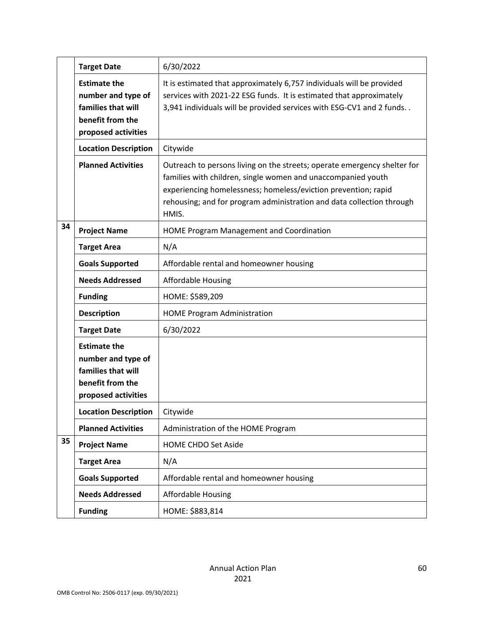|    | <b>Target Date</b>                                                                                         | 6/30/2022                                                                                                                                                                                                                                                                                    |
|----|------------------------------------------------------------------------------------------------------------|----------------------------------------------------------------------------------------------------------------------------------------------------------------------------------------------------------------------------------------------------------------------------------------------|
|    | <b>Estimate the</b><br>number and type of<br>families that will<br>benefit from the<br>proposed activities | It is estimated that approximately 6,757 individuals will be provided<br>services with 2021-22 ESG funds. It is estimated that approximately<br>3,941 individuals will be provided services with ESG-CV1 and 2 funds                                                                         |
|    | <b>Location Description</b>                                                                                | Citywide                                                                                                                                                                                                                                                                                     |
|    | <b>Planned Activities</b>                                                                                  | Outreach to persons living on the streets; operate emergency shelter for<br>families with children, single women and unaccompanied youth<br>experiencing homelessness; homeless/eviction prevention; rapid<br>rehousing; and for program administration and data collection through<br>HMIS. |
| 34 | <b>Project Name</b>                                                                                        | <b>HOME Program Management and Coordination</b>                                                                                                                                                                                                                                              |
|    | <b>Target Area</b>                                                                                         | N/A                                                                                                                                                                                                                                                                                          |
|    | <b>Goals Supported</b>                                                                                     | Affordable rental and homeowner housing                                                                                                                                                                                                                                                      |
|    | <b>Needs Addressed</b>                                                                                     | <b>Affordable Housing</b>                                                                                                                                                                                                                                                                    |
|    | <b>Funding</b>                                                                                             | HOME: \$589,209                                                                                                                                                                                                                                                                              |
|    | <b>Description</b>                                                                                         | <b>HOME Program Administration</b>                                                                                                                                                                                                                                                           |
|    | <b>Target Date</b>                                                                                         | 6/30/2022                                                                                                                                                                                                                                                                                    |
|    | <b>Estimate the</b><br>number and type of<br>families that will<br>benefit from the<br>proposed activities |                                                                                                                                                                                                                                                                                              |
|    | <b>Location Description</b>                                                                                | Citywide                                                                                                                                                                                                                                                                                     |
|    | <b>Planned Activities</b>                                                                                  | Administration of the HOME Program                                                                                                                                                                                                                                                           |
| 35 | <b>Project Name</b>                                                                                        | <b>HOME CHDO Set Aside</b>                                                                                                                                                                                                                                                                   |
|    | <b>Target Area</b>                                                                                         | N/A                                                                                                                                                                                                                                                                                          |
|    | <b>Goals Supported</b>                                                                                     | Affordable rental and homeowner housing                                                                                                                                                                                                                                                      |
|    | <b>Needs Addressed</b>                                                                                     | <b>Affordable Housing</b>                                                                                                                                                                                                                                                                    |
|    | <b>Funding</b>                                                                                             | HOME: \$883,814                                                                                                                                                                                                                                                                              |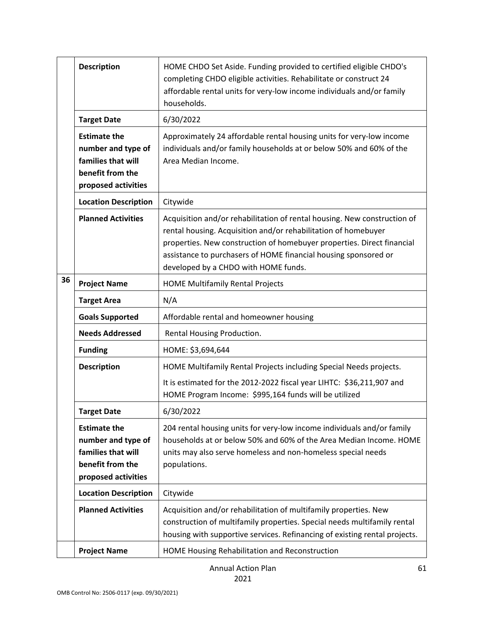|    | <b>Description</b>                                                                                         | HOME CHDO Set Aside. Funding provided to certified eligible CHDO's<br>completing CHDO eligible activities. Rehabilitate or construct 24<br>affordable rental units for very-low income individuals and/or family<br>households.                                                                                                 |
|----|------------------------------------------------------------------------------------------------------------|---------------------------------------------------------------------------------------------------------------------------------------------------------------------------------------------------------------------------------------------------------------------------------------------------------------------------------|
|    | <b>Target Date</b>                                                                                         | 6/30/2022                                                                                                                                                                                                                                                                                                                       |
|    | <b>Estimate the</b><br>number and type of<br>families that will<br>benefit from the<br>proposed activities | Approximately 24 affordable rental housing units for very-low income<br>individuals and/or family households at or below 50% and 60% of the<br>Area Median Income.                                                                                                                                                              |
|    | <b>Location Description</b>                                                                                | Citywide                                                                                                                                                                                                                                                                                                                        |
|    | <b>Planned Activities</b>                                                                                  | Acquisition and/or rehabilitation of rental housing. New construction of<br>rental housing. Acquisition and/or rehabilitation of homebuyer<br>properties. New construction of homebuyer properties. Direct financial<br>assistance to purchasers of HOME financial housing sponsored or<br>developed by a CHDO with HOME funds. |
| 36 | <b>Project Name</b>                                                                                        | <b>HOME Multifamily Rental Projects</b>                                                                                                                                                                                                                                                                                         |
|    | <b>Target Area</b>                                                                                         | N/A                                                                                                                                                                                                                                                                                                                             |
|    | <b>Goals Supported</b>                                                                                     | Affordable rental and homeowner housing                                                                                                                                                                                                                                                                                         |
|    | <b>Needs Addressed</b>                                                                                     | Rental Housing Production.                                                                                                                                                                                                                                                                                                      |
|    | <b>Funding</b>                                                                                             | HOME: \$3,694,644                                                                                                                                                                                                                                                                                                               |
|    | <b>Description</b>                                                                                         | HOME Multifamily Rental Projects including Special Needs projects.                                                                                                                                                                                                                                                              |
|    |                                                                                                            | It is estimated for the 2012-2022 fiscal year LIHTC: \$36,211,907 and<br>HOME Program Income: \$995,164 funds will be utilized                                                                                                                                                                                                  |
|    | <b>Target Date</b>                                                                                         | 6/30/2022                                                                                                                                                                                                                                                                                                                       |
|    | <b>Estimate the</b><br>number and type of<br>families that will<br>benefit from the<br>proposed activities | 204 rental housing units for very-low income individuals and/or family<br>households at or below 50% and 60% of the Area Median Income. HOME<br>units may also serve homeless and non-homeless special needs<br>populations.                                                                                                    |
|    | <b>Location Description</b>                                                                                | Citywide                                                                                                                                                                                                                                                                                                                        |
|    | <b>Planned Activities</b>                                                                                  | Acquisition and/or rehabilitation of multifamily properties. New<br>construction of multifamily properties. Special needs multifamily rental<br>housing with supportive services. Refinancing of existing rental projects.                                                                                                      |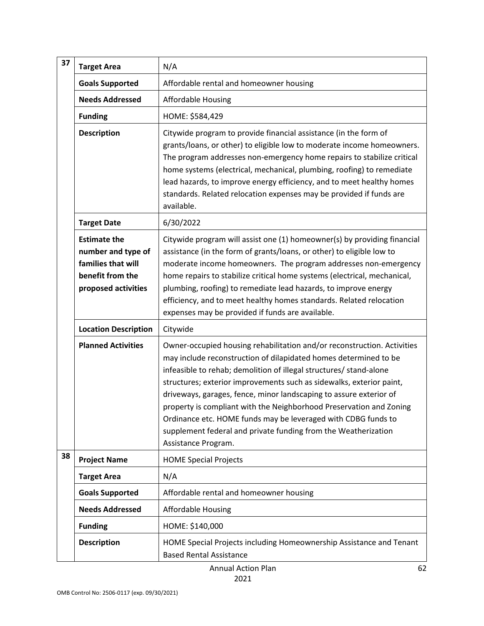| 37 | <b>Target Area</b>                                                                                         | N/A                                                                                                                                                                                                                                                                                                                                                                                                                                                                                                                                                                                              |
|----|------------------------------------------------------------------------------------------------------------|--------------------------------------------------------------------------------------------------------------------------------------------------------------------------------------------------------------------------------------------------------------------------------------------------------------------------------------------------------------------------------------------------------------------------------------------------------------------------------------------------------------------------------------------------------------------------------------------------|
|    | <b>Goals Supported</b>                                                                                     | Affordable rental and homeowner housing                                                                                                                                                                                                                                                                                                                                                                                                                                                                                                                                                          |
|    | <b>Needs Addressed</b>                                                                                     | <b>Affordable Housing</b>                                                                                                                                                                                                                                                                                                                                                                                                                                                                                                                                                                        |
|    | <b>Funding</b>                                                                                             | HOME: \$584,429                                                                                                                                                                                                                                                                                                                                                                                                                                                                                                                                                                                  |
|    | <b>Description</b>                                                                                         | Citywide program to provide financial assistance (in the form of<br>grants/loans, or other) to eligible low to moderate income homeowners.<br>The program addresses non-emergency home repairs to stabilize critical<br>home systems (electrical, mechanical, plumbing, roofing) to remediate<br>lead hazards, to improve energy efficiency, and to meet healthy homes<br>standards. Related relocation expenses may be provided if funds are<br>available.                                                                                                                                      |
|    | <b>Target Date</b>                                                                                         | 6/30/2022                                                                                                                                                                                                                                                                                                                                                                                                                                                                                                                                                                                        |
|    | <b>Estimate the</b><br>number and type of<br>families that will<br>benefit from the<br>proposed activities | Citywide program will assist one (1) homeowner(s) by providing financial<br>assistance (in the form of grants/loans, or other) to eligible low to<br>moderate income homeowners. The program addresses non-emergency<br>home repairs to stabilize critical home systems (electrical, mechanical,<br>plumbing, roofing) to remediate lead hazards, to improve energy<br>efficiency, and to meet healthy homes standards. Related relocation<br>expenses may be provided if funds are available.                                                                                                   |
|    | <b>Location Description</b>                                                                                | Citywide                                                                                                                                                                                                                                                                                                                                                                                                                                                                                                                                                                                         |
|    | <b>Planned Activities</b>                                                                                  | Owner-occupied housing rehabilitation and/or reconstruction. Activities<br>may include reconstruction of dilapidated homes determined to be<br>infeasible to rehab; demolition of illegal structures/ stand-alone<br>structures; exterior improvements such as sidewalks, exterior paint,<br>driveways, garages, fence, minor landscaping to assure exterior of<br>property is compliant with the Neighborhood Preservation and Zoning<br>Ordinance etc. HOME funds may be leveraged with CDBG funds to<br>supplement federal and private funding from the Weatherization<br>Assistance Program. |
| 38 | <b>Project Name</b>                                                                                        | <b>HOME Special Projects</b>                                                                                                                                                                                                                                                                                                                                                                                                                                                                                                                                                                     |
|    | <b>Target Area</b>                                                                                         | N/A                                                                                                                                                                                                                                                                                                                                                                                                                                                                                                                                                                                              |
|    | <b>Goals Supported</b>                                                                                     | Affordable rental and homeowner housing                                                                                                                                                                                                                                                                                                                                                                                                                                                                                                                                                          |
|    | <b>Needs Addressed</b>                                                                                     | <b>Affordable Housing</b>                                                                                                                                                                                                                                                                                                                                                                                                                                                                                                                                                                        |
|    | <b>Funding</b>                                                                                             | HOME: \$140,000                                                                                                                                                                                                                                                                                                                                                                                                                                                                                                                                                                                  |
|    | <b>Description</b>                                                                                         | HOME Special Projects including Homeownership Assistance and Tenant<br><b>Based Rental Assistance</b>                                                                                                                                                                                                                                                                                                                                                                                                                                                                                            |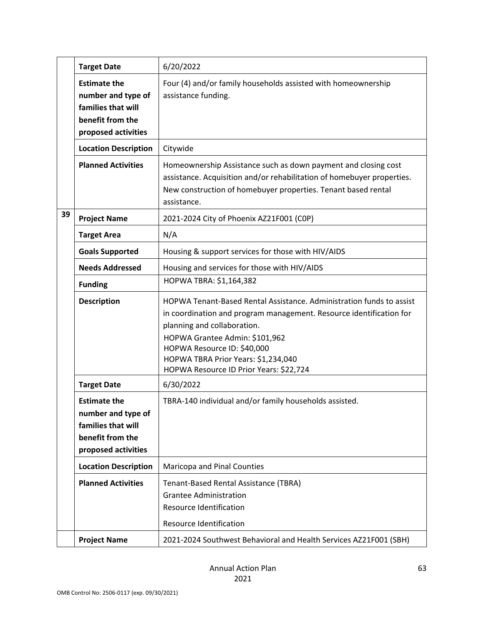|    | <b>Target Date</b>                                                                                         | 6/20/2022                                                                                                                                                                                                                                                                                                                     |
|----|------------------------------------------------------------------------------------------------------------|-------------------------------------------------------------------------------------------------------------------------------------------------------------------------------------------------------------------------------------------------------------------------------------------------------------------------------|
|    | <b>Estimate the</b><br>number and type of<br>families that will<br>benefit from the<br>proposed activities | Four (4) and/or family households assisted with homeownership<br>assistance funding.                                                                                                                                                                                                                                          |
|    | <b>Location Description</b>                                                                                | Citywide                                                                                                                                                                                                                                                                                                                      |
|    | <b>Planned Activities</b>                                                                                  | Homeownership Assistance such as down payment and closing cost<br>assistance. Acquisition and/or rehabilitation of homebuyer properties.<br>New construction of homebuyer properties. Tenant based rental<br>assistance.                                                                                                      |
| 39 | <b>Project Name</b>                                                                                        | 2021-2024 City of Phoenix AZ21F001 (COP)                                                                                                                                                                                                                                                                                      |
|    | <b>Target Area</b>                                                                                         | N/A                                                                                                                                                                                                                                                                                                                           |
|    | <b>Goals Supported</b>                                                                                     | Housing & support services for those with HIV/AIDS                                                                                                                                                                                                                                                                            |
|    | <b>Needs Addressed</b>                                                                                     | Housing and services for those with HIV/AIDS                                                                                                                                                                                                                                                                                  |
|    | <b>Funding</b>                                                                                             | HOPWA TBRA: \$1,164,382                                                                                                                                                                                                                                                                                                       |
|    | <b>Description</b>                                                                                         | HOPWA Tenant-Based Rental Assistance. Administration funds to assist<br>in coordination and program management. Resource identification for<br>planning and collaboration.<br>HOPWA Grantee Admin: \$101,962<br>HOPWA Resource ID: \$40,000<br>HOPWA TBRA Prior Years: \$1,234,040<br>HOPWA Resource ID Prior Years: \$22,724 |
|    | <b>Target Date</b>                                                                                         | 6/30/2022                                                                                                                                                                                                                                                                                                                     |
|    | <b>Estimate the</b><br>number and type of<br>families that will<br>benefit from the<br>proposed activities | TBRA-140 individual and/or family households assisted.                                                                                                                                                                                                                                                                        |
|    | <b>Location Description</b>                                                                                | Maricopa and Pinal Counties                                                                                                                                                                                                                                                                                                   |
|    | <b>Planned Activities</b>                                                                                  | Tenant-Based Rental Assistance (TBRA)<br><b>Grantee Administration</b><br>Resource Identification<br>Resource Identification                                                                                                                                                                                                  |
|    | <b>Project Name</b>                                                                                        | 2021-2024 Southwest Behavioral and Health Services AZ21F001 (SBH)                                                                                                                                                                                                                                                             |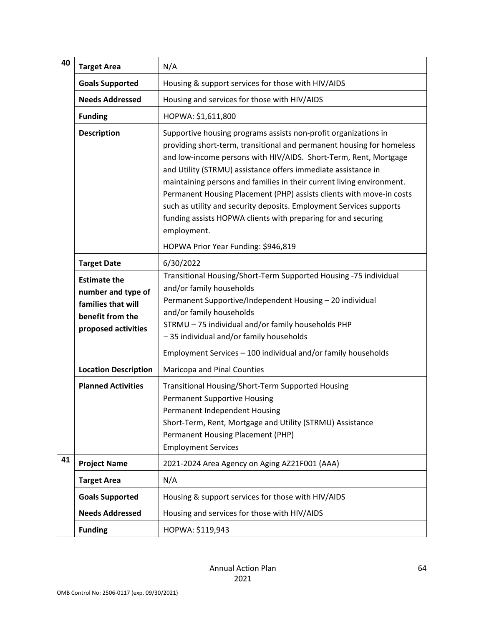| 40                                  | <b>Target Area</b>                                                                                         | N/A                                                                                                                                                                                                                                                                                                                                                                                                                                                                                                                                                                                   |
|-------------------------------------|------------------------------------------------------------------------------------------------------------|---------------------------------------------------------------------------------------------------------------------------------------------------------------------------------------------------------------------------------------------------------------------------------------------------------------------------------------------------------------------------------------------------------------------------------------------------------------------------------------------------------------------------------------------------------------------------------------|
|                                     | <b>Goals Supported</b>                                                                                     | Housing & support services for those with HIV/AIDS                                                                                                                                                                                                                                                                                                                                                                                                                                                                                                                                    |
|                                     | <b>Needs Addressed</b>                                                                                     | Housing and services for those with HIV/AIDS                                                                                                                                                                                                                                                                                                                                                                                                                                                                                                                                          |
|                                     | <b>Funding</b>                                                                                             | HOPWA: \$1,611,800                                                                                                                                                                                                                                                                                                                                                                                                                                                                                                                                                                    |
|                                     | <b>Description</b>                                                                                         | Supportive housing programs assists non-profit organizations in<br>providing short-term, transitional and permanent housing for homeless<br>and low-income persons with HIV/AIDS. Short-Term, Rent, Mortgage<br>and Utility (STRMU) assistance offers immediate assistance in<br>maintaining persons and families in their current living environment.<br>Permanent Housing Placement (PHP) assists clients with move-in costs<br>such as utility and security deposits. Employment Services supports<br>funding assists HOPWA clients with preparing for and securing<br>employment. |
| HOPWA Prior Year Funding: \$946,819 |                                                                                                            |                                                                                                                                                                                                                                                                                                                                                                                                                                                                                                                                                                                       |
|                                     | <b>Target Date</b>                                                                                         | 6/30/2022<br>Transitional Housing/Short-Term Supported Housing -75 individual                                                                                                                                                                                                                                                                                                                                                                                                                                                                                                         |
|                                     | <b>Estimate the</b><br>number and type of<br>families that will<br>benefit from the<br>proposed activities | and/or family households<br>Permanent Supportive/Independent Housing - 20 individual<br>and/or family households<br>STRMU - 75 individual and/or family households PHP<br>-35 individual and/or family households                                                                                                                                                                                                                                                                                                                                                                     |
|                                     |                                                                                                            | Employment Services - 100 individual and/or family households                                                                                                                                                                                                                                                                                                                                                                                                                                                                                                                         |
|                                     | <b>Location Description</b>                                                                                | Maricopa and Pinal Counties                                                                                                                                                                                                                                                                                                                                                                                                                                                                                                                                                           |
|                                     | <b>Planned Activities</b>                                                                                  | Transitional Housing/Short-Term Supported Housing<br><b>Permanent Supportive Housing</b><br>Permanent Independent Housing<br>Short-Term, Rent, Mortgage and Utility (STRMU) Assistance<br>Permanent Housing Placement (PHP)<br><b>Employment Services</b>                                                                                                                                                                                                                                                                                                                             |
| 41                                  | <b>Project Name</b>                                                                                        | 2021-2024 Area Agency on Aging AZ21F001 (AAA)                                                                                                                                                                                                                                                                                                                                                                                                                                                                                                                                         |
|                                     | <b>Target Area</b>                                                                                         | N/A                                                                                                                                                                                                                                                                                                                                                                                                                                                                                                                                                                                   |
|                                     | <b>Goals Supported</b>                                                                                     | Housing & support services for those with HIV/AIDS                                                                                                                                                                                                                                                                                                                                                                                                                                                                                                                                    |
|                                     | <b>Needs Addressed</b>                                                                                     | Housing and services for those with HIV/AIDS                                                                                                                                                                                                                                                                                                                                                                                                                                                                                                                                          |
|                                     | <b>Funding</b>                                                                                             | HOPWA: \$119,943                                                                                                                                                                                                                                                                                                                                                                                                                                                                                                                                                                      |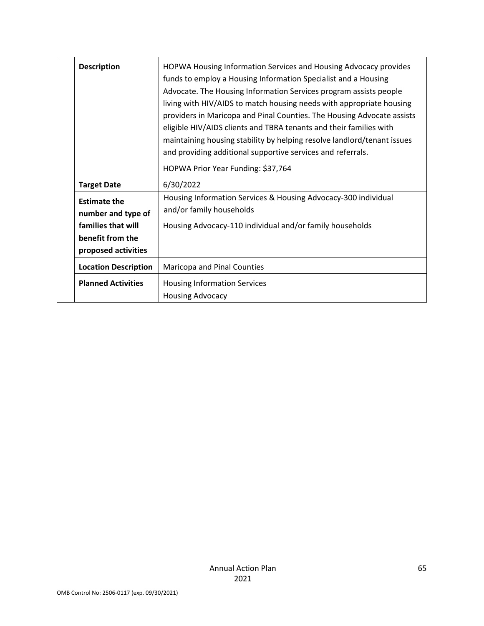| <b>Description</b>                                                                                         | HOPWA Housing Information Services and Housing Advocacy provides<br>funds to employ a Housing Information Specialist and a Housing<br>Advocate. The Housing Information Services program assists people<br>living with HIV/AIDS to match housing needs with appropriate housing<br>providers in Maricopa and Pinal Counties. The Housing Advocate assists<br>eligible HIV/AIDS clients and TBRA tenants and their families with<br>maintaining housing stability by helping resolve landlord/tenant issues<br>and providing additional supportive services and referrals.<br>HOPWA Prior Year Funding: \$37,764 |
|------------------------------------------------------------------------------------------------------------|-----------------------------------------------------------------------------------------------------------------------------------------------------------------------------------------------------------------------------------------------------------------------------------------------------------------------------------------------------------------------------------------------------------------------------------------------------------------------------------------------------------------------------------------------------------------------------------------------------------------|
| <b>Target Date</b>                                                                                         | 6/30/2022                                                                                                                                                                                                                                                                                                                                                                                                                                                                                                                                                                                                       |
| <b>Estimate the</b><br>number and type of<br>families that will<br>benefit from the<br>proposed activities | Housing Information Services & Housing Advocacy-300 individual<br>and/or family households<br>Housing Advocacy-110 individual and/or family households                                                                                                                                                                                                                                                                                                                                                                                                                                                          |
| <b>Location Description</b>                                                                                | Maricopa and Pinal Counties                                                                                                                                                                                                                                                                                                                                                                                                                                                                                                                                                                                     |
| <b>Planned Activities</b>                                                                                  | <b>Housing Information Services</b><br><b>Housing Advocacy</b>                                                                                                                                                                                                                                                                                                                                                                                                                                                                                                                                                  |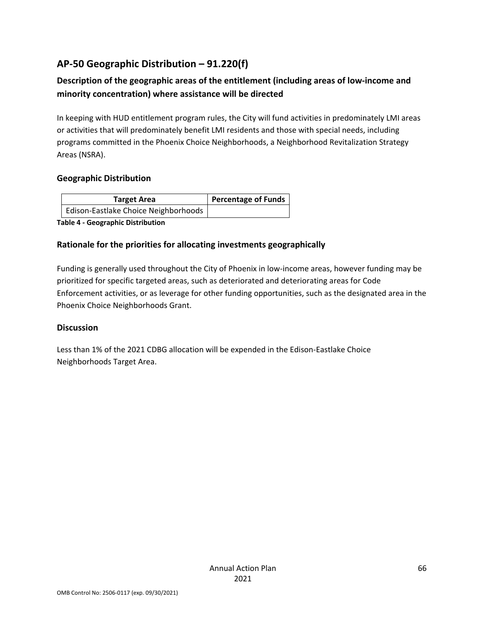## **AP-50 Geographic Distribution – 91.220(f)**

## **Description of the geographic areas of the entitlement (including areas of low-income and minority concentration) where assistance will be directed**

In keeping with HUD entitlement program rules, the City will fund activities in predominately LMI areas or activities that will predominately benefit LMI residents and those with special needs, including programs committed in the Phoenix Choice Neighborhoods, a Neighborhood Revitalization Strategy Areas (NSRA).

### **Geographic Distribution**

| Target Area                          | Percentage of Funds |
|--------------------------------------|---------------------|
| Edison-Eastlake Choice Neighborhoods |                     |

**Table 4 - Geographic Distribution** 

### **Rationale for the priorities for allocating investments geographically**

Funding is generally used throughout the City of Phoenix in low-income areas, however funding may be prioritized for specific targeted areas, such as deteriorated and deteriorating areas for Code Enforcement activities, or as leverage for other funding opportunities, such as the designated area in the Phoenix Choice Neighborhoods Grant.

### **Discussion**

Less than 1% of the 2021 CDBG allocation will be expended in the Edison-Eastlake Choice Neighborhoods Target Area.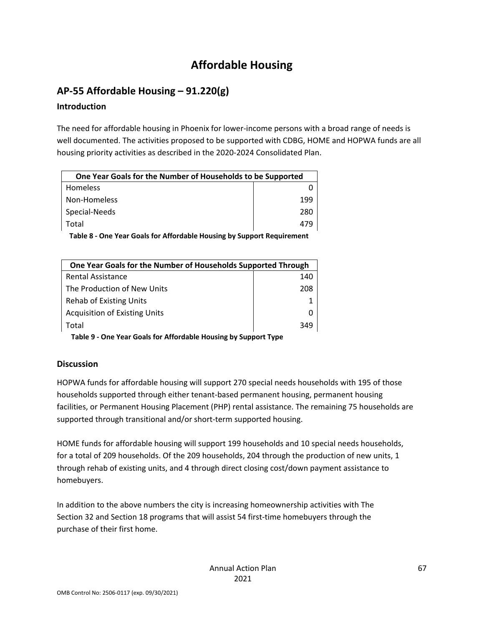# **Affordable Housing**

## **AP-55 Affordable Housing – 91.220(g)**

### **Introduction**

The need for affordable housing in Phoenix for lower-income persons with a broad range of needs is well documented. The activities proposed to be supported with CDBG, HOME and HOPWA funds are all housing priority activities as described in the 2020-2024 Consolidated Plan.

| One Year Goals for the Number of Households to be Supported |     |  |
|-------------------------------------------------------------|-----|--|
| <b>Homeless</b>                                             |     |  |
| Non-Homeless                                                | 199 |  |
| Special-Needs                                               | 280 |  |
| Total                                                       | 479 |  |
|                                                             |     |  |

 **Table 8 - One Year Goals for Affordable Housing by Support Requirement**

| One Year Goals for the Number of Households Supported Through |     |  |
|---------------------------------------------------------------|-----|--|
| <b>Rental Assistance</b>                                      | 140 |  |
| The Production of New Units                                   | 208 |  |
| Rehab of Existing Units                                       |     |  |
| <b>Acquisition of Existing Units</b>                          |     |  |
| Total                                                         | 349 |  |

 **Table 9 - One Year Goals for Affordable Housing by Support Type**

### **Discussion**

HOPWA funds for affordable housing will support 270 special needs households with 195 of those households supported through either tenant-based permanent housing, permanent housing facilities, or Permanent Housing Placement (PHP) rental assistance. The remaining 75 households are supported through transitional and/or short-term supported housing.

HOME funds for affordable housing will support 199 households and 10 special needs households, for a total of 209 households. Of the 209 households, 204 through the production of new units, 1 through rehab of existing units, and 4 through direct closing cost/down payment assistance to homebuyers.

In addition to the above numbers the city is increasing homeownership activities with The Section 32 and Section 18 programs that will assist 54 first-time homebuyers through the purchase of their first home.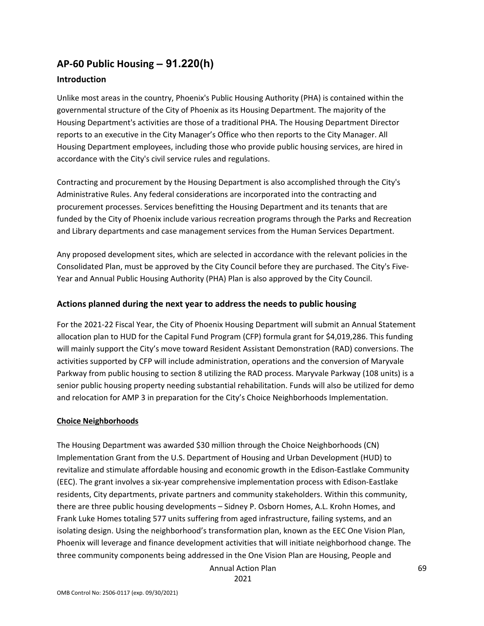## **AP-60 Public Housing** *–* **91.220(h)**

### **Introduction**

Unlike most areas in the country, Phoenix's Public Housing Authority (PHA) is contained within the governmental structure of the City of Phoenix as its Housing Department. The majority of the Housing Department's activities are those of a traditional PHA. The Housing Department Director reports to an executive in the City Manager's Office who then reports to the City Manager. All Housing Department employees, including those who provide public housing services, are hired in accordance with the City's civil service rules and regulations.

Contracting and procurement by the Housing Department is also accomplished through the City's Administrative Rules. Any federal considerations are incorporated into the contracting and procurement processes. Services benefitting the Housing Department and its tenants that are funded by the City of Phoenix include various recreation programs through the Parks and Recreation and Library departments and case management services from the Human Services Department.

Any proposed development sites, which are selected in accordance with the relevant policies in the Consolidated Plan, must be approved by the City Council before they are purchased. The City's Five-Year and Annual Public Housing Authority (PHA) Plan is also approved by the City Council.

### **Actions planned during the next year to address the needs to public housing**

For the 2021-22 Fiscal Year, the City of Phoenix Housing Department will submit an Annual Statement allocation plan to HUD for the Capital Fund Program (CFP) formula grant for \$4,019,286. This funding will mainly support the City's move toward Resident Assistant Demonstration (RAD) conversions. The activities supported by CFP will include administration, operations and the conversion of Maryvale Parkway from public housing to section 8 utilizing the RAD process. Maryvale Parkway (108 units) is a senior public housing property needing substantial rehabilitation. Funds will also be utilized for demo and relocation for AMP 3 in preparation for the City's Choice Neighborhoods Implementation.

### **Choice Neighborhoods**

The Housing Department was awarded \$30 million through the Choice Neighborhoods (CN) Implementation Grant from the U.S. Department of Housing and Urban Development (HUD) to revitalize and stimulate affordable housing and economic growth in the Edison-Eastlake Community (EEC). The grant involves a six-year comprehensive implementation process with Edison-Eastlake residents, City departments, private partners and community stakeholders. Within this community, there are three public housing developments – Sidney P. Osborn Homes, A.L. Krohn Homes, and Frank Luke Homes totaling 577 units suffering from aged infrastructure, failing systems, and an isolating design. Using the neighborhood's transformation plan, known as the EEC One Vision Plan, Phoenix will leverage and finance development activities that will initiate neighborhood change. The three community components being addressed in the One Vision Plan are Housing, People and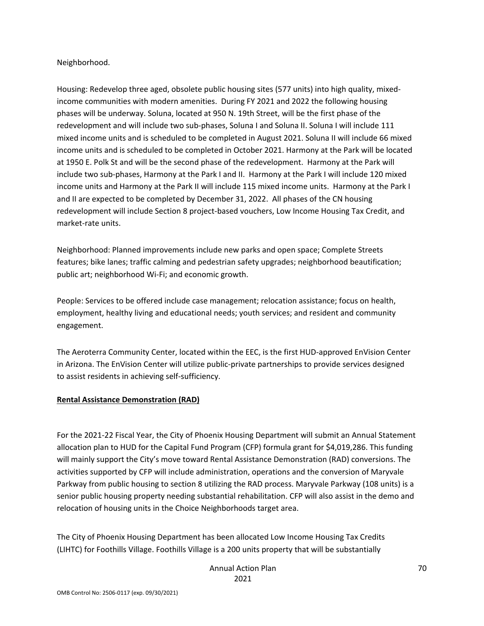#### Neighborhood.

Housing: Redevelop three aged, obsolete public housing sites (577 units) into high quality, mixedincome communities with modern amenities. During FY 2021 and 2022 the following housing phases will be underway. Soluna, located at 950 N. 19th Street, will be the first phase of the redevelopment and will include two sub-phases, Soluna I and Soluna II. Soluna I will include 111 mixed income units and is scheduled to be completed in August 2021. Soluna II will include 66 mixed income units and is scheduled to be completed in October 2021. Harmony at the Park will be located at 1950 E. Polk St and will be the second phase of the redevelopment. Harmony at the Park will include two sub-phases, Harmony at the Park I and II. Harmony at the Park I will include 120 mixed income units and Harmony at the Park II will include 115 mixed income units. Harmony at the Park I and II are expected to be completed by December 31, 2022. All phases of the CN housing redevelopment will include Section 8 project-based vouchers, Low Income Housing Tax Credit, and market-rate units.

Neighborhood: Planned improvements include new parks and open space; Complete Streets features; bike lanes; traffic calming and pedestrian safety upgrades; neighborhood beautification; public art; neighborhood Wi-Fi; and economic growth.

People: Services to be offered include case management; relocation assistance; focus on health, employment, healthy living and educational needs; youth services; and resident and community engagement.

The Aeroterra Community Center, located within the EEC, is the first HUD-approved EnVision Center in Arizona. The EnVision Center will utilize public-private partnerships to provide services designed to assist residents in achieving self-sufficiency.

#### **Rental Assistance Demonstration (RAD)**

For the 2021-22 Fiscal Year, the City of Phoenix Housing Department will submit an Annual Statement allocation plan to HUD for the Capital Fund Program (CFP) formula grant for \$4,019,286. This funding will mainly support the City's move toward Rental Assistance Demonstration (RAD) conversions. The activities supported by CFP will include administration, operations and the conversion of Maryvale Parkway from public housing to section 8 utilizing the RAD process. Maryvale Parkway (108 units) is a senior public housing property needing substantial rehabilitation. CFP will also assist in the demo and relocation of housing units in the Choice Neighborhoods target area.

The City of Phoenix Housing Department has been allocated Low Income Housing Tax Credits (LIHTC) for Foothills Village. Foothills Village is a 200 units property that will be substantially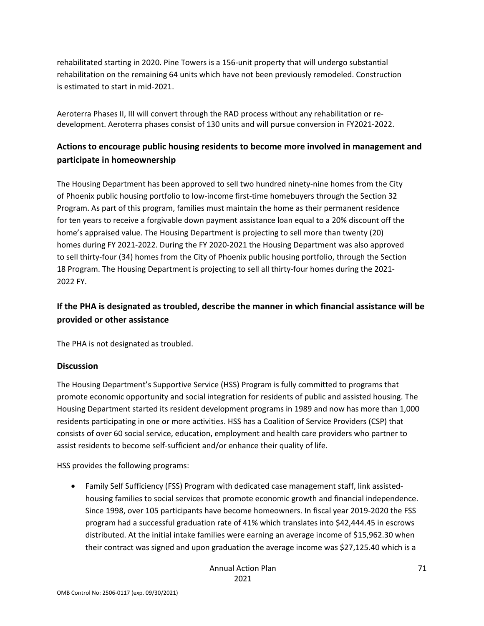rehabilitated starting in 2020. Pine Towers is a 156-unit property that will undergo substantial rehabilitation on the remaining 64 units which have not been previously remodeled. Construction is estimated to start in mid-2021.

Aeroterra Phases II, III will convert through the RAD process without any rehabilitation or redevelopment. Aeroterra phases consist of 130 units and will pursue conversion in FY2021-2022.

### **Actions to encourage public housing residents to become more involved in management and participate in homeownership**

The Housing Department has been approved to sell two hundred ninety-nine homes from the City of Phoenix public housing portfolio to low-income first-time homebuyers through the Section 32 Program. As part of this program, families must maintain the home as their permanent residence for ten years to receive a forgivable down payment assistance loan equal to a 20% discount off the home's appraised value. The Housing Department is projecting to sell more than twenty (20) homes during FY 2021-2022. During the FY 2020-2021 the Housing Department was also approved to sell thirty-four (34) homes from the City of Phoenix public housing portfolio, through the Section 18 Program. The Housing Department is projecting to sell all thirty-four homes during the 2021- 2022 FY.

### **If the PHA is designated as troubled, describe the manner in which financial assistance will be provided or other assistance**

The PHA is not designated as troubled.

### **Discussion**

The Housing Department's Supportive Service (HSS) Program is fully committed to programs that promote economic opportunity and social integration for residents of public and assisted housing. The Housing Department started its resident development programs in 1989 and now has more than 1,000 residents participating in one or more activities. HSS has a Coalition of Service Providers (CSP) that consists of over 60 social service, education, employment and health care providers who partner to assist residents to become self-sufficient and/or enhance their quality of life.

HSS provides the following programs:

• Family Self Sufficiency (FSS) Program with dedicated case management staff, link assistedhousing families to social services that promote economic growth and financial independence. Since 1998, over 105 participants have become homeowners. In fiscal year 2019-2020 the FSS program had a successful graduation rate of 41% which translates into \$42,444.45 in escrows distributed. At the initial intake families were earning an average income of \$15,962.30 when their contract was signed and upon graduation the average income was \$27,125.40 which is a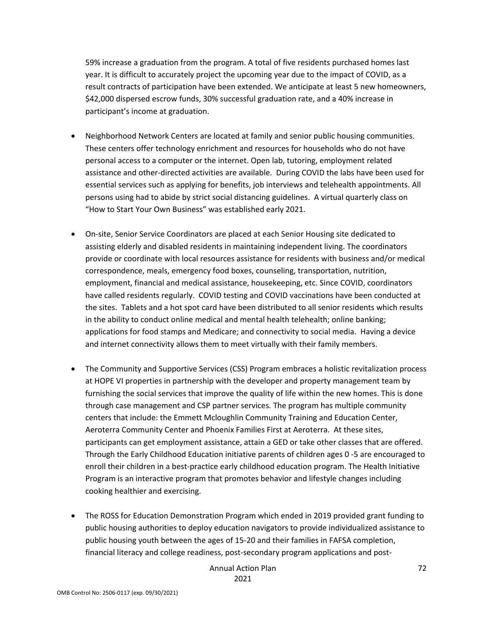59% increase a graduation from the program. A total of five residents purchased homes last year. It is difficult to accurately project the upcoming year due to the impact of COVID, as a result contracts of participation have been extended. We anticipate at least 5 new homeowners, \$42,000 dispersed escrow funds, 30% successful graduation rate, and a 40% increase in participant's income at graduation.

- Neighborhood Network Centers are located at family and senior public housing communities. These centers offer technology enrichment and resources for households who do not have personal access to a computer or the internet. Open lab, tutoring, employment related assistance and other-directed activities are available. During COVID the labs have been used for essential services such as applying for benefits, job interviews and telehealth appointments. All persons using had to abide by strict social distancing guidelines. A virtual quarterly class on "How to Start Your Own Business" was established early 2021.
- On-site, Senior Service Coordinators are placed at each Senior Housing site dedicated to assisting elderly and disabled residents in maintaining independent living. The coordinators provide or coordinate with local resources assistance for residents with business and/or medical correspondence, meals, emergency food boxes, counseling, transportation, nutrition, employment, financial and medical assistance, housekeeping, etc. Since COVID, coordinators have called residents regularly. COVID testing and COVID vaccinations have been conducted at the sites. Tablets and a hot spot card have been distributed to all senior residents which results in the ability to conduct online medical and mental health telehealth; online banking; applications for food stamps and Medicare; and connectivity to social media. Having a device and internet connectivity allows them to meet virtually with their family members.
- The Community and Supportive Services (CSS) Program embraces a holistic revitalization process at HOPE VI properties in partnership with the developer and property management team by furnishing the social services that improve the quality of life within the new homes. This is done through case management and CSP partner services. The program has multiple community centers that include: the Emmett Mcloughlin Community Training and Education Center, Aeroterra Community Center and Phoenix Families First at Aeroterra. At these sites, participants can get employment assistance, attain a GED or take other classes that are offered. Through the Early Childhood Education initiative parents of children ages 0 -5 are encouraged to enroll their children in a best-practice early childhood education program. The Health Initiative Program is an interactive program that promotes behavior and lifestyle changes including cooking healthier and exercising.
- The ROSS for Education Demonstration Program which ended in 2019 provided grant funding to public housing authorities to deploy education navigators to provide individualized assistance to public housing youth between the ages of 15-20 and their families in FAFSA completion, financial literacy and college readiness, post-secondary program applications and post-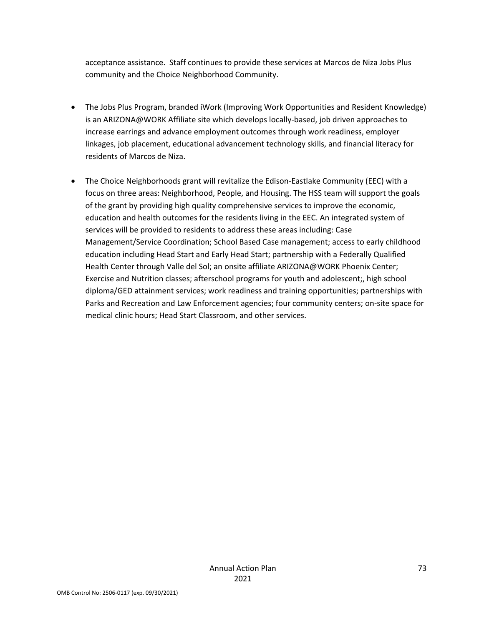acceptance assistance. Staff continues to provide these services at Marcos de Niza Jobs Plus community and the Choice Neighborhood Community.

- The Jobs Plus Program, branded iWork (Improving Work Opportunities and Resident Knowledge) is an ARIZONA@WORK Affiliate site which develops locally-based, job driven approaches to increase earrings and advance employment outcomes through work readiness, employer linkages, job placement, educational advancement technology skills, and financial literacy for residents of Marcos de Niza.
- The Choice Neighborhoods grant will revitalize the Edison-Eastlake Community (EEC) with a focus on three areas: Neighborhood, People, and Housing. The HSS team will support the goals of the grant by providing high quality comprehensive services to improve the economic, education and health outcomes for the residents living in the EEC. An integrated system of services will be provided to residents to address these areas including: Case Management/Service Coordination; School Based Case management; access to early childhood education including Head Start and Early Head Start; partnership with a Federally Qualified Health Center through Valle del Sol; an onsite affiliate ARIZONA@WORK Phoenix Center; Exercise and Nutrition classes; afterschool programs for youth and adolescent;, high school diploma/GED attainment services; work readiness and training opportunities; partnerships with Parks and Recreation and Law Enforcement agencies; four community centers; on-site space for medical clinic hours; Head Start Classroom, and other services.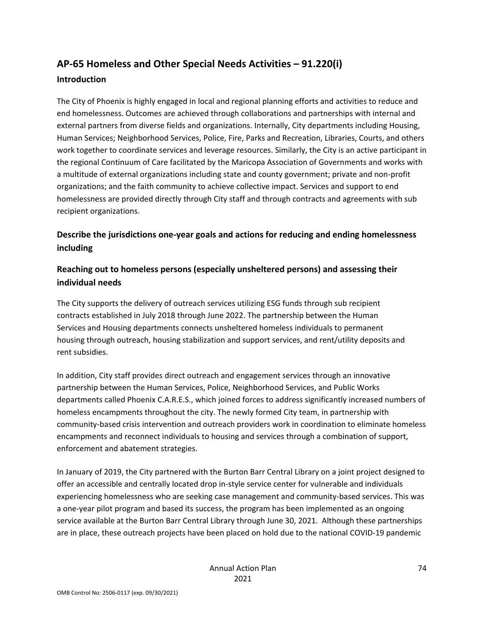# **AP-65 Homeless and Other Special Needs Activities – 91.220(i) Introduction**

The City of Phoenix is highly engaged in local and regional planning efforts and activities to reduce and end homelessness. Outcomes are achieved through collaborations and partnerships with internal and external partners from diverse fields and organizations. Internally, City departments including Housing, Human Services; Neighborhood Services, Police, Fire, Parks and Recreation, Libraries, Courts, and others work together to coordinate services and leverage resources. Similarly, the City is an active participant in the regional Continuum of Care facilitated by the Maricopa Association of Governments and works with a multitude of external organizations including state and county government; private and non-profit organizations; and the faith community to achieve collective impact. Services and support to end homelessness are provided directly through City staff and through contracts and agreements with sub recipient organizations.

# **Describe the jurisdictions one-year goals and actions for reducing and ending homelessness including**

# **Reaching out to homeless persons (especially unsheltered persons) and assessing their individual needs**

The City supports the delivery of outreach services utilizing ESG funds through sub recipient contracts established in July 2018 through June 2022. The partnership between the Human Services and Housing departments connects unsheltered homeless individuals to permanent housing through outreach, housing stabilization and support services, and rent/utility deposits and rent subsidies.

In addition, City staff provides direct outreach and engagement services through an innovative partnership between the Human Services, Police, Neighborhood Services, and Public Works departments called Phoenix C.A.R.E.S., which joined forces to address significantly increased numbers of homeless encampments throughout the city. The newly formed City team, in partnership with community-based crisis intervention and outreach providers work in coordination to eliminate homeless encampments and reconnect individuals to housing and services through a combination of support, enforcement and abatement strategies.

In January of 2019, the City partnered with the Burton Barr Central Library on a joint project designed to offer an accessible and centrally located drop in-style service center for vulnerable and individuals experiencing homelessness who are seeking case management and community-based services. This was a one-year pilot program and based its success, the program has been implemented as an ongoing service available at the Burton Barr Central Library through June 30, 2021. Although these partnerships are in place, these outreach projects have been placed on hold due to the national COVID-19 pandemic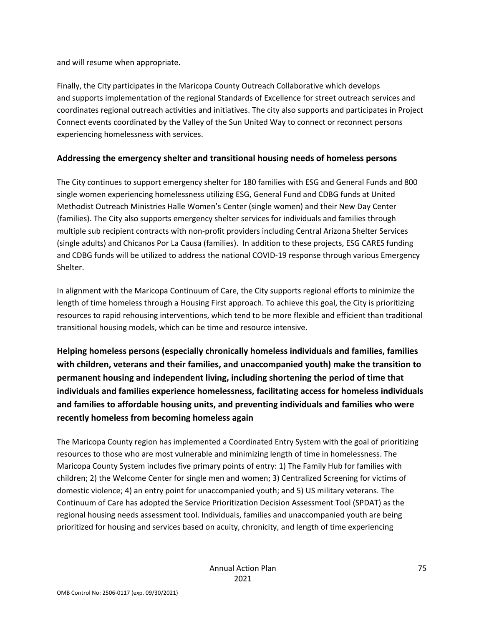and will resume when appropriate.

Finally, the City participates in the Maricopa County Outreach Collaborative which develops and supports implementation of the regional Standards of Excellence for street outreach services and coordinates regional outreach activities and initiatives. The city also supports and participates in Project Connect events coordinated by the Valley of the Sun United Way to connect or reconnect persons experiencing homelessness with services.

### **Addressing the emergency shelter and transitional housing needs of homeless persons**

The City continues to support emergency shelter for 180 families with ESG and General Funds and 800 single women experiencing homelessness utilizing ESG, General Fund and CDBG funds at United Methodist Outreach Ministries Halle Women's Center (single women) and their New Day Center (families). The City also supports emergency shelter services for individuals and families through multiple sub recipient contracts with non-profit providers including Central Arizona Shelter Services (single adults) and Chicanos Por La Causa (families). In addition to these projects, ESG CARES funding and CDBG funds will be utilized to address the national COVID-19 response through various Emergency Shelter.

In alignment with the Maricopa Continuum of Care, the City supports regional efforts to minimize the length of time homeless through a Housing First approach. To achieve this goal, the City is prioritizing resources to rapid rehousing interventions, which tend to be more flexible and efficient than traditional transitional housing models, which can be time and resource intensive.

**Helping homeless persons (especially chronically homeless individuals and families, families with children, veterans and their families, and unaccompanied youth) make the transition to permanent housing and independent living, including shortening the period of time that individuals and families experience homelessness, facilitating access for homeless individuals and families to affordable housing units, and preventing individuals and families who were recently homeless from becoming homeless again**

The Maricopa County region has implemented a Coordinated Entry System with the goal of prioritizing resources to those who are most vulnerable and minimizing length of time in homelessness. The Maricopa County System includes five primary points of entry: 1) The Family Hub for families with children; 2) the Welcome Center for single men and women; 3) Centralized Screening for victims of domestic violence; 4) an entry point for unaccompanied youth; and 5) US military veterans. The Continuum of Care has adopted the Service Prioritization Decision Assessment Tool (SPDAT) as the regional housing needs assessment tool. Individuals, families and unaccompanied youth are being prioritized for housing and services based on acuity, chronicity, and length of time experiencing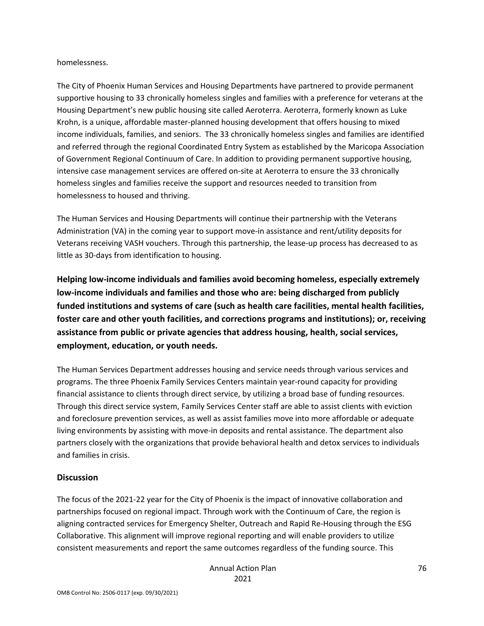#### homelessness.

The City of Phoenix Human Services and Housing Departments have partnered to provide permanent supportive housing to 33 chronically homeless singles and families with a preference for veterans at the Housing Department's new public housing site called Aeroterra. Aeroterra, formerly known as Luke Krohn, is a unique, affordable master-planned housing development that offers housing to mixed income individuals, families, and seniors. The 33 chronically homeless singles and families are identified and referred through the regional Coordinated Entry System as established by the Maricopa Association of Government Regional Continuum of Care. In addition to providing permanent supportive housing, intensive case management services are offered on-site at Aeroterra to ensure the 33 chronically homeless singles and families receive the support and resources needed to transition from homelessness to housed and thriving.

The Human Services and Housing Departments will continue their partnership with the Veterans Administration (VA) in the coming year to support move-in assistance and rent/utility deposits for Veterans receiving VASH vouchers. Through this partnership, the lease-up process has decreased to as little as 30-days from identification to housing.

**Helping low-income individuals and families avoid becoming homeless, especially extremely low-income individuals and families and those who are: being discharged from publicly funded institutions and systems of care (such as health care facilities, mental health facilities, foster care and other youth facilities, and corrections programs and institutions); or, receiving assistance from public or private agencies that address housing, health, social services, employment, education, or youth needs.**

The Human Services Department addresses housing and service needs through various services and programs. The three Phoenix Family Services Centers maintain year-round capacity for providing financial assistance to clients through direct service, by utilizing a broad base of funding resources. Through this direct service system, Family Services Center staff are able to assist clients with eviction and foreclosure prevention services, as well as assist families move into more affordable or adequate living environments by assisting with move-in deposits and rental assistance. The department also partners closely with the organizations that provide behavioral health and detox services to individuals and families in crisis.

#### **Discussion**

The focus of the 2021-22 year for the City of Phoenix is the impact of innovative collaboration and partnerships focused on regional impact. Through work with the Continuum of Care, the region is aligning contracted services for Emergency Shelter, Outreach and Rapid Re-Housing through the ESG Collaborative. This alignment will improve regional reporting and will enable providers to utilize consistent measurements and report the same outcomes regardless of the funding source. This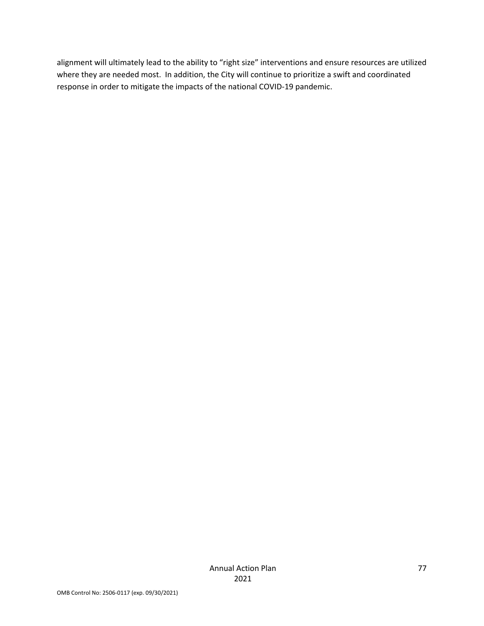alignment will ultimately lead to the ability to "right size" interventions and ensure resources are utilized where they are needed most. In addition, the City will continue to prioritize a swift and coordinated response in order to mitigate the impacts of the national COVID-19 pandemic.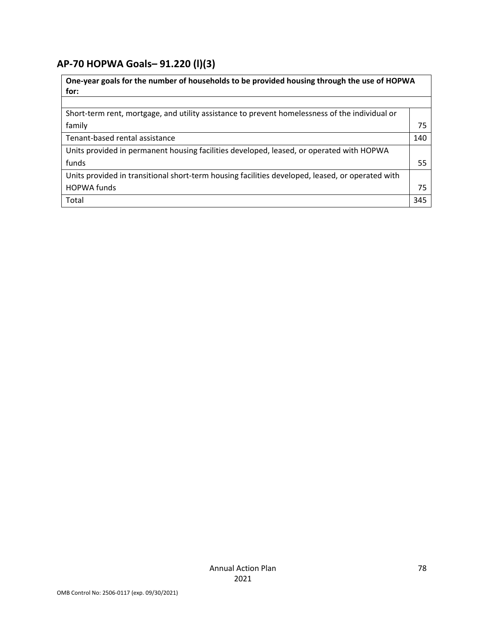# **AP-70 HOPWA Goals***–* **91.220 (l)(3)**

| One-year goals for the number of households to be provided housing through the use of HOPWA<br>for: |     |
|-----------------------------------------------------------------------------------------------------|-----|
|                                                                                                     |     |
| Short-term rent, mortgage, and utility assistance to prevent homelessness of the individual or      |     |
| family                                                                                              | 75  |
| Tenant-based rental assistance                                                                      | 140 |
| Units provided in permanent housing facilities developed, leased, or operated with HOPWA            |     |
| funds                                                                                               | 55  |
| Units provided in transitional short-term housing facilities developed, leased, or operated with    |     |
| <b>HOPWA funds</b>                                                                                  | 75  |
| Total                                                                                               | 345 |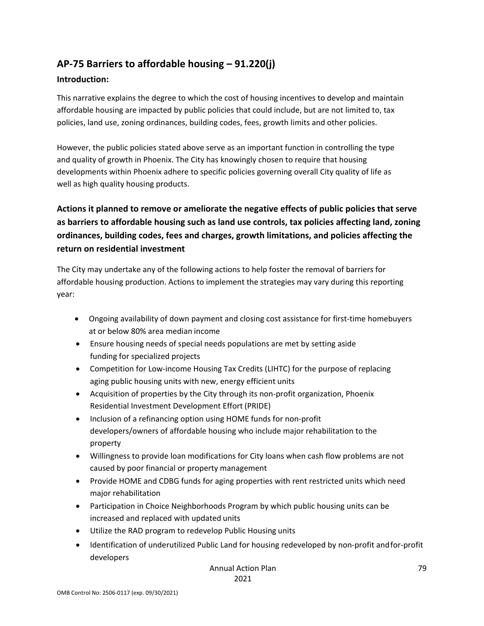# **AP-75 Barriers to affordable housing – 91.220(j)**

### **Introduction:**

This narrative explains the degree to which the cost of housing incentives to develop and maintain affordable housing are impacted by public policies that could include, but are not limited to, tax policies, land use, zoning ordinances, building codes, fees, growth limits and other policies.

However, the public policies stated above serve as an important function in controlling the type and quality of growth in Phoenix. The City has knowingly chosen to require that housing developments within Phoenix adhere to specific policies governing overall City quality of life as well as high quality housing products.

# **Actions it planned to remove or ameliorate the negative effects of public policies that serve as barriers to affordable housing such as land use controls, tax policies affecting land, zoning ordinances, building codes, fees and charges, growth limitations, and policies affecting the return on residential investment**

The City may undertake any of the following actions to help foster the removal of barriers for affordable housing production. Actions to implement the strategies may vary during this reporting year:

- Ongoing availability of down payment and closing cost assistance for first-time homebuyers at or below 80% area median income
- Ensure housing needs of special needs populations are met by setting aside funding for specialized projects
- Competition for Low-income Housing Tax Credits (LIHTC) for the purpose of replacing aging public housing units with new, energy efficient units
- Acquisition of properties by the City through its non-profit organization, Phoenix Residential Investment Development Effort (PRIDE)
- Inclusion of a refinancing option using HOME funds for non-profit developers/owners of affordable housing who include major rehabilitation to the property
- Willingness to provide loan modifications for City loans when cash flow problems are not caused by poor financial or property management
- Provide HOME and CDBG funds for aging properties with rent restricted units which need major rehabilitation
- Participation in Choice Neighborhoods Program by which public housing units can be increased and replaced with updated units
- Utilize the RAD program to redevelop Public Housing units
- Identification of underutilized Public Land for housing redeveloped by non-profit andfor-profit developers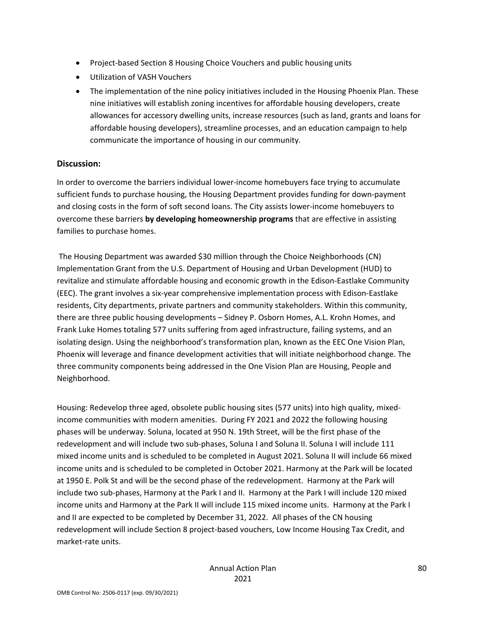- Project-based Section 8 Housing Choice Vouchers and public housing units
- Utilization of VASH Vouchers
- The implementation of the nine policy initiatives included in the Housing Phoenix Plan. These nine initiatives will establish zoning incentives for affordable housing developers, create allowances for accessory dwelling units, increase resources (such as land, grants and loans for affordable housing developers), streamline processes, and an education campaign to help communicate the importance of housing in our community.

#### **Discussion:**

In order to overcome the barriers individual lower-income homebuyers face trying to accumulate sufficient funds to purchase housing, the Housing Department provides funding for down-payment and closing costs in the form of soft second loans. The City assists lower-income homebuyers to overcome these barriers **by developing homeownership programs** that are effective in assisting families to purchase homes.

The Housing Department was awarded \$30 million through the Choice Neighborhoods (CN) Implementation Grant from the U.S. Department of Housing and Urban Development (HUD) to revitalize and stimulate affordable housing and economic growth in the Edison-Eastlake Community (EEC). The grant involves a six-year comprehensive implementation process with Edison-Eastlake residents, City departments, private partners and community stakeholders. Within this community, there are three public housing developments – Sidney P. Osborn Homes, A.L. Krohn Homes, and Frank Luke Homes totaling 577 units suffering from aged infrastructure, failing systems, and an isolating design. Using the neighborhood's transformation plan, known as the EEC One Vision Plan, Phoenix will leverage and finance development activities that will initiate neighborhood change. The three community components being addressed in the One Vision Plan are Housing, People and Neighborhood.

Housing: Redevelop three aged, obsolete public housing sites (577 units) into high quality, mixedincome communities with modern amenities. During FY 2021 and 2022 the following housing phases will be underway. Soluna, located at 950 N. 19th Street, will be the first phase of the redevelopment and will include two sub-phases, Soluna I and Soluna II. Soluna I will include 111 mixed income units and is scheduled to be completed in August 2021. Soluna II will include 66 mixed income units and is scheduled to be completed in October 2021. Harmony at the Park will be located at 1950 E. Polk St and will be the second phase of the redevelopment. Harmony at the Park will include two sub-phases, Harmony at the Park I and II. Harmony at the Park I will include 120 mixed income units and Harmony at the Park II will include 115 mixed income units. Harmony at the Park I and II are expected to be completed by December 31, 2022. All phases of the CN housing redevelopment will include Section 8 project-based vouchers, Low Income Housing Tax Credit, and market-rate units.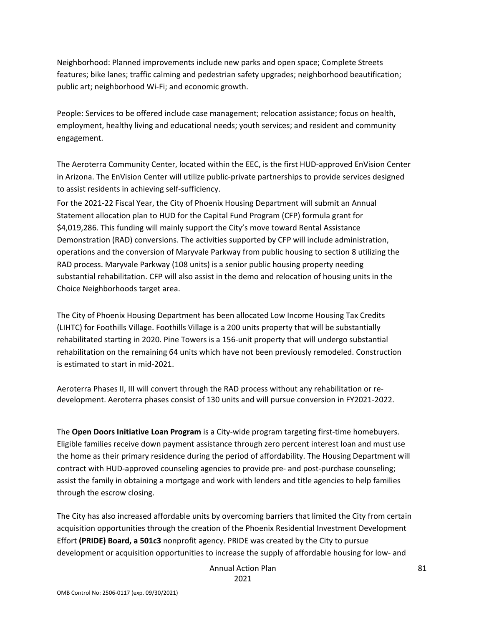Neighborhood: Planned improvements include new parks and open space; Complete Streets features; bike lanes; traffic calming and pedestrian safety upgrades; neighborhood beautification; public art; neighborhood Wi-Fi; and economic growth.

People: Services to be offered include case management; relocation assistance; focus on health, employment, healthy living and educational needs; youth services; and resident and community engagement.

The Aeroterra Community Center, located within the EEC, is the first HUD-approved EnVision Center in Arizona. The EnVision Center will utilize public-private partnerships to provide services designed to assist residents in achieving self-sufficiency.

For the 2021-22 Fiscal Year, the City of Phoenix Housing Department will submit an Annual Statement allocation plan to HUD for the Capital Fund Program (CFP) formula grant for \$4,019,286. This funding will mainly support the City's move toward Rental Assistance Demonstration (RAD) conversions. The activities supported by CFP will include administration, operations and the conversion of Maryvale Parkway from public housing to section 8 utilizing the RAD process. Maryvale Parkway (108 units) is a senior public housing property needing substantial rehabilitation. CFP will also assist in the demo and relocation of housing units in the Choice Neighborhoods target area.

The City of Phoenix Housing Department has been allocated Low Income Housing Tax Credits (LIHTC) for Foothills Village. Foothills Village is a 200 units property that will be substantially rehabilitated starting in 2020. Pine Towers is a 156-unit property that will undergo substantial rehabilitation on the remaining 64 units which have not been previously remodeled. Construction is estimated to start in mid-2021.

Aeroterra Phases II, III will convert through the RAD process without any rehabilitation or redevelopment. Aeroterra phases consist of 130 units and will pursue conversion in FY2021-2022.

The **Open Doors Initiative Loan Program** is a City-wide program targeting first-time homebuyers. Eligible families receive down payment assistance through zero percent interest loan and must use the home as their primary residence during the period of affordability. The Housing Department will contract with HUD-approved counseling agencies to provide pre- and post-purchase counseling; assist the family in obtaining a mortgage and work with lenders and title agencies to help families through the escrow closing.

The City has also increased affordable units by overcoming barriers that limited the City from certain acquisition opportunities through the creation of the Phoenix Residential Investment Development Effort **(PRIDE) Board, a 501c3** nonprofit agency. PRIDE was created by the City to pursue development or acquisition opportunities to increase the supply of affordable housing for low- and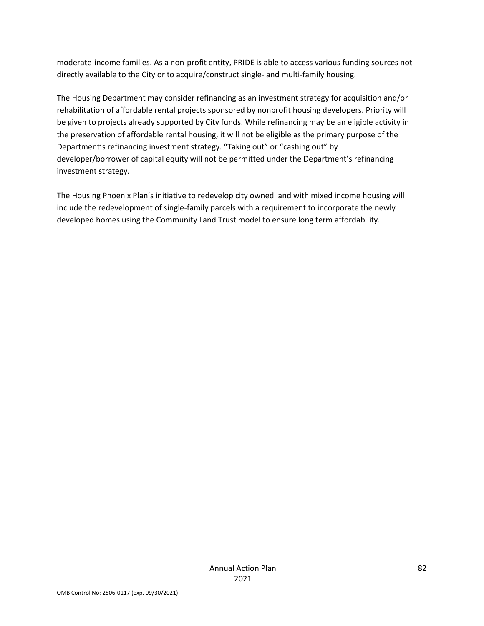moderate-income families. As a non-profit entity, PRIDE is able to access various funding sources not directly available to the City or to acquire/construct single- and multi-family housing.

The Housing Department may consider refinancing as an investment strategy for acquisition and/or rehabilitation of affordable rental projects sponsored by nonprofit housing developers. Priority will be given to projects already supported by City funds. While refinancing may be an eligible activity in the preservation of affordable rental housing, it will not be eligible as the primary purpose of the Department's refinancing investment strategy. "Taking out" or "cashing out" by developer/borrower of capital equity will not be permitted under the Department's refinancing investment strategy.

The Housing Phoenix Plan's initiative to redevelop city owned land with mixed income housing will include the redevelopment of single-family parcels with a requirement to incorporate the newly developed homes using the Community Land Trust model to ensure long term affordability.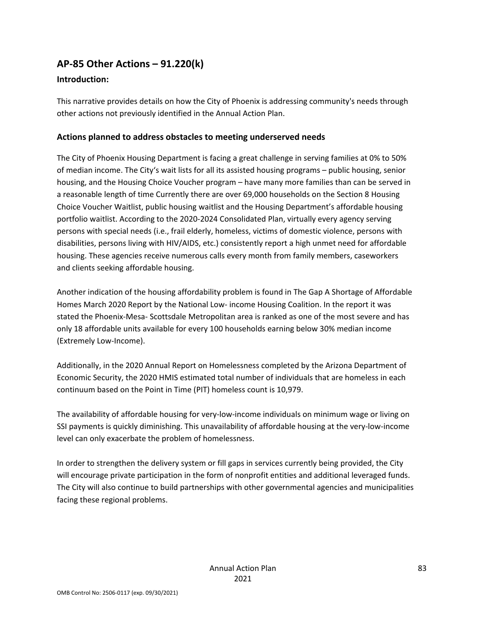# **AP-85 Other Actions – 91.220(k)**

### **Introduction:**

This narrative provides details on how the City of Phoenix is addressing community's needs through other actions not previously identified in the Annual Action Plan.

### **Actions planned to address obstacles to meeting underserved needs**

The City of Phoenix Housing Department is facing a great challenge in serving families at 0% to 50% of median income. The City's wait lists for all its assisted housing programs – public housing, senior housing, and the Housing Choice Voucher program – have many more families than can be served in a reasonable length of time Currently there are over 69,000 households on the Section 8 Housing Choice Voucher Waitlist, public housing waitlist and the Housing Department's affordable housing portfolio waitlist. According to the 2020-2024 Consolidated Plan, virtually every agency serving persons with special needs (i.e., frail elderly, homeless, victims of domestic violence, persons with disabilities, persons living with HIV/AIDS, etc.) consistently report a high unmet need for affordable housing. These agencies receive numerous calls every month from family members, caseworkers and clients seeking affordable housing.

Another indication of the housing affordability problem is found in The Gap A Shortage of Affordable Homes March 2020 Report by the National Low- income Housing Coalition. In the report it was stated the Phoenix-Mesa- Scottsdale Metropolitan area is ranked as one of the most severe and has only 18 affordable units available for every 100 households earning below 30% median income (Extremely Low-Income).

Additionally, in the 2020 Annual Report on Homelessness completed by the Arizona Department of Economic Security, the 2020 HMIS estimated total number of individuals that are homeless in each continuum based on the Point in Time (PIT) homeless count is 10,979.

The availability of affordable housing for very-low-income individuals on minimum wage or living on SSI payments is quickly diminishing. This unavailability of affordable housing at the very-low-income level can only exacerbate the problem of homelessness.

In order to strengthen the delivery system or fill gaps in services currently being provided, the City will encourage private participation in the form of nonprofit entities and additional leveraged funds. The City will also continue to build partnerships with other governmental agencies and municipalities facing these regional problems.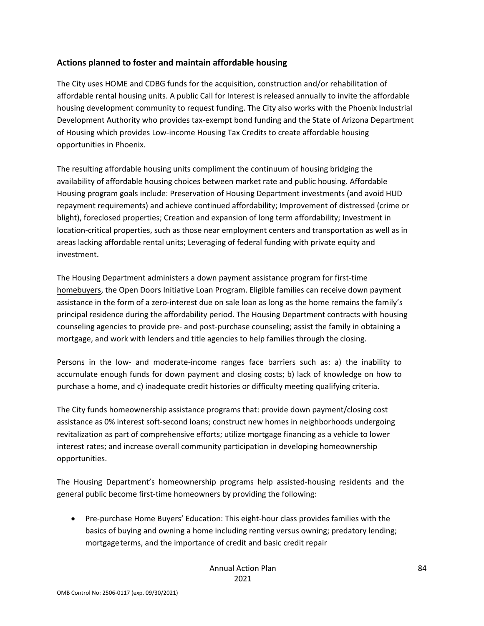#### **Actions planned to foster and maintain affordable housing**

The City uses HOME and CDBG funds for the acquisition, construction and/or rehabilitation of affordable rental housing units. A public Call for Interest is released annually to invite the affordable housing development community to request funding. The City also works with the Phoenix Industrial Development Authority who provides tax-exempt bond funding and the State of Arizona Department of Housing which provides Low-income Housing Tax Credits to create affordable housing opportunities in Phoenix.

The resulting affordable housing units compliment the continuum of housing bridging the availability of affordable housing choices between market rate and public housing. Affordable Housing program goals include: Preservation of Housing Department investments (and avoid HUD repayment requirements) and achieve continued affordability; Improvement of distressed (crime or blight), foreclosed properties; Creation and expansion of long term affordability; Investment in location-critical properties, such as those near employment centers and transportation as well as in areas lacking affordable rental units; Leveraging of federal funding with private equity and investment.

The Housing Department administers a down payment assistance program for first-time homebuyers, the Open Doors Initiative Loan Program. Eligible families can receive down payment assistance in the form of a zero-interest due on sale loan as long as the home remains the family's principal residence during the affordability period. The Housing Department contracts with housing counseling agencies to provide pre- and post-purchase counseling; assist the family in obtaining a mortgage, and work with lenders and title agencies to help families through the closing.

Persons in the low- and moderate-income ranges face barriers such as: a) the inability to accumulate enough funds for down payment and closing costs; b) lack of knowledge on how to purchase a home, and c) inadequate credit histories or difficulty meeting qualifying criteria.

The City funds homeownership assistance programs that: provide down payment/closing cost assistance as 0% interest soft-second loans; construct new homes in neighborhoods undergoing revitalization as part of comprehensive efforts; utilize mortgage financing as a vehicle to lower interest rates; and increase overall community participation in developing homeownership opportunities.

The Housing Department's homeownership programs help assisted-housing residents and the general public become first-time homeowners by providing the following:

• Pre-purchase Home Buyers' Education: This eight-hour class provides families with the basics of buying and owning a home including renting versus owning; predatory lending; mortgageterms, and the importance of credit and basic credit repair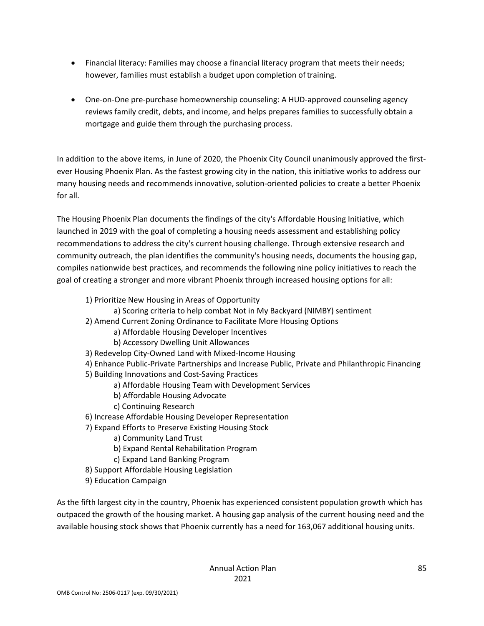- Financial literacy: Families may choose a financial literacy program that meets their needs; however, families must establish a budget upon completion of training.
- One-on-One pre-purchase homeownership counseling: A HUD-approved counseling agency reviews family credit, debts, and income, and helps prepares families to successfully obtain a mortgage and guide them through the purchasing process.

In addition to the above items, in June of 2020, the Phoenix City Council unanimously approved the firstever Housing Phoenix Plan. As the fastest growing city in the nation, this initiative works to address our many housing needs and recommends innovative, solution-oriented policies to create a better Phoenix for all.

The Housing Phoenix Plan documents the findings of the city's Affordable Housing Initiative, which launched in 2019 with the goal of completing a housing needs assessment and establishing policy recommendations to address the city's current housing challenge. Through extensive research and community outreach, the plan identifies the community's housing needs, documents the housing gap, compiles nationwide best practices, and recommends the following nine policy initiatives to reach the goal of creating a stronger and more vibrant Phoenix through increased housing options for all:

- 1) Prioritize New Housing in Areas of Opportunity
	- a) Scoring criteria to help combat Not in My Backyard (NIMBY) sentiment
- 2) Amend Current Zoning Ordinance to Facilitate More Housing Options
	- a) Affordable Housing Developer Incentives
	- b) Accessory Dwelling Unit Allowances
- 3) Redevelop City-Owned Land with Mixed-Income Housing
- 4) Enhance Public-Private Partnerships and Increase Public, Private and Philanthropic Financing
- 5) Building Innovations and Cost-Saving Practices
	- a) Affordable Housing Team with Development Services
	- b) Affordable Housing Advocate
	- c) Continuing Research
- 6) Increase Affordable Housing Developer Representation
- 7) Expand Efforts to Preserve Existing Housing Stock
	- a) Community Land Trust
	- b) Expand Rental Rehabilitation Program
	- c) Expand Land Banking Program
- 8) Support Affordable Housing Legislation
- 9) Education Campaign

As the fifth largest city in the country, Phoenix has experienced consistent population growth which has outpaced the growth of the housing market. A housing gap analysis of the current housing need and the available housing stock shows that Phoenix currently has a need for 163,067 additional housing units.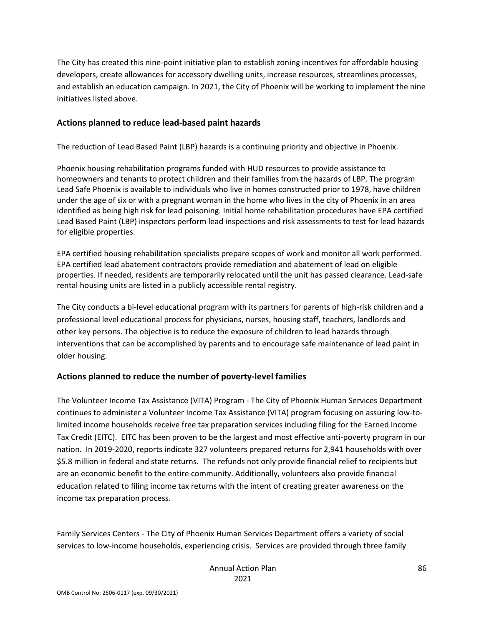The City has created this nine-point initiative plan to establish zoning incentives for affordable housing developers, create allowances for accessory dwelling units, increase resources, streamlines processes, and establish an education campaign. In 2021, the City of Phoenix will be working to implement the nine initiatives listed above.

#### **Actions planned to reduce lead-based paint hazards**

The reduction of Lead Based Paint (LBP) hazards is a continuing priority and objective in Phoenix.

Phoenix housing rehabilitation programs funded with HUD resources to provide assistance to homeowners and tenants to protect children and their families from the hazards of LBP. The program Lead Safe Phoenix is available to individuals who live in homes constructed prior to 1978, have children under the age of six or with a pregnant woman in the home who lives in the city of Phoenix in an area identified as being high risk for lead poisoning. Initial home rehabilitation procedures have EPA certified Lead Based Paint (LBP) inspectors perform lead inspections and risk assessments to test for lead hazards for eligible properties.

EPA certified housing rehabilitation specialists prepare scopes of work and monitor all work performed. EPA certified lead abatement contractors provide remediation and abatement of lead on eligible properties. If needed, residents are temporarily relocated until the unit has passed clearance. Lead-safe rental housing units are listed in a publicly accessible rental registry.

The City conducts a bi-level educational program with its partners for parents of high-risk children and a professional level educational process for physicians, nurses, housing staff, teachers, landlords and other key persons. The objective is to reduce the exposure of children to lead hazards through interventions that can be accomplished by parents and to encourage safe maintenance of lead paint in older housing.

# **Actions planned to reduce the number of poverty-level families**

The Volunteer Income Tax Assistance (VITA) Program - The City of Phoenix Human Services Department continues to administer a Volunteer Income Tax Assistance (VITA) program focusing on assuring low-tolimited income households receive free tax preparation services including filing for the Earned Income Tax Credit (EITC). EITC has been proven to be the largest and most effective anti-poverty program in our nation. In 2019-2020, reports indicate 327 volunteers prepared returns for 2,941 households with over \$5.8 million in federal and state returns. The refunds not only provide financial relief to recipients but are an economic benefit to the entire community. Additionally, volunteers also provide financial education related to filing income tax returns with the intent of creating greater awareness on the income tax preparation process.

Family Services Centers - The City of Phoenix Human Services Department offers a variety of social services to low-income households, experiencing crisis. Services are provided through three family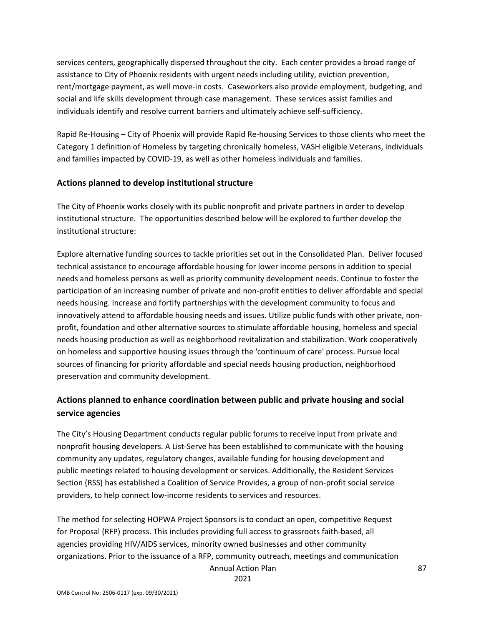services centers, geographically dispersed throughout the city. Each center provides a broad range of assistance to City of Phoenix residents with urgent needs including utility, eviction prevention, rent/mortgage payment, as well move-in costs. Caseworkers also provide employment, budgeting, and social and life skills development through case management. These services assist families and individuals identify and resolve current barriers and ultimately achieve self-sufficiency.

Rapid Re-Housing – City of Phoenix will provide Rapid Re-housing Services to those clients who meet the Category 1 definition of Homeless by targeting chronically homeless, VASH eligible Veterans, individuals and families impacted by COVID-19, as well as other homeless individuals and families.

#### **Actions planned to develop institutional structure**

The City of Phoenix works closely with its public nonprofit and private partners in order to develop institutional structure. The opportunities described below will be explored to further develop the institutional structure:

Explore alternative funding sources to tackle priorities set out in the Consolidated Plan. Deliver focused technical assistance to encourage affordable housing for lower income persons in addition to special needs and homeless persons as well as priority community development needs. Continue to foster the participation of an increasing number of private and non-profit entities to deliver affordable and special needs housing. Increase and fortify partnerships with the development community to focus and innovatively attend to affordable housing needs and issues. Utilize public funds with other private, nonprofit, foundation and other alternative sources to stimulate affordable housing, homeless and special needs housing production as well as neighborhood revitalization and stabilization. Work cooperatively on homeless and supportive housing issues through the 'continuum of care' process. Pursue local sources of financing for priority affordable and special needs housing production, neighborhood preservation and community development.

# **Actions planned to enhance coordination between public and private housing and social service agencies**

The City's Housing Department conducts regular public forums to receive input from private and nonprofit housing developers. A List-Serve has been established to communicate with the housing community any updates, regulatory changes, available funding for housing development and public meetings related to housing development or services. Additionally, the Resident Services Section (RSS) has established a Coalition of Service Provides, a group of non-profit social service providers, to help connect low-income residents to services and resources.

The method for selecting HOPWA Project Sponsors is to conduct an open, competitive Request for Proposal (RFP) process. This includes providing full access to grassroots faith-based, all agencies providing HIV/AIDS services, minority owned businesses and other community organizations. Prior to the issuance of a RFP, community outreach, meetings and communication

Annual Action Plan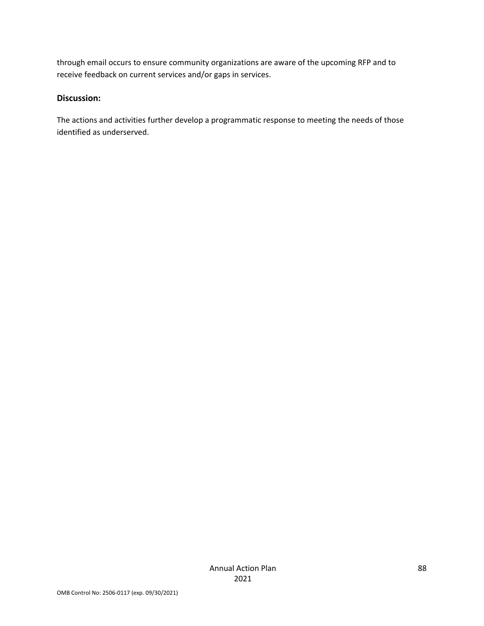through email occurs to ensure community organizations are aware of the upcoming RFP and to receive feedback on current services and/or gaps in services.

#### **Discussion:**

The actions and activities further develop a programmatic response to meeting the needs of those identified as underserved.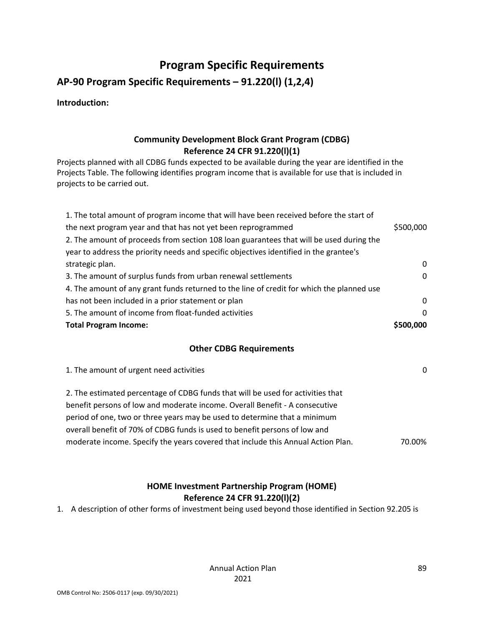# **Program Specific Requirements**

**AP-90 Program Specific Requirements – 91.220(l) (1,2,4)**

**Introduction:** 

# **Community Development Block Grant Program (CDBG) Reference 24 CFR 91.220(l)(1)**

Projects planned with all CDBG funds expected to be available during the year are identified in the Projects Table. The following identifies program income that is available for use that is included in projects to be carried out.

| 1. The total amount of program income that will have been received before the start of    |              |
|-------------------------------------------------------------------------------------------|--------------|
| the next program year and that has not yet been reprogrammed                              | \$500,000    |
| 2. The amount of proceeds from section 108 loan guarantees that will be used during the   |              |
| year to address the priority needs and specific objectives identified in the grantee's    |              |
| strategic plan.                                                                           | $\mathbf{0}$ |
| 3. The amount of surplus funds from urban renewal settlements                             | $\mathbf{0}$ |
| 4. The amount of any grant funds returned to the line of credit for which the planned use |              |
| has not been included in a prior statement or plan                                        | $\Omega$     |
| 5. The amount of income from float-funded activities                                      | $\Omega$     |
| <b>Total Program Income:</b>                                                              | \$500,000    |

# **Other CDBG Requirements**

| 1. The amount of urgent need activities                                          | 0      |
|----------------------------------------------------------------------------------|--------|
| 2. The estimated percentage of CDBG funds that will be used for activities that  |        |
| benefit persons of low and moderate income. Overall Benefit - A consecutive      |        |
| period of one, two or three years may be used to determine that a minimum        |        |
| overall benefit of 70% of CDBG funds is used to benefit persons of low and       |        |
| moderate income. Specify the years covered that include this Annual Action Plan. | 70.00% |
|                                                                                  |        |

# **HOME Investment Partnership Program (HOME) Reference 24 CFR 91.220(l)(2)**

1. A description of other forms of investment being used beyond those identified in Section 92.205 is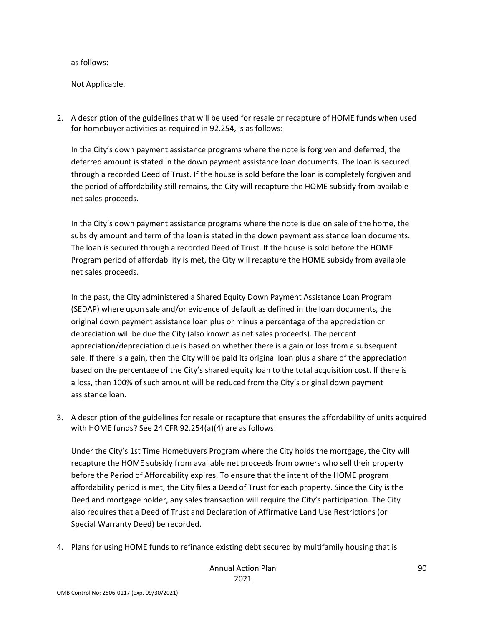as follows:

Not Applicable.

2. A description of the guidelines that will be used for resale or recapture of HOME funds when used for homebuyer activities as required in 92.254, is as follows:

In the City's down payment assistance programs where the note is forgiven and deferred, the deferred amount is stated in the down payment assistance loan documents. The loan is secured through a recorded Deed of Trust. If the house is sold before the loan is completely forgiven and the period of affordability still remains, the City will recapture the HOME subsidy from available net sales proceeds.

In the City's down payment assistance programs where the note is due on sale of the home, the subsidy amount and term of the loan is stated in the down payment assistance loan documents. The loan is secured through a recorded Deed of Trust. If the house is sold before the HOME Program period of affordability is met, the City will recapture the HOME subsidy from available net sales proceeds.

In the past, the City administered a Shared Equity Down Payment Assistance Loan Program (SEDAP) where upon sale and/or evidence of default as defined in the loan documents, the original down payment assistance loan plus or minus a percentage of the appreciation or depreciation will be due the City (also known as net sales proceeds). The percent appreciation/depreciation due is based on whether there is a gain or loss from a subsequent sale. If there is a gain, then the City will be paid its original loan plus a share of the appreciation based on the percentage of the City's shared equity loan to the total acquisition cost. If there is a loss, then 100% of such amount will be reduced from the City's original down payment assistance loan.

3. A description of the guidelines for resale or recapture that ensures the affordability of units acquired with HOME funds? See 24 CFR 92.254(a)(4) are as follows:

Under the City's 1st Time Homebuyers Program where the City holds the mortgage, the City will recapture the HOME subsidy from available net proceeds from owners who sell their property before the Period of Affordability expires. To ensure that the intent of the HOME program affordability period is met, the City files a Deed of Trust for each property. Since the City is the Deed and mortgage holder, any sales transaction will require the City's participation. The City also requires that a Deed of Trust and Declaration of Affirmative Land Use Restrictions (or Special Warranty Deed) be recorded.

4. Plans for using HOME funds to refinance existing debt secured by multifamily housing that is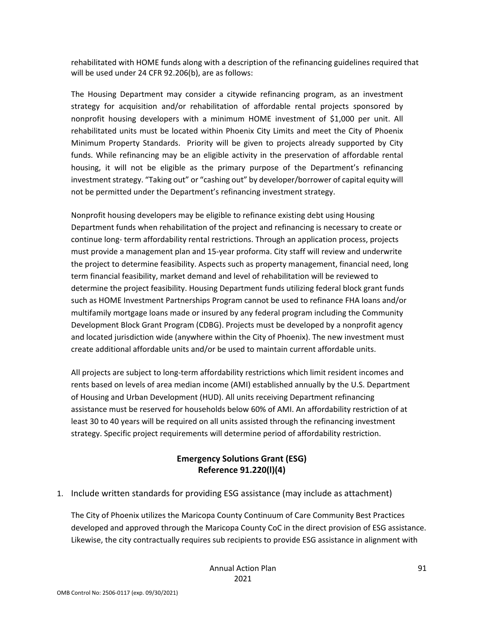rehabilitated with HOME funds along with a description of the refinancing guidelines required that will be used under 24 CFR 92.206(b), are as follows:

The Housing Department may consider a citywide refinancing program, as an investment strategy for acquisition and/or rehabilitation of affordable rental projects sponsored by nonprofit housing developers with a minimum HOME investment of \$1,000 per unit. All rehabilitated units must be located within Phoenix City Limits and meet the City of Phoenix Minimum Property Standards. Priority will be given to projects already supported by City funds. While refinancing may be an eligible activity in the preservation of affordable rental housing, it will not be eligible as the primary purpose of the Department's refinancing investment strategy. "Taking out" or "cashing out" by developer/borrower of capital equity will not be permitted under the Department's refinancing investment strategy.

Nonprofit housing developers may be eligible to refinance existing debt using Housing Department funds when rehabilitation of the project and refinancing is necessary to create or continue long- term affordability rental restrictions. Through an application process, projects must provide a management plan and 15-year proforma. City staff will review and underwrite the project to determine feasibility. Aspects such as property management, financial need, long term financial feasibility, market demand and level of rehabilitation will be reviewed to determine the project feasibility. Housing Department funds utilizing federal block grant funds such as HOME Investment Partnerships Program cannot be used to refinance FHA loans and/or multifamily mortgage loans made or insured by any federal program including the Community Development Block Grant Program (CDBG). Projects must be developed by a nonprofit agency and located jurisdiction wide (anywhere within the City of Phoenix). The new investment must create additional affordable units and/or be used to maintain current affordable units.

All projects are subject to long-term affordability restrictions which limit resident incomes and rents based on levels of area median income (AMI) established annually by the U.S. Department of Housing and Urban Development (HUD). All units receiving Department refinancing assistance must be reserved for households below 60% of AMI. An affordability restriction of at least 30 to 40 years will be required on all units assisted through the refinancing investment strategy. Specific project requirements will determine period of affordability restriction.

# **Emergency Solutions Grant (ESG) Reference 91.220(l)(4)**

# 1. Include written standards for providing ESG assistance (may include as attachment)

The City of Phoenix utilizes the Maricopa County Continuum of Care Community Best Practices developed and approved through the Maricopa County CoC in the direct provision of ESG assistance. Likewise, the city contractually requires sub recipients to provide ESG assistance in alignment with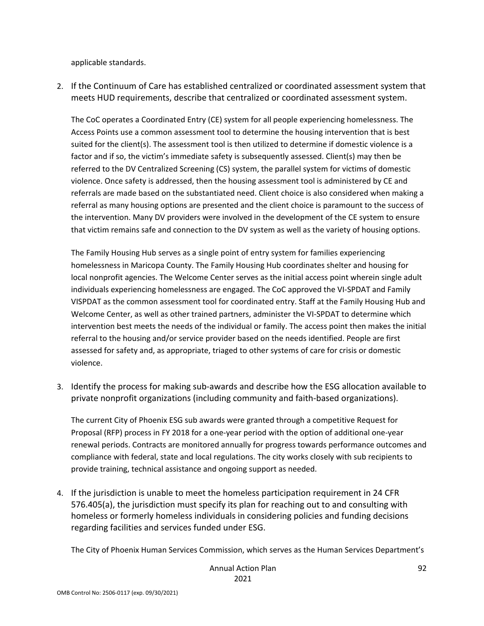applicable standards.

2. If the Continuum of Care has established centralized or coordinated assessment system that meets HUD requirements, describe that centralized or coordinated assessment system.

The CoC operates a Coordinated Entry (CE) system for all people experiencing homelessness. The Access Points use a common assessment tool to determine the housing intervention that is best suited for the client(s). The assessment tool is then utilized to determine if domestic violence is a factor and if so, the victim's immediate safety is subsequently assessed. Client(s) may then be referred to the DV Centralized Screening (CS) system, the parallel system for victims of domestic violence. Once safety is addressed, then the housing assessment tool is administered by CE and referrals are made based on the substantiated need. Client choice is also considered when making a referral as many housing options are presented and the client choice is paramount to the success of the intervention. Many DV providers were involved in the development of the CE system to ensure that victim remains safe and connection to the DV system as well as the variety of housing options.

The Family Housing Hub serves as a single point of entry system for families experiencing homelessness in Maricopa County. The Family Housing Hub coordinates shelter and housing for local nonprofit agencies. The Welcome Center serves as the initial access point wherein single adult individuals experiencing homelessness are engaged. The CoC approved the VI-SPDAT and Family VISPDAT as the common assessment tool for coordinated entry. Staff at the Family Housing Hub and Welcome Center, as well as other trained partners, administer the VI-SPDAT to determine which intervention best meets the needs of the individual or family. The access point then makes the initial referral to the housing and/or service provider based on the needs identified. People are first assessed for safety and, as appropriate, triaged to other systems of care for crisis or domestic violence.

3. Identify the process for making sub-awards and describe how the ESG allocation available to private nonprofit organizations (including community and faith-based organizations).

The current City of Phoenix ESG sub awards were granted through a competitive Request for Proposal (RFP) process in FY 2018 for a one-year period with the option of additional one-year renewal periods. Contracts are monitored annually for progress towards performance outcomes and compliance with federal, state and local regulations. The city works closely with sub recipients to provide training, technical assistance and ongoing support as needed.

4. If the jurisdiction is unable to meet the homeless participation requirement in 24 CFR 576.405(a), the jurisdiction must specify its plan for reaching out to and consulting with homeless or formerly homeless individuals in considering policies and funding decisions regarding facilities and services funded under ESG.

The City of Phoenix Human Services Commission, which serves as the Human Services Department's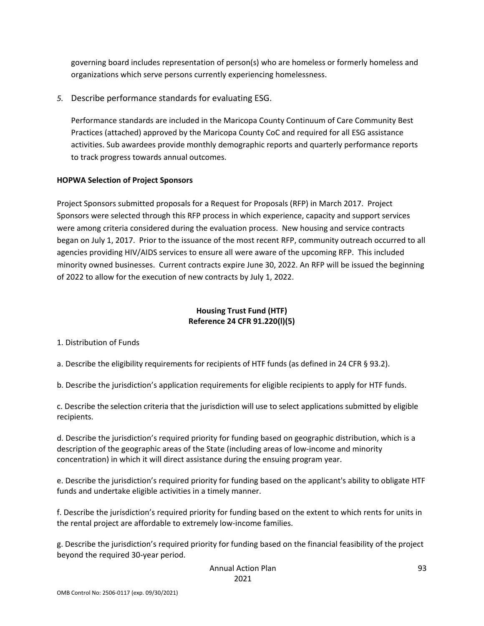governing board includes representation of person(s) who are homeless or formerly homeless and organizations which serve persons currently experiencing homelessness.

*5.* Describe performance standards for evaluating ESG.

Performance standards are included in the Maricopa County Continuum of Care Community Best Practices (attached) approved by the Maricopa County CoC and required for all ESG assistance activities. Sub awardees provide monthly demographic reports and quarterly performance reports to track progress towards annual outcomes.

#### **HOPWA Selection of Project Sponsors**

Project Sponsors submitted proposals for a Request for Proposals (RFP) in March 2017. Project Sponsors were selected through this RFP process in which experience, capacity and support services were among criteria considered during the evaluation process. New housing and service contracts began on July 1, 2017. Prior to the issuance of the most recent RFP, community outreach occurred to all agencies providing HIV/AIDS services to ensure all were aware of the upcoming RFP. This included minority owned businesses. Current contracts expire June 30, 2022. An RFP will be issued the beginning of 2022 to allow for the execution of new contracts by July 1, 2022.

### **Housing Trust Fund (HTF) Reference 24 CFR 91.220(l)(5)**

1. Distribution of Funds

a. Describe the eligibility requirements for recipients of HTF funds (as defined in 24 CFR § 93.2).

b. Describe the jurisdiction's application requirements for eligible recipients to apply for HTF funds.

c. Describe the selection criteria that the jurisdiction will use to select applications submitted by eligible recipients.

d. Describe the jurisdiction's required priority for funding based on geographic distribution, which is a description of the geographic areas of the State (including areas of low-income and minority concentration) in which it will direct assistance during the ensuing program year.

e. Describe the jurisdiction's required priority for funding based on the applicant's ability to obligate HTF funds and undertake eligible activities in a timely manner.

f. Describe the jurisdiction's required priority for funding based on the extent to which rents for units in the rental project are affordable to extremely low-income families.

g. Describe the jurisdiction's required priority for funding based on the financial feasibility of the project beyond the required 30-year period.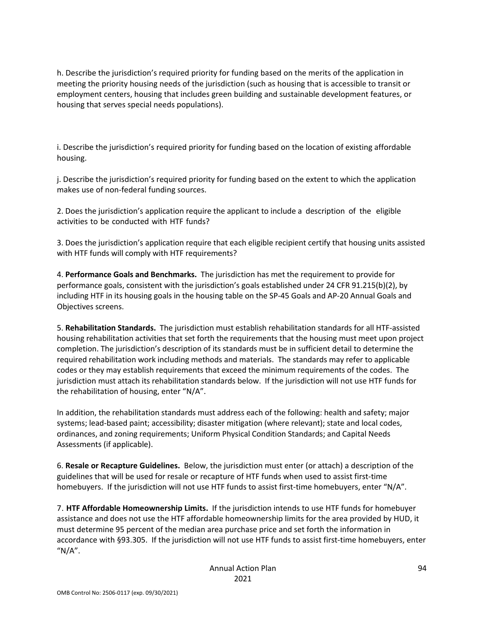h. Describe the jurisdiction's required priority for funding based on the merits of the application in meeting the priority housing needs of the jurisdiction (such as housing that is accessible to transit or employment centers, housing that includes green building and sustainable development features, or housing that serves special needs populations).

i. Describe the jurisdiction's required priority for funding based on the location of existing affordable housing.

j. Describe the jurisdiction's required priority for funding based on the extent to which the application makes use of non-federal funding sources.

2. Does the jurisdiction's application require the applicant to include a description of the eligible activities to be conducted with HTF funds?

3. Does the jurisdiction's application require that each eligible recipient certify that housing units assisted with HTF funds will comply with HTF requirements?

4. **Performance Goals and Benchmarks.** The jurisdiction has met the requirement to provide for performance goals, consistent with the jurisdiction's goals established under 24 CFR 91.215(b)(2), by including HTF in its housing goals in the housing table on the SP-45 Goals and AP-20 Annual Goals and Objectives screens.

5. **Rehabilitation Standards.** The jurisdiction must establish rehabilitation standards for all HTF-assisted housing rehabilitation activities that set forth the requirements that the housing must meet upon project completion. The jurisdiction's description of its standards must be in sufficient detail to determine the required rehabilitation work including methods and materials. The standards may refer to applicable codes or they may establish requirements that exceed the minimum requirements of the codes. The jurisdiction must attach its rehabilitation standards below. If the jurisdiction will not use HTF funds for the rehabilitation of housing, enter "N/A".

In addition, the rehabilitation standards must address each of the following: health and safety; major systems; lead-based paint; accessibility; disaster mitigation (where relevant); state and local codes, ordinances, and zoning requirements; Uniform Physical Condition Standards; and Capital Needs Assessments (if applicable).

6. **Resale or Recapture Guidelines.** Below, the jurisdiction must enter (or attach) a description of the guidelines that will be used for resale or recapture of HTF funds when used to assist first-time homebuyers. If the jurisdiction will not use HTF funds to assist first-time homebuyers, enter "N/A".

7. **HTF Affordable Homeownership Limits.** If the jurisdiction intends to use HTF funds for homebuyer assistance and does not use the HTF affordable homeownership limits for the area provided by HUD, it must determine 95 percent of the median area purchase price and set forth the information in accordance with §93.305. If the jurisdiction will not use HTF funds to assist first-time homebuyers, enter  $''N/A''$ .